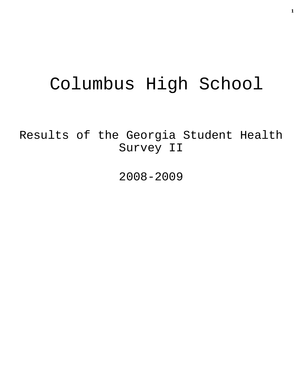# Columbus High School

Results of the Georgia Student Health Survey II

2008-2009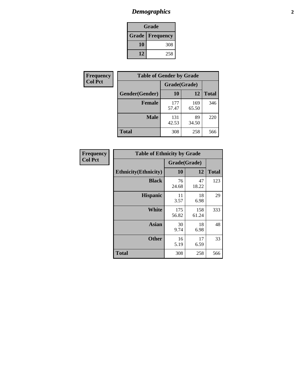# *Demographics* **2**

| Grade                    |     |  |  |  |
|--------------------------|-----|--|--|--|
| <b>Grade   Frequency</b> |     |  |  |  |
| 10                       | 308 |  |  |  |
| 12                       | 258 |  |  |  |

| <b>Frequency</b> | <b>Table of Gender by Grade</b> |              |              |              |  |  |
|------------------|---------------------------------|--------------|--------------|--------------|--|--|
| <b>Col Pct</b>   |                                 | Grade(Grade) |              |              |  |  |
|                  | Gender(Gender)                  | <b>10</b>    | 12           | <b>Total</b> |  |  |
|                  | <b>Female</b>                   | 177<br>57.47 | 169<br>65.50 | 346          |  |  |
|                  | <b>Male</b>                     | 131<br>42.53 | 89<br>34.50  | 220          |  |  |
|                  | <b>Total</b>                    | 308          | 258          | 566          |  |  |

| Frequency<br>Col Pct |
|----------------------|
|                      |

| <b>Table of Ethnicity by Grade</b> |              |              |              |  |  |  |
|------------------------------------|--------------|--------------|--------------|--|--|--|
|                                    | Grade(Grade) |              |              |  |  |  |
| <b>Ethnicity</b> (Ethnicity)       | 10           | 12           | <b>Total</b> |  |  |  |
| <b>Black</b>                       | 76<br>24.68  | 47<br>18.22  | 123          |  |  |  |
| <b>Hispanic</b>                    | 11<br>3.57   | 18<br>6.98   | 29           |  |  |  |
| White                              | 175<br>56.82 | 158<br>61.24 | 333          |  |  |  |
| <b>Asian</b>                       | 30<br>9.74   | 18<br>6.98   | 48           |  |  |  |
| <b>Other</b>                       | 16<br>5.19   | 17<br>6.59   | 33           |  |  |  |
| <b>Total</b>                       | 308          | 258          | 566          |  |  |  |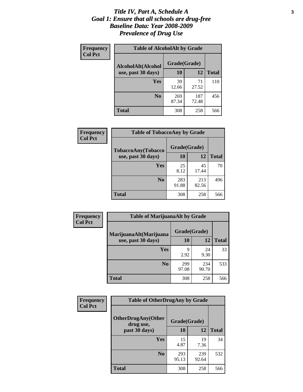### *Title IV, Part A, Schedule A* **3** *Goal 1: Ensure that all schools are drug-free Baseline Data: Year 2008-2009 Prevalence of Drug Use*

| Frequency<br><b>Col Pct</b> | <b>Table of AlcoholAlt by Grade</b> |              |              |              |  |  |
|-----------------------------|-------------------------------------|--------------|--------------|--------------|--|--|
|                             | AlcoholAlt(Alcohol                  | Grade(Grade) |              |              |  |  |
|                             | use, past 30 days)                  | <b>10</b>    | 12           | <b>Total</b> |  |  |
|                             | Yes                                 | 39<br>12.66  | 71<br>27.52  | 110          |  |  |
|                             | N <sub>0</sub>                      | 269<br>87.34 | 187<br>72.48 | 456          |  |  |
|                             | Total                               | 308          | 258          | 566          |  |  |

| <b>Frequency</b><br><b>Col Pct</b> | <b>Table of TobaccoAny by Grade</b> |              |              |              |  |
|------------------------------------|-------------------------------------|--------------|--------------|--------------|--|
|                                    | TobaccoAny(Tobacco                  | Grade(Grade) |              |              |  |
|                                    | use, past 30 days)                  | <b>10</b>    | 12           | <b>Total</b> |  |
|                                    | Yes                                 | 25<br>8.12   | 45<br>17.44  | 70           |  |
|                                    | N <sub>0</sub>                      | 283<br>91.88 | 213<br>82.56 | 496          |  |
|                                    | Total                               | 308          | 258          | 566          |  |

| Frequency<br><b>Col Pct</b> | <b>Table of MarijuanaAlt by Grade</b> |              |              |              |  |  |
|-----------------------------|---------------------------------------|--------------|--------------|--------------|--|--|
|                             | MarijuanaAlt(Marijuana                | Grade(Grade) |              |              |  |  |
|                             | use, past 30 days)                    | <b>10</b>    | <b>12</b>    | <b>Total</b> |  |  |
|                             | <b>Yes</b>                            | 9<br>2.92    | 24<br>9.30   | 33           |  |  |
|                             | N <sub>0</sub>                        | 299<br>97.08 | 234<br>90.70 | 533          |  |  |
|                             | <b>Total</b>                          | 308          | 258          | 566          |  |  |

| <b>Frequency</b> | <b>Table of OtherDrugAny by Grade</b>  |              |              |              |  |
|------------------|----------------------------------------|--------------|--------------|--------------|--|
| <b>Col Pct</b>   | <b>OtherDrugAny(Other</b><br>drug use, | Grade(Grade) |              |              |  |
|                  | past 30 days)                          | <b>10</b>    | <b>12</b>    | <b>Total</b> |  |
|                  | Yes                                    | 15<br>4.87   | 19<br>7.36   | 34           |  |
|                  | N <sub>0</sub>                         | 293<br>95.13 | 239<br>92.64 | 532          |  |
|                  | <b>Total</b>                           | 308          | 258          | 566          |  |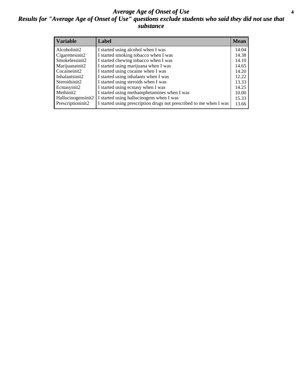### *Average Age of Onset of Use* **4** *Results for "Average Age of Onset of Use" questions exclude students who said they did not use that substance*

| <b>Variable</b>    | Label                                                              | <b>Mean</b> |
|--------------------|--------------------------------------------------------------------|-------------|
| Alcoholinit2       | I started using alcohol when I was                                 | 14.04       |
| Cigarettesinit2    | I started smoking tobacco when I was                               | 14.38       |
| Smokelessinit2     | I started chewing tobacco when I was                               | 14.10       |
| Marijuanainit2     | I started using marijuana when I was                               | 14.65       |
| Cocaineinit2       | I started using cocaine when I was                                 | 14.20       |
| Inhalantsinit2     | I started using inhalants when I was                               | 12.22       |
| Steroidsinit2      | I started using steroids when I was                                | 13.33       |
| Ecstasyinit2       | I started using ecstasy when I was                                 | 14.25       |
| Methinit2          | I started using methamphetamines when I was                        | 10.00       |
| Hallucinogensinit2 | I started using hallucinogens when I was                           | 15.33       |
| Prescriptioninit2  | I started using prescription drugs not prescribed to me when I was | 13.66       |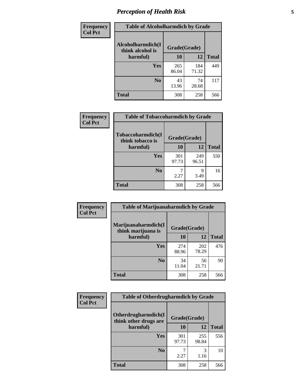# *Perception of Health Risk* **5**

| Frequency      | <b>Table of Alcoholharmdich by Grade</b> |              |              |              |  |
|----------------|------------------------------------------|--------------|--------------|--------------|--|
| <b>Col Pct</b> | Alcoholharmdich(I<br>think alcohol is    | Grade(Grade) |              |              |  |
|                | harmful)                                 | 10           | 12           | <b>Total</b> |  |
|                | Yes                                      | 265<br>86.04 | 184<br>71.32 | 449          |  |
|                | N <sub>0</sub>                           | 43<br>13.96  | 74<br>28.68  | 117          |  |
|                | <b>Total</b>                             | 308          | 258          | 566          |  |

| <b>Frequency</b> | <b>Table of Tobaccoharmdich by Grade</b> |              |              |              |
|------------------|------------------------------------------|--------------|--------------|--------------|
| <b>Col Pct</b>   | Tobaccoharmdich(I<br>think tobacco is    | Grade(Grade) |              |              |
|                  | harmful)                                 | 10           | 12           | <b>Total</b> |
|                  | Yes                                      | 301<br>97.73 | 249<br>96.51 | 550          |
|                  | N <sub>0</sub>                           | 2.27         | 9<br>3.49    | 16           |
|                  | Total                                    | 308          | 258          | 566          |

| <b>Frequency</b><br><b>Col Pct</b> | <b>Table of Marijuanaharmdich by Grade</b> |              |              |              |  |
|------------------------------------|--------------------------------------------|--------------|--------------|--------------|--|
|                                    | Marijuanaharmdich(I<br>think marijuana is  | Grade(Grade) |              |              |  |
|                                    | harmful)                                   | 10           | 12           | <b>Total</b> |  |
|                                    | <b>Yes</b>                                 | 274<br>88.96 | 202<br>78.29 | 476          |  |
|                                    | N <sub>0</sub>                             | 34<br>11.04  | 56<br>21.71  | 90           |  |
|                                    | <b>Total</b>                               | 308          | 258          | 566          |  |

| Frequency      | <b>Table of Otherdrugharmdich by Grade</b>                   |              |              |              |  |  |  |  |
|----------------|--------------------------------------------------------------|--------------|--------------|--------------|--|--|--|--|
| <b>Col Pct</b> | Otherdrugharmdich(I<br>Grade(Grade)<br>think other drugs are |              |              |              |  |  |  |  |
|                | harmful)                                                     | 10           | <b>12</b>    | <b>Total</b> |  |  |  |  |
|                | Yes                                                          | 301<br>97.73 | 255<br>98.84 | 556          |  |  |  |  |
|                | N <sub>0</sub>                                               | 2.27         | 3<br>1.16    | 10           |  |  |  |  |
|                | <b>Total</b>                                                 | 308          | 258          | 566          |  |  |  |  |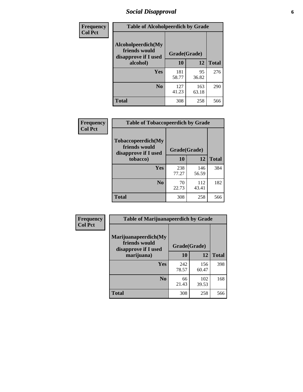# *Social Disapproval* **6**

| Frequency      | <b>Table of Alcoholpeerdich by Grade</b>                    |              |              |              |
|----------------|-------------------------------------------------------------|--------------|--------------|--------------|
| <b>Col Pct</b> | Alcoholpeerdich(My<br>friends would<br>disapprove if I used | Grade(Grade) |              |              |
|                | alcohol)                                                    |              | 12           | <b>Total</b> |
|                | <b>Yes</b>                                                  | 181<br>58.77 | 95<br>36.82  | 276          |
|                | N <sub>0</sub>                                              | 127<br>41.23 | 163<br>63.18 | 290          |
|                | Total                                                       | 308          | 258          | 566          |

| <b>Frequency</b> |
|------------------|
| <b>Col Pct</b>   |

| <b>Table of Tobaccopeerdich by Grade</b>                            |              |              |              |  |  |  |
|---------------------------------------------------------------------|--------------|--------------|--------------|--|--|--|
| <b>Tobaccopeerdich</b> (My<br>friends would<br>disapprove if I used | Grade(Grade) |              |              |  |  |  |
| tobacco)                                                            | 10           | 12           | <b>Total</b> |  |  |  |
| Yes                                                                 | 238<br>77.27 | 146<br>56.59 | 384          |  |  |  |
| N <sub>0</sub>                                                      | 70<br>22.73  | 112<br>43.41 | 182          |  |  |  |
| <b>Total</b>                                                        | 308          | 258          | 566          |  |  |  |

| Frequency      | <b>Table of Marijuanapeerdich by Grade</b>                    |              |              |              |  |  |  |  |
|----------------|---------------------------------------------------------------|--------------|--------------|--------------|--|--|--|--|
| <b>Col Pct</b> | Marijuanapeerdich(My<br>friends would<br>disapprove if I used | Grade(Grade) |              |              |  |  |  |  |
|                | marijuana)                                                    | 10           | 12           | <b>Total</b> |  |  |  |  |
|                | <b>Yes</b>                                                    | 242<br>78.57 | 156<br>60.47 | 398          |  |  |  |  |
|                | N <sub>0</sub>                                                | 66<br>21.43  | 102<br>39.53 | 168          |  |  |  |  |
|                | <b>Total</b>                                                  | 308          | 258          | 566          |  |  |  |  |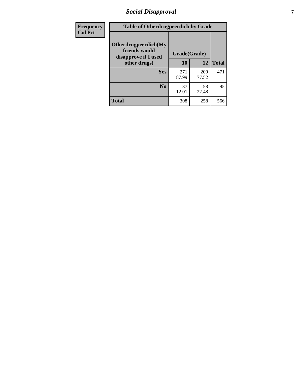# *Social Disapproval* **7**

| Frequency      | <b>Table of Otherdrugpeerdich by Grade</b>                    |              |              |              |  |  |  |  |
|----------------|---------------------------------------------------------------|--------------|--------------|--------------|--|--|--|--|
| <b>Col Pct</b> | Otherdrugpeerdich(My<br>friends would<br>disapprove if I used | Grade(Grade) |              |              |  |  |  |  |
|                | other drugs)                                                  | 10           | 12           | <b>Total</b> |  |  |  |  |
|                | Yes                                                           | 271<br>87.99 | 200<br>77.52 | 471          |  |  |  |  |
|                | N <sub>0</sub>                                                | 37<br>12.01  | 58<br>22.48  | 95           |  |  |  |  |
|                | <b>Total</b>                                                  | 308          | 258          | 566          |  |  |  |  |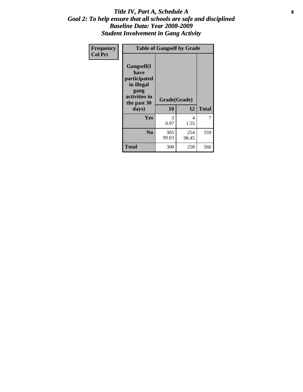### Title IV, Part A, Schedule A **8** *Goal 2: To help ensure that all schools are safe and disciplined Baseline Data: Year 2008-2009 Student Involvement in Gang Activity*

| Frequency      | <b>Table of Gangself by Grade</b>                                                                         |                    |              |              |
|----------------|-----------------------------------------------------------------------------------------------------------|--------------------|--------------|--------------|
| <b>Col Pct</b> | <b>Gangself</b> (I<br>have<br>participated<br>in illegal<br>gang<br>activities in<br>the past 30<br>days) | Grade(Grade)<br>10 | 12           | <b>Total</b> |
|                | Yes                                                                                                       | 3<br>0.97          | 4<br>1.55    | 7            |
|                | N <sub>0</sub>                                                                                            | 305<br>99.03       | 254<br>98.45 | 559          |
|                | <b>Total</b>                                                                                              | 308                | 258          | 566          |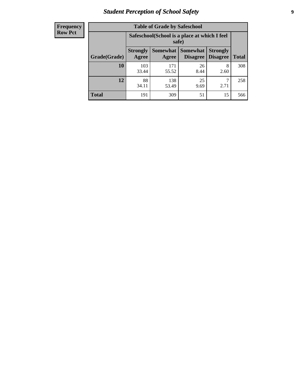# *Student Perception of School Safety* **9**

| <b>Frequency</b><br>Row Pct |
|-----------------------------|
|                             |

| <b>Table of Grade by Safeschool</b> |                          |                                                                                                                      |            |           |     |  |  |  |
|-------------------------------------|--------------------------|----------------------------------------------------------------------------------------------------------------------|------------|-----------|-----|--|--|--|
|                                     |                          | Safeschool (School is a place at which I feel<br>safe)                                                               |            |           |     |  |  |  |
| Grade(Grade)                        | <b>Strongly</b><br>Agree | <b>Somewhat</b><br><b>Somewhat</b><br><b>Strongly</b><br><b>Disagree</b><br><b>Total</b><br>Agree<br><b>Disagree</b> |            |           |     |  |  |  |
| <b>10</b>                           | 103<br>33.44             | 171<br>55.52                                                                                                         | 26<br>8.44 | 8<br>2.60 | 308 |  |  |  |
| 12                                  | 88<br>34.11              | 138<br>53.49                                                                                                         | 25<br>9.69 | 2.71      | 258 |  |  |  |
| <b>Total</b>                        | 191                      | 309                                                                                                                  | 51         | 15        | 566 |  |  |  |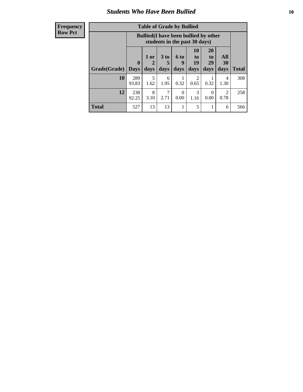### *Students Who Have Been Bullied* **10**

| <b>Frequency</b> |
|------------------|
| Row Pct          |

| <b>Table of Grade by Bullied</b> |                            |                                                                               |                   |                          |                        |                        |                        |              |
|----------------------------------|----------------------------|-------------------------------------------------------------------------------|-------------------|--------------------------|------------------------|------------------------|------------------------|--------------|
|                                  |                            | <b>Bullied</b> (I have been bullied by other<br>students in the past 30 days) |                   |                          |                        |                        |                        |              |
| Grade(Grade)                     | $\mathbf 0$<br><b>Days</b> | 1 or<br>2<br>days                                                             | 3 to<br>5<br>days | <b>6 to</b><br>9<br>days | 10<br>to<br>19<br>days | 20<br>to<br>29<br>days | All<br>30<br>days      | <b>Total</b> |
| 10                               | 289<br>93.83               | 5<br>1.62                                                                     | 6<br>1.95         | 0.32                     | $\overline{2}$<br>0.65 | 0.32                   | 4<br>1.30              | 308          |
| 12                               | 238<br>92.25               | 8<br>3.10                                                                     | 2.71              | $\Omega$<br>0.00         | 3<br>1.16              | $\Omega$<br>0.00       | $\mathfrak{D}$<br>0.78 | 258          |
| Total                            | 527                        | 13                                                                            | 13                | 1                        | 5                      | 1                      | 6                      | 566          |

 $\blacksquare$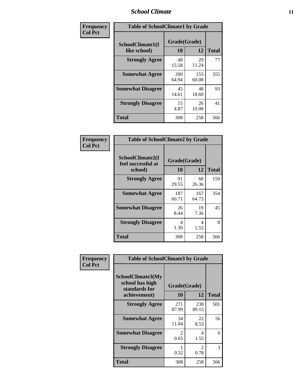### *School Climate* **11**

| Frequency      | <b>Table of SchoolClimate1 by Grade</b> |                     |              |              |  |  |  |
|----------------|-----------------------------------------|---------------------|--------------|--------------|--|--|--|
| <b>Col Pct</b> | SchoolClimate1(I<br>like school)        | Grade(Grade)<br>10  | 12           | <b>Total</b> |  |  |  |
|                | <b>Strongly Agree</b>                   | 48<br>15.58         | 29<br>11.24  | 77           |  |  |  |
|                | <b>Somewhat Agree</b>                   | <b>200</b><br>64.94 | 155<br>60.08 | 355          |  |  |  |
|                | <b>Somewhat Disagree</b>                | 45<br>14.61         | 48<br>18.60  | 93           |  |  |  |
|                | <b>Strongly Disagree</b>                | 15<br>4.87          | 26<br>10.08  | 41           |  |  |  |
|                | Total                                   | 308                 | 258          | 566          |  |  |  |

| Frequency<br><b>Col Pct</b> | <b>Table of SchoolClimate2 by Grade</b> |              |              |              |
|-----------------------------|-----------------------------------------|--------------|--------------|--------------|
|                             | SchoolClimate2(I<br>feel successful at  | Grade(Grade) |              |              |
|                             | school)                                 | 10           | 12           | <b>Total</b> |
|                             | <b>Strongly Agree</b>                   | 91<br>29.55  | 68<br>26.36  | 159          |
|                             | <b>Somewhat Agree</b>                   | 187<br>60.71 | 167<br>64.73 | 354          |
|                             | <b>Somewhat Disagree</b>                | 26<br>8.44   | 19<br>7.36   | 45           |
|                             | <b>Strongly Disagree</b>                | 4<br>1.30    | 4<br>1.55    | 8            |
|                             | <b>Total</b>                            | 308          | 258          | 566          |

| Frequency      | <b>Table of SchoolClimate3 by Grade</b>                                      |                           |                        |              |
|----------------|------------------------------------------------------------------------------|---------------------------|------------------------|--------------|
| <b>Col Pct</b> | <b>SchoolClimate3(My</b><br>school has high<br>standards for<br>achievement) | Grade(Grade)<br><b>10</b> | 12                     | <b>Total</b> |
|                | <b>Strongly Agree</b>                                                        | 271<br>87.99              | 230<br>89.15           | 501          |
|                | <b>Somewhat Agree</b>                                                        | 34<br>11.04               | 22<br>8.53             | 56           |
|                | <b>Somewhat Disagree</b>                                                     | 2<br>0.65                 | 4<br>1.55              | 6            |
|                | <b>Strongly Disagree</b>                                                     | 0.32                      | $\overline{c}$<br>0.78 | 3            |
|                | Total                                                                        | 308                       | 258                    | 566          |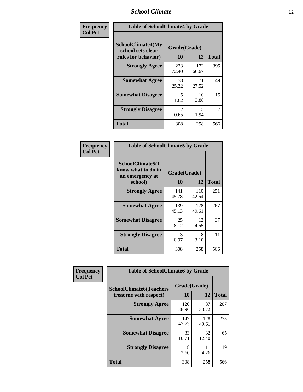### *School Climate* **12**

| Frequency      | <b>Table of SchoolClimate4 by Grade</b>                       |                        |              |              |
|----------------|---------------------------------------------------------------|------------------------|--------------|--------------|
| <b>Col Pct</b> | SchoolClimate4(My<br>school sets clear<br>rules for behavior) | Grade(Grade)<br>10     | 12           | <b>Total</b> |
|                | <b>Strongly Agree</b>                                         | 223<br>72.40           | 172<br>66.67 | 395          |
|                | <b>Somewhat Agree</b>                                         | 78<br>25.32            | 71<br>27.52  | 149          |
|                | <b>Somewhat Disagree</b>                                      | 5<br>1.62              | 10<br>3.88   | 15           |
|                | <b>Strongly Disagree</b>                                      | $\mathfrak{D}$<br>0.65 | 5<br>1.94    | 7            |
|                | Total                                                         | 308                    | 258          | 566          |

| <b>Table of SchoolClimate5 by Grade</b>                   |              |              |              |  |  |
|-----------------------------------------------------------|--------------|--------------|--------------|--|--|
| SchoolClimate5(I<br>know what to do in<br>an emergency at | Grade(Grade) |              |              |  |  |
| school)                                                   | 10           | 12           | <b>Total</b> |  |  |
| <b>Strongly Agree</b>                                     | 141<br>45.78 | 110<br>42.64 | 251          |  |  |
| <b>Somewhat Agree</b>                                     | 139<br>45.13 | 128<br>49.61 | 267          |  |  |
| <b>Somewhat Disagree</b>                                  | 25<br>8.12   | 12<br>4.65   | 37           |  |  |
| <b>Strongly Disagree</b>                                  | 3<br>0.97    | 8<br>3.10    | 11           |  |  |
| <b>Total</b>                                              | 308          | 258          | 566          |  |  |

| Frequency      | <b>Table of SchoolClimate6 by Grade</b>                  |                           |              |              |  |
|----------------|----------------------------------------------------------|---------------------------|--------------|--------------|--|
| <b>Col Pct</b> | <b>SchoolClimate6(Teachers</b><br>treat me with respect) | Grade(Grade)<br><b>10</b> | 12           | <b>Total</b> |  |
|                | <b>Strongly Agree</b>                                    | 120<br>38.96              | 87<br>33.72  | 207          |  |
|                | <b>Somewhat Agree</b>                                    | 147<br>47.73              | 128<br>49.61 | 275          |  |
|                | <b>Somewhat Disagree</b>                                 | 33<br>10.71               | 32<br>12.40  | 65           |  |
|                | <b>Strongly Disagree</b>                                 | 8<br>2.60                 | 11<br>4.26   | 19           |  |
|                | <b>Total</b>                                             | 308                       | 258          | 566          |  |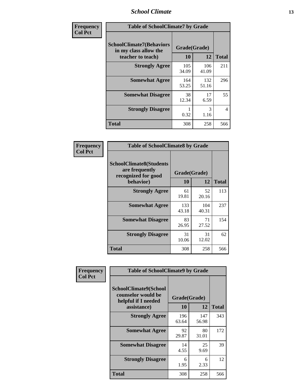### *School Climate* **13**

| Frequency      | <b>Table of SchoolClimate7 by Grade</b>                                       |                    |              |                |
|----------------|-------------------------------------------------------------------------------|--------------------|--------------|----------------|
| <b>Col Pct</b> | <b>SchoolClimate7(Behaviors</b><br>in my class allow the<br>teacher to teach) | Grade(Grade)<br>10 | 12           | <b>Total</b>   |
|                | <b>Strongly Agree</b>                                                         | 105<br>34.09       | 106<br>41.09 | 211            |
|                | <b>Somewhat Agree</b>                                                         | 164<br>53.25       | 132<br>51.16 | 296            |
|                | <b>Somewhat Disagree</b>                                                      | 38<br>12.34        | 17<br>6.59   | 55             |
|                | <b>Strongly Disagree</b>                                                      | 0.32               | 3<br>1.16    | $\overline{4}$ |
|                | <b>Total</b>                                                                  | 308                | 258          | 566            |

| Frequency      | <b>Table of SchoolClimate8 by Grade</b>                                              |                    |              |              |
|----------------|--------------------------------------------------------------------------------------|--------------------|--------------|--------------|
| <b>Col Pct</b> | <b>SchoolClimate8(Students</b><br>are frequently<br>recognized for good<br>behavior) | Grade(Grade)<br>10 | 12           | <b>Total</b> |
|                | <b>Strongly Agree</b>                                                                | 61<br>19.81        | 52<br>20.16  | 113          |
|                | <b>Somewhat Agree</b>                                                                | 133<br>43.18       | 104<br>40.31 | 237          |
|                | <b>Somewhat Disagree</b>                                                             | 83<br>26.95        | 71<br>27.52  | 154          |
|                | <b>Strongly Disagree</b>                                                             | 31<br>10.06        | 31<br>12.02  | 62           |
|                | <b>Total</b>                                                                         | 308                | 258          | 566          |

| Frequency      | <b>Table of SchoolClimate9 by Grade</b>                                           |                    |              |              |
|----------------|-----------------------------------------------------------------------------------|--------------------|--------------|--------------|
| <b>Col Pct</b> | SchoolClimate9(School<br>counselor would be<br>helpful if I needed<br>assistance) | Grade(Grade)<br>10 | 12           | <b>Total</b> |
|                | <b>Strongly Agree</b>                                                             | 196<br>63.64       | 147<br>56.98 | 343          |
|                | <b>Somewhat Agree</b>                                                             | 92<br>29.87        | 80<br>31.01  | 172          |
|                | <b>Somewhat Disagree</b>                                                          | 14<br>4.55         | 25<br>9.69   | 39           |
|                | <b>Strongly Disagree</b>                                                          | 6<br>1.95          | 6<br>2.33    | 12           |
|                | Total                                                                             | 308                | 258          | 566          |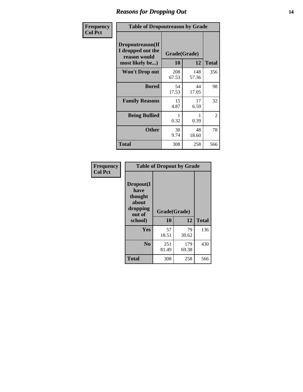### *Reasons for Dropping Out* **14**

| Frequency      | <b>Table of Dropoutreason by Grade</b>                                   |                    |              |              |
|----------------|--------------------------------------------------------------------------|--------------------|--------------|--------------|
| <b>Col Pct</b> | Dropoutreason(If<br>I dropped out the<br>reason would<br>most likely be) | Grade(Grade)<br>10 | 12           | <b>Total</b> |
|                | Won't Drop out                                                           | 208<br>67.53       | 148<br>57.36 | 356          |
|                | <b>Bored</b>                                                             | 54<br>17.53        | 44<br>17.05  | 98           |
|                | <b>Family Reasons</b>                                                    | 15<br>4.87         | 17<br>6.59   | 32           |
|                | <b>Being Bullied</b>                                                     | 0.32               | 0.39         | 2            |
|                | <b>Other</b>                                                             | 30<br>9.74         | 48<br>18.60  | 78           |
|                | Total                                                                    | 308                | 258          | 566          |

| Frequency      | <b>Table of Dropout by Grade</b>                                       |                    |              |              |  |
|----------------|------------------------------------------------------------------------|--------------------|--------------|--------------|--|
| <b>Col Pct</b> | Dropout(I<br>have<br>thought<br>about<br>dropping<br>out of<br>school) | Grade(Grade)<br>10 | 12           | <b>Total</b> |  |
|                | Yes                                                                    | 57                 | 79           | 136          |  |
|                |                                                                        | 18.51              | 30.62        |              |  |
|                | N <sub>o</sub>                                                         | 251<br>81.49       | 179<br>69.38 | 430          |  |
|                | <b>Total</b>                                                           | 308                | 258          | 566          |  |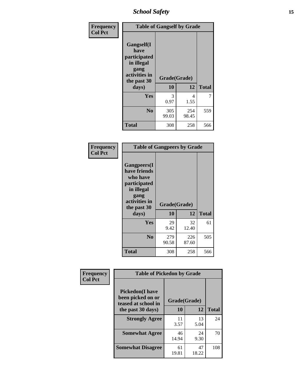*School Safety* **15**

| Frequency<br><b>Col Pct</b> | <b>Table of Gangself by Grade</b>                                                                         |                    |              |              |
|-----------------------------|-----------------------------------------------------------------------------------------------------------|--------------------|--------------|--------------|
|                             | <b>Gangself</b> (I<br>have<br>participated<br>in illegal<br>gang<br>activities in<br>the past 30<br>days) | Grade(Grade)<br>10 | 12           | <b>Total</b> |
|                             | Yes                                                                                                       | 3<br>0.97          | 4<br>1.55    | 7            |
|                             | N <sub>0</sub>                                                                                            | 305<br>99.03       | 254<br>98.45 | 559          |
|                             | <b>Total</b>                                                                                              | 308                | 258          | 566          |

| Frequency<br><b>Col Pct</b> | <b>Table of Gangpeers by Grade</b>                                                                                             |                    |              |              |
|-----------------------------|--------------------------------------------------------------------------------------------------------------------------------|--------------------|--------------|--------------|
|                             | <b>Gangpeers</b> (I<br>have friends<br>who have<br>participated<br>in illegal<br>gang<br>activities in<br>the past 30<br>days) | Grade(Grade)<br>10 | 12           | <b>Total</b> |
|                             | Yes                                                                                                                            | 29<br>9.42         | 32<br>12.40  | 61           |
|                             | N <sub>0</sub>                                                                                                                 | 279<br>90.58       | 226<br>87.60 | 505          |
|                             | <b>Total</b>                                                                                                                   | 308                | 258          | 566          |

| Frequency      | <b>Table of Pickedon by Grade</b>                                                       |                    |              |     |  |  |  |  |  |
|----------------|-----------------------------------------------------------------------------------------|--------------------|--------------|-----|--|--|--|--|--|
| <b>Col Pct</b> | <b>Pickedon(I have</b><br>been picked on or<br>teased at school in<br>the past 30 days) | Grade(Grade)<br>10 | <b>Total</b> |     |  |  |  |  |  |
|                | <b>Strongly Agree</b>                                                                   | 11<br>3.57         | 13<br>5.04   | 24  |  |  |  |  |  |
|                | <b>Somewhat Agree</b>                                                                   | 46<br>14.94        | 24<br>9.30   | 70  |  |  |  |  |  |
|                | <b>Somewhat Disagree</b>                                                                | 61<br>19.81        | 47<br>18.22  | 108 |  |  |  |  |  |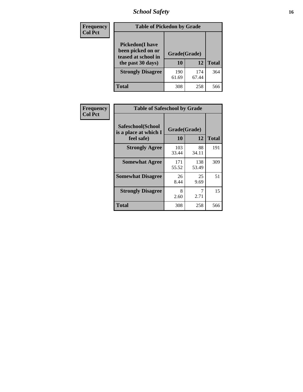# *School Safety* **16**

| Frequency      | <b>Table of Pickedon by Grade</b>                                                        |                    |              |              |
|----------------|------------------------------------------------------------------------------------------|--------------------|--------------|--------------|
| <b>Col Pct</b> | <b>Pickedon</b> (I have<br>been picked on or<br>teased at school in<br>the past 30 days) | Grade(Grade)<br>10 | 12           | <b>Total</b> |
|                | <b>Strongly Disagree</b>                                                                 | 190<br>61.69       | 174<br>67.44 | 364          |
|                | Total                                                                                    | 308                | 258          | 566          |

| Frequency      | <b>Table of Safeschool by Grade</b>                      |                    |              |     |  |  |  |  |  |
|----------------|----------------------------------------------------------|--------------------|--------------|-----|--|--|--|--|--|
| <b>Col Pct</b> | Safeschool(School<br>is a place at which I<br>feel safe) | Grade(Grade)<br>10 | <b>Total</b> |     |  |  |  |  |  |
|                | <b>Strongly Agree</b>                                    | 103<br>33.44       | 88<br>34.11  | 191 |  |  |  |  |  |
|                | <b>Somewhat Agree</b>                                    | 171<br>55.52       | 138<br>53.49 | 309 |  |  |  |  |  |
|                | <b>Somewhat Disagree</b>                                 | 26<br>8.44         | 25<br>9.69   | 51  |  |  |  |  |  |
|                | <b>Strongly Disagree</b>                                 | 8<br>2.60          | 7<br>2.71    | 15  |  |  |  |  |  |
|                | Total                                                    | 308                | 258          | 566 |  |  |  |  |  |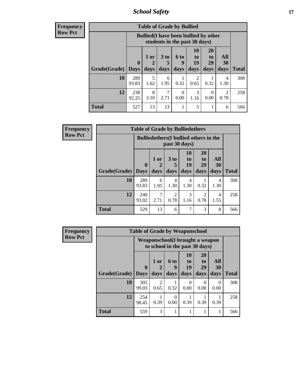*School Safety* **17**

| <b>Frequend</b><br>Row Pct |
|----------------------------|

| $\overline{\textbf{c}\textbf{y}}$ | <b>Table of Grade by Bullied</b> |                             |                                                                               |              |                   |                        |                               |                          |              |  |  |
|-----------------------------------|----------------------------------|-----------------------------|-------------------------------------------------------------------------------|--------------|-------------------|------------------------|-------------------------------|--------------------------|--------------|--|--|
| Þ,                                |                                  |                             | <b>Bullied</b> (I have been bullied by other<br>students in the past 30 days) |              |                   |                        |                               |                          |              |  |  |
|                                   | Grade(Grade)                     | $\mathbf{0}$<br><b>Days</b> | 1 or<br>days                                                                  | 3 to<br>days | 6 to<br>9<br>days | 10<br>to<br>19<br>days | <b>20</b><br>to<br>29<br>days | All<br><b>30</b><br>days | <b>Total</b> |  |  |
|                                   | 10                               | 289<br>93.83                | 5<br>1.62                                                                     | 6<br>1.95    | 0.32              | 2<br>0.65              | 0.32                          | 4<br>1.30                | 308          |  |  |
|                                   | 12                               | 238<br>92.25                | 8<br>3.10                                                                     | 7<br>2.71    | $\Omega$<br>0.00  | $\mathcal{R}$<br>1.16  | 0<br>0.00                     | 2<br>0.78                | 258          |  |  |
|                                   | <b>Total</b>                     | 527                         | 13                                                                            | 13           | 1                 | 5                      |                               | 6                        | 566          |  |  |

| <b>Frequency</b> | <b>Table of Grade by Bulliedothers</b> |              |                                               |                         |                        |                                           |                        |              |  |  |
|------------------|----------------------------------------|--------------|-----------------------------------------------|-------------------------|------------------------|-------------------------------------------|------------------------|--------------|--|--|
| <b>Row Pct</b>   |                                        |              | <b>Bulliedothers</b> (I bullied others in the |                         | past 30 days)          |                                           |                        |              |  |  |
|                  | <b>Grade</b> (Grade) Days              | $\mathbf{0}$ | 1 or<br>days                                  | 3 <sub>to</sub><br>days | 10<br>to<br>19<br>days | <b>20</b><br>t <sub>o</sub><br>29<br>days | All<br>30<br>days      | <b>Total</b> |  |  |
|                  | 10                                     | 289<br>93.83 | 6<br>1.95                                     | 4<br>1.30               | 4<br>1.30              | 0.32                                      | $\overline{4}$<br>1.30 | 308          |  |  |
|                  | 12                                     | 240<br>93.02 | 2.71                                          | $\mathfrak{D}$<br>0.78  | 3<br>1.16              | 2<br>0.78                                 | 4<br>1.55              | 258          |  |  |
|                  | <b>Total</b>                           | 529          | 13                                            | 6                       | 7                      | 3                                         | 8                      | 566          |  |  |

| <b>Frequency</b> | <b>Table of Grade by Weaponschool</b> |                             |                                                                    |                   |                               |                                           |                   |              |  |  |  |
|------------------|---------------------------------------|-----------------------------|--------------------------------------------------------------------|-------------------|-------------------------------|-------------------------------------------|-------------------|--------------|--|--|--|
| <b>Row Pct</b>   |                                       |                             | Weaponschool (I brought a weapon<br>to school in the past 30 days) |                   |                               |                                           |                   |              |  |  |  |
|                  | Grade(Grade)                          | $\mathbf{0}$<br><b>Days</b> | 1 or<br>2<br>days                                                  | 6 to<br>9<br>days | <b>10</b><br>to<br>19<br>days | <b>20</b><br>t <sub>0</sub><br>29<br>days | All<br>30<br>days | <b>Total</b> |  |  |  |
|                  | 10                                    | 305<br>99.03                | $\mathfrak{D}$<br>0.65                                             | 0.32              | $\Omega$<br>0.00              | 0<br>0.00                                 | 0<br>0.00         | 308          |  |  |  |
|                  | 12                                    | 254<br>98.45                | 0.39                                                               | 0<br>0.00         | 0.39                          | 0.39                                      | 0.39              | 258          |  |  |  |
|                  | <b>Total</b>                          | 559                         | 3                                                                  |                   |                               | 1                                         | 1                 | 566          |  |  |  |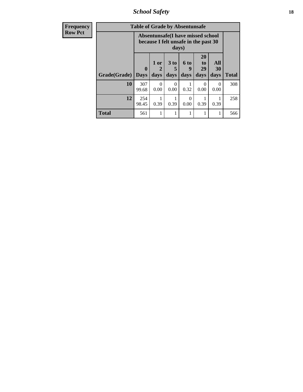*School Safety* **18**

| <b>Frequency</b> | <b>Table of Grade by Absentunsafe</b> |                            |                             |                         |                   |                                                                           |                   |              |  |
|------------------|---------------------------------------|----------------------------|-----------------------------|-------------------------|-------------------|---------------------------------------------------------------------------|-------------------|--------------|--|
| <b>Row Pct</b>   |                                       |                            |                             | days)                   |                   | Absentunsafe(I have missed school<br>because I felt unsafe in the past 30 |                   |              |  |
|                  | Grade(Grade)                          | $\mathbf 0$<br><b>Days</b> | 1 or<br>$\mathbf 2$<br>days | 3 <sub>to</sub><br>days | 6 to<br>9<br>days | <b>20</b><br>t <sub>0</sub><br>29<br>days                                 | All<br>30<br>days | <b>Total</b> |  |
|                  | 10                                    | 307<br>99.68               | $\Omega$<br>0.00            | ∩<br>0.00               | 0.32              | 0<br>0.00                                                                 | 0<br>0.00         | 308          |  |
|                  | 12                                    | 254<br>98.45               | 0.39                        | 0.39                    | 0<br>0.00         | 0.39                                                                      | 0.39              | 258          |  |
|                  | <b>Total</b>                          | 561                        |                             |                         |                   |                                                                           | 1                 | 566          |  |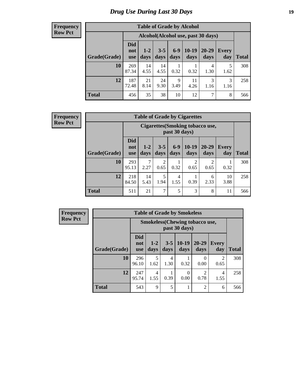# *Drug Use During Last 30 Days* **19**

#### **Frequency Row Pct**

| <b>Table of Grade by Alcohol</b> |                                 |                                    |                 |               |                 |               |              |       |  |  |  |
|----------------------------------|---------------------------------|------------------------------------|-----------------|---------------|-----------------|---------------|--------------|-------|--|--|--|
|                                  |                                 | Alcohol(Alcohol use, past 30 days) |                 |               |                 |               |              |       |  |  |  |
| Grade(Grade)                     | <b>Did</b><br>not<br><b>use</b> | $1-2$<br>days                      | $3 - 5$<br>days | $6-9$<br>days | $10-19$<br>days | 20-29<br>days | Every<br>day | Total |  |  |  |
| 10                               | 269<br>87.34                    | 14<br>4.55                         | 14<br>4.55      | 0.32          | 0.32            | 4<br>1.30     | 5<br>1.62    | 308   |  |  |  |
| 12                               | 187<br>72.48                    | 21<br>8.14                         | 24<br>9.30      | 9<br>3.49     | 11<br>4.26      | 3<br>1.16     | 3<br>1.16    | 258   |  |  |  |
| <b>Total</b>                     | 456                             | 35                                 | 38              | 10            | 12              | 7             | 8            | 566   |  |  |  |

| <b>Frequency</b> |  |
|------------------|--|
| <b>Row Pct</b>   |  |

| <b>Table of Grade by Cigarettes</b> |                                                                                                                                                     |                                                   |                        |           |                        |                        |            |              |  |  |  |  |
|-------------------------------------|-----------------------------------------------------------------------------------------------------------------------------------------------------|---------------------------------------------------|------------------------|-----------|------------------------|------------------------|------------|--------------|--|--|--|--|
|                                     |                                                                                                                                                     | Cigarettes (Smoking tobacco use,<br>past 30 days) |                        |           |                        |                        |            |              |  |  |  |  |
| Grade(Grade)                        | <b>Did</b><br>$10-19$<br>$6 - 9$<br>20-29<br>$1 - 2$<br>$3 - 5$<br><b>Every</b><br>not<br>days<br>days<br>days<br>days<br>day<br>days<br><b>use</b> |                                                   |                        |           |                        |                        |            | <b>Total</b> |  |  |  |  |
| 10                                  | 293<br>95.13                                                                                                                                        | 7<br>2.27                                         | $\overline{2}$<br>0.65 | 0.32      | $\overline{c}$<br>0.65 | $\mathfrak{D}$<br>0.65 | 0.32       | 308          |  |  |  |  |
| 12                                  | 218<br>84.50                                                                                                                                        | 14<br>5.43                                        | 5<br>1.94              | 4<br>1.55 | 0.39                   | 6<br>2.33              | 10<br>3.88 | 258          |  |  |  |  |
| <b>Total</b>                        | 511                                                                                                                                                 | 21                                                | 7                      | 5         | 3                      | 8                      | 11         | 566          |  |  |  |  |

| <b>Table of Grade by Smokeless</b>                     |                                 |               |                 |                 |                        |                     |              |  |  |  |  |
|--------------------------------------------------------|---------------------------------|---------------|-----------------|-----------------|------------------------|---------------------|--------------|--|--|--|--|
| <b>Smokeless</b> (Chewing tobaccouse,<br>past 30 days) |                                 |               |                 |                 |                        |                     |              |  |  |  |  |
| Grade(Grade)                                           | <b>Did</b><br>not<br><b>use</b> | $1-2$<br>days | $3 - 5$<br>days | $10-19$<br>days | $20 - 29$<br>days      | <b>Every</b><br>day | <b>Total</b> |  |  |  |  |
| 10                                                     | 296<br>96.10                    | 5<br>1.62     | 4<br>1.30       | 0.32            | 0<br>0.00              | 2<br>0.65           | 308          |  |  |  |  |
| 12                                                     | 247<br>95.74                    | 4<br>1.55     | 0.39            | 0<br>0.00       | $\mathfrak{D}$<br>0.78 | 4<br>1.55           | 258          |  |  |  |  |
| <b>Total</b>                                           | 543                             | 9             | 5               |                 | $\overline{2}$         | 6                   | 566          |  |  |  |  |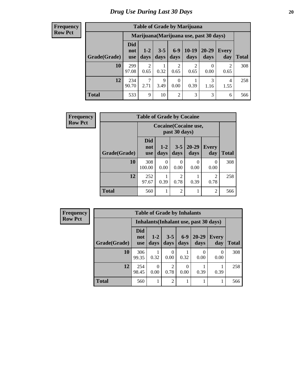| <b>Table of Grade by Marijuana</b> |                          |                                         |                     |                |                 |               |                        |       |  |  |
|------------------------------------|--------------------------|-----------------------------------------|---------------------|----------------|-----------------|---------------|------------------------|-------|--|--|
|                                    |                          | Marijuana (Marijuana use, past 30 days) |                     |                |                 |               |                        |       |  |  |
| Grade(Grade)                       | Did<br>not<br><b>use</b> | $1 - 2$<br>days                         | $3 - 5$<br>days     | $6-9$<br>days  | $10-19$<br>days | 20-29<br>days | Every<br>day           | Total |  |  |
| 10                                 | 299<br>97.08             | $\overline{2}$<br>0.65                  | 0.32                | 2<br>0.65      | 0.65            | 0.00          | $\mathfrak{D}$<br>0.65 | 308   |  |  |
| 12                                 | 234<br>90.70             | $\mathcal{L}$<br>2.71                   | $\mathbf Q$<br>3.49 | 0<br>0.00      | 0.39            | 3<br>1.16     | 4<br>1.55              | 258   |  |  |
| <b>Total</b>                       | 533                      | 9                                       | 10                  | $\overline{2}$ | 3               | 3             | 6                      | 566   |  |  |

| <b>Frequency</b> | <b>Table of Grade by Cocaine</b> |                                 |                 |                        |               |                |              |  |  |
|------------------|----------------------------------|---------------------------------|-----------------|------------------------|---------------|----------------|--------------|--|--|
| <b>Row Pct</b>   |                                  | Cocaine (Cocaine use,           |                 |                        |               |                |              |  |  |
|                  | Grade(Grade)                     | <b>Did</b><br>not<br><b>use</b> | $1 - 2$<br>days | $3 - 5$<br>days        | 20-29<br>days | Every<br>day   | <b>Total</b> |  |  |
|                  | 10                               | 308<br>100.00                   | 0<br>0.00       | $\Omega$<br>0.00       | 0<br>0.00     | 0<br>0.00      | 308          |  |  |
|                  | 12                               | 252<br>97.67                    | 0.39            | $\overline{c}$<br>0.78 | 0.39          | 2<br>0.78      | 258          |  |  |
|                  | <b>Total</b>                     | 560                             |                 | $\overline{c}$         |               | $\overline{2}$ | 566          |  |  |

| Frequency      | <b>Table of Grade by Inhalants</b> |                                        |               |                 |               |                   |                     |              |  |  |
|----------------|------------------------------------|----------------------------------------|---------------|-----------------|---------------|-------------------|---------------------|--------------|--|--|
| <b>Row Pct</b> |                                    | Inhalants (Inhalant use, past 30 days) |               |                 |               |                   |                     |              |  |  |
|                | Grade(Grade)                       | <b>Did</b><br>not<br><b>use</b>        | $1-2$<br>days | $3 - 5$<br>days | $6-9$<br>days | $20 - 29$<br>days | <b>Every</b><br>day | <b>Total</b> |  |  |
|                | 10                                 | 306<br>99.35                           | 0.32          | 0<br>0.00       | 0.32          | 0.00              | $\theta$<br>0.00    | 308          |  |  |
|                | 12                                 | 254<br>98.45                           | 0<br>0.00     | ∍<br>0.78       | 0<br>0.00     | 0.39              | 0.39                | 258          |  |  |
|                | <b>Total</b>                       | 560                                    |               | $\overline{2}$  |               |                   |                     | 566          |  |  |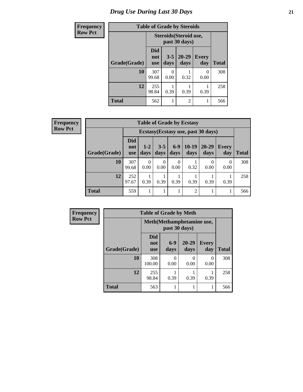# *Drug Use During Last 30 Days* **21**

| <b>Frequency</b> | <b>Table of Grade by Steroids</b> |                                 |                 |                |                     |              |  |  |  |
|------------------|-----------------------------------|---------------------------------|-----------------|----------------|---------------------|--------------|--|--|--|
| <b>Row Pct</b>   |                                   | Steroids (Steroid use,          |                 |                |                     |              |  |  |  |
|                  | Grade(Grade)                      | <b>Did</b><br>not<br><b>use</b> | $3 - 5$<br>days | 20-29<br>days  | <b>Every</b><br>day | <b>Total</b> |  |  |  |
|                  | 10                                | 307<br>99.68                    | 0.00            | 0.32           | 0<br>0.00           | 308          |  |  |  |
|                  | 12                                | 255<br>98.84                    | 0.39            | 0.39           | 0.39                | 258          |  |  |  |
|                  | <b>Total</b>                      | 562                             |                 | $\overline{2}$ | 1                   | 566          |  |  |  |

| <b>Table of Grade by Ecstasy</b> |                                 |                                     |                  |               |                 |                   |              |              |  |  |
|----------------------------------|---------------------------------|-------------------------------------|------------------|---------------|-----------------|-------------------|--------------|--------------|--|--|
|                                  |                                 | Ecstasy (Ecstasy use, past 30 days) |                  |               |                 |                   |              |              |  |  |
| Grade(Grade)                     | <b>Did</b><br>not<br><b>use</b> | $1 - 2$<br>days                     | $3 - 5$<br>days  | $6-9$<br>days | $10-19$<br>days | $20 - 29$<br>days | Every<br>day | <b>Total</b> |  |  |
| 10                               | 307<br>99.68                    | 0<br>0.00                           | $\Omega$<br>0.00 | 0<br>0.00     | 0.32            | 0.00              | 0<br>0.00    | 308          |  |  |
| 12                               | 252<br>97.67                    | 0.39                                | 0.39             | 0.39          | 0.39            | 0.39              | 0.39         | 258          |  |  |
| <b>Total</b>                     | 559                             |                                     |                  |               | $\overline{c}$  |                   |              | 566          |  |  |

| <b>Frequency</b> | <b>Table of Grade by Meth</b> |                                 |               |                   |                     |              |  |  |  |
|------------------|-------------------------------|---------------------------------|---------------|-------------------|---------------------|--------------|--|--|--|
| <b>Row Pct</b>   |                               | Meth (Methamphetamine use,      |               |                   |                     |              |  |  |  |
|                  | Grade(Grade)                  | <b>Did</b><br>not<br><b>use</b> | $6-9$<br>days | $20 - 29$<br>days | <b>Every</b><br>day | <b>Total</b> |  |  |  |
|                  | 10                            | 308<br>100.00                   | 0<br>0.00     | 0<br>0.00         | $\Omega$<br>0.00    | 308          |  |  |  |
|                  | 12                            | 255<br>98.84                    | 0.39          | 0.39              | 0.39                | 258          |  |  |  |
|                  | <b>Total</b>                  | 563                             |               |                   |                     | 566          |  |  |  |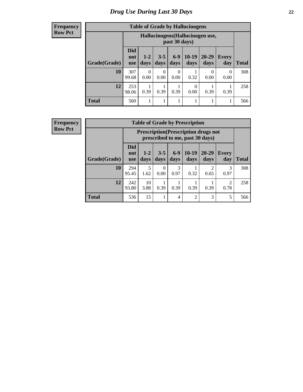#### **Frequency Row Pct**

| <b>Table of Grade by Hallucinogens</b> |                                                                                                                                              |                                                   |           |           |           |           |           |     |  |  |
|----------------------------------------|----------------------------------------------------------------------------------------------------------------------------------------------|---------------------------------------------------|-----------|-----------|-----------|-----------|-----------|-----|--|--|
|                                        |                                                                                                                                              | Hallucinogens (Hallucinogen use,<br>past 30 days) |           |           |           |           |           |     |  |  |
| Grade(Grade)                           | <b>Did</b><br>$10-19$<br>20-29<br>$6 - 9$<br>$3 - 5$<br>$1 - 2$<br>Every<br>not<br>days<br>days<br>days<br>days<br>day<br>days<br><b>use</b> |                                                   |           |           |           |           |           |     |  |  |
| 10                                     | 307<br>99.68                                                                                                                                 | $\Omega$<br>0.00                                  | 0<br>0.00 | 0<br>0.00 | 0.32      | 0<br>0.00 | 0<br>0.00 | 308 |  |  |
| 12                                     | 253<br>98.06                                                                                                                                 | 0.39                                              | 0.39      | 0.39      | 0<br>0.00 | 0.39      | 0.39      | 258 |  |  |
| <b>Total</b>                           | 560                                                                                                                                          |                                                   |           | 1         |           |           |           | 566 |  |  |

| <b>Table of Grade by Prescription</b> |                                                                                                                                                   |                                                                                |                  |           |                |                        |                        |     |  |  |
|---------------------------------------|---------------------------------------------------------------------------------------------------------------------------------------------------|--------------------------------------------------------------------------------|------------------|-----------|----------------|------------------------|------------------------|-----|--|--|
|                                       |                                                                                                                                                   | <b>Prescription</b> (Prescription drugs not<br>prescribed to me, past 30 days) |                  |           |                |                        |                        |     |  |  |
| Grade(Grade)                          | <b>Did</b><br>$10-19$<br>$6-9$<br>$3 - 5$<br>20-29<br>$1-2$<br>Every<br>not<br>days<br>days<br>days<br>day<br>Total<br>days<br>days<br><b>use</b> |                                                                                |                  |           |                |                        |                        |     |  |  |
| 10                                    | 294<br>95.45                                                                                                                                      | 5<br>1.62                                                                      | $\Omega$<br>0.00 | 3<br>0.97 | 0.32           | $\mathfrak{D}$<br>0.65 | 3<br>0.97              | 308 |  |  |
| 12                                    | 242<br>93.80                                                                                                                                      | 10<br>3.88                                                                     | 0.39             | 0.39      | 0.39           | 0.39                   | $\overline{2}$<br>0.78 | 258 |  |  |
| <b>Total</b>                          | 536                                                                                                                                               | 15                                                                             |                  | 4         | $\overline{2}$ | 3                      | 5                      | 566 |  |  |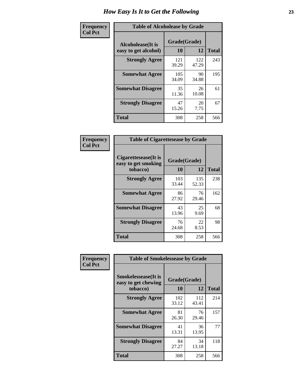| Frequency      | <b>Table of Alcoholease by Grade</b>      |                    |              |              |  |  |  |  |  |
|----------------|-------------------------------------------|--------------------|--------------|--------------|--|--|--|--|--|
| <b>Col Pct</b> | Alcoholease(It is<br>easy to get alcohol) | Grade(Grade)<br>10 | 12           | <b>Total</b> |  |  |  |  |  |
|                | <b>Strongly Agree</b>                     | 121<br>39.29       | 122<br>47.29 | 243          |  |  |  |  |  |
|                | <b>Somewhat Agree</b>                     | 105<br>34.09       | 90<br>34.88  | 195          |  |  |  |  |  |
|                | <b>Somewhat Disagree</b>                  | 35<br>11.36        | 26<br>10.08  | 61           |  |  |  |  |  |
|                | <b>Strongly Disagree</b>                  | 47<br>15.26        | 20<br>7.75   | 67           |  |  |  |  |  |
|                | <b>Total</b>                              | 308                | 258          | 566          |  |  |  |  |  |

| <b>Frequency</b> |  |
|------------------|--|
| <b>Col Pct</b>   |  |

| <b>Table of Cigarettesease by Grade</b>                 |                    |              |              |  |  |  |  |  |
|---------------------------------------------------------|--------------------|--------------|--------------|--|--|--|--|--|
| Cigarettesease(It is<br>easy to get smoking<br>tobacco) | Grade(Grade)<br>10 | 12           | <b>Total</b> |  |  |  |  |  |
| <b>Strongly Agree</b>                                   | 103<br>33.44       | 135<br>52.33 | 238          |  |  |  |  |  |
| <b>Somewhat Agree</b>                                   | 86<br>27.92        | 76<br>29.46  | 162          |  |  |  |  |  |
| <b>Somewhat Disagree</b>                                | 43<br>13.96        | 25<br>9.69   | 68           |  |  |  |  |  |
| <b>Strongly Disagree</b>                                | 76<br>24.68        | 22<br>8.53   | 98           |  |  |  |  |  |
| <b>Total</b>                                            | 308                | 258          | 566          |  |  |  |  |  |

| Frequency      | <b>Table of Smokelessease by Grade</b>             |              |              |              |
|----------------|----------------------------------------------------|--------------|--------------|--------------|
| <b>Col Pct</b> | <b>Smokelessease</b> (It is<br>easy to get chewing | Grade(Grade) |              |              |
|                | tobacco)                                           | 10           | 12           | <b>Total</b> |
|                | <b>Strongly Agree</b>                              | 102<br>33.12 | 112<br>43.41 | 214          |
|                | <b>Somewhat Agree</b>                              | 81<br>26.30  | 76<br>29.46  | 157          |
|                | <b>Somewhat Disagree</b>                           | 41<br>13.31  | 36<br>13.95  | 77           |
|                | <b>Strongly Disagree</b>                           | 84<br>27.27  | 34<br>13.18  | 118          |
|                | <b>Total</b>                                       | 308          | 258          | 566          |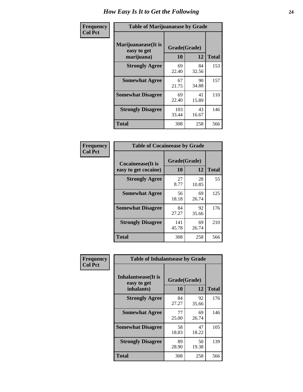| Frequency      | <b>Table of Marijuanaease by Grade</b>           |              |                    |     |  |  |  |  |  |  |  |
|----------------|--------------------------------------------------|--------------|--------------------|-----|--|--|--|--|--|--|--|
| <b>Col Pct</b> | Marijuanaease(It is<br>easy to get<br>marijuana) | 10           | Grade(Grade)<br>12 |     |  |  |  |  |  |  |  |
|                | <b>Strongly Agree</b>                            | 69<br>22.40  | 84<br>32.56        | 153 |  |  |  |  |  |  |  |
|                | <b>Somewhat Agree</b>                            | 67<br>21.75  | 90<br>34.88        | 157 |  |  |  |  |  |  |  |
|                | <b>Somewhat Disagree</b>                         | 69<br>22.40  | 41<br>15.89        | 110 |  |  |  |  |  |  |  |
|                | <b>Strongly Disagree</b>                         | 103<br>33.44 | 43<br>16.67        | 146 |  |  |  |  |  |  |  |
|                | <b>Total</b>                                     | 308          | 258                | 566 |  |  |  |  |  |  |  |

| <b>Table of Cocaineease by Grade</b>              |              |                    |     |  |  |  |  |  |  |  |
|---------------------------------------------------|--------------|--------------------|-----|--|--|--|--|--|--|--|
| <b>Cocaineease</b> (It is<br>easy to get cocaine) | 10           | Grade(Grade)<br>12 |     |  |  |  |  |  |  |  |
| <b>Strongly Agree</b>                             | 27<br>8.77   | 28<br>10.85        | 55  |  |  |  |  |  |  |  |
| <b>Somewhat Agree</b>                             | 56<br>18.18  | 69<br>26.74        | 125 |  |  |  |  |  |  |  |
| <b>Somewhat Disagree</b>                          | 84<br>27.27  | 92<br>35.66        | 176 |  |  |  |  |  |  |  |
| <b>Strongly Disagree</b>                          | 141<br>45.78 | 69<br>26.74        | 210 |  |  |  |  |  |  |  |
| <b>Total</b>                                      | 308          | 258                | 566 |  |  |  |  |  |  |  |

| Frequency      | <b>Table of Inhalantsease by Grade</b>     |              |             |              |
|----------------|--------------------------------------------|--------------|-------------|--------------|
| <b>Col Pct</b> | <b>Inhalantsease</b> (It is<br>easy to get | Grade(Grade) |             |              |
|                | inhalants)                                 | 10           | 12          | <b>Total</b> |
|                | <b>Strongly Agree</b>                      | 84<br>27.27  | 92<br>35.66 | 176          |
|                | <b>Somewhat Agree</b>                      | 77<br>25.00  | 69<br>26.74 | 146          |
|                | <b>Somewhat Disagree</b>                   | 58<br>18.83  | 47<br>18.22 | 105          |
|                | <b>Strongly Disagree</b>                   | 89<br>28.90  | 50<br>19.38 | 139          |
|                | <b>Total</b>                               | 308          | 258         | 566          |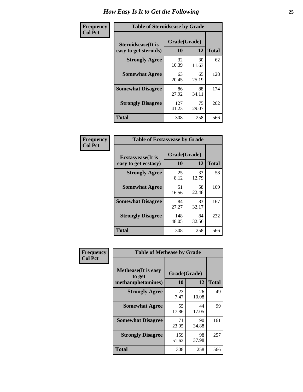| Frequency      | <b>Table of Steroidsease by Grade</b>               |                    |             |              |  |  |  |  |  |  |  |  |
|----------------|-----------------------------------------------------|--------------------|-------------|--------------|--|--|--|--|--|--|--|--|
| <b>Col Pct</b> | <b>Steroidsease</b> (It is<br>easy to get steroids) | Grade(Grade)<br>10 | 12          | <b>Total</b> |  |  |  |  |  |  |  |  |
|                | <b>Strongly Agree</b>                               | 32<br>10.39        | 30<br>11.63 | 62           |  |  |  |  |  |  |  |  |
|                | <b>Somewhat Agree</b>                               | 63<br>20.45        | 65<br>25.19 | 128          |  |  |  |  |  |  |  |  |
|                | <b>Somewhat Disagree</b>                            | 86<br>27.92        | 88<br>34.11 | 174          |  |  |  |  |  |  |  |  |
|                | <b>Strongly Disagree</b>                            | 127<br>41.23       | 75<br>29.07 | 202          |  |  |  |  |  |  |  |  |
|                | <b>Total</b>                                        | 308                | 258         | 566          |  |  |  |  |  |  |  |  |

| Frequency      | <b>Table of Ecstasyease by Grade</b>              |              |                    |     |  |  |  |  |
|----------------|---------------------------------------------------|--------------|--------------------|-----|--|--|--|--|
| <b>Col Pct</b> | <b>Ecstasyease</b> (It is<br>easy to get ecstasy) | 10           | Grade(Grade)<br>12 |     |  |  |  |  |
|                | <b>Strongly Agree</b>                             | 25<br>8.12   | 33<br>12.79        | 58  |  |  |  |  |
|                | <b>Somewhat Agree</b>                             | 51<br>16.56  | 58<br>22.48        | 109 |  |  |  |  |
|                | <b>Somewhat Disagree</b>                          | 84<br>27.27  | 83<br>32.17        | 167 |  |  |  |  |
|                | <b>Strongly Disagree</b>                          | 148<br>48.05 | 84<br>32.56        | 232 |  |  |  |  |
|                | <b>Total</b>                                      | 308          | 258                | 566 |  |  |  |  |

| Frequency      |                                                            | <b>Table of Methease by Grade</b> |             |              |  |  |  |  |  |  |  |
|----------------|------------------------------------------------------------|-----------------------------------|-------------|--------------|--|--|--|--|--|--|--|
| <b>Col Pct</b> | <b>Methease</b> (It is easy<br>to get<br>methamphetamines) | Grade(Grade)<br>10                | 12          | <b>Total</b> |  |  |  |  |  |  |  |
|                | <b>Strongly Agree</b>                                      | 23<br>7.47                        | 26<br>10.08 | 49           |  |  |  |  |  |  |  |
|                | <b>Somewhat Agree</b>                                      | 55<br>17.86                       | 44<br>17.05 | 99           |  |  |  |  |  |  |  |
|                | <b>Somewhat Disagree</b>                                   | 71<br>23.05                       | 90<br>34.88 | 161          |  |  |  |  |  |  |  |
|                | <b>Strongly Disagree</b>                                   | 159<br>51.62                      | 98<br>37.98 | 257          |  |  |  |  |  |  |  |
|                | Total                                                      | 308                               | 258         | 566          |  |  |  |  |  |  |  |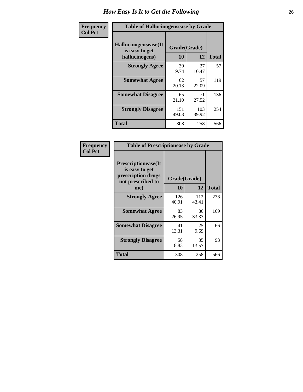| Frequency      | <b>Table of Hallucinogensease by Grade</b>               |                    |              |              |  |  |  |  |  |  |  |
|----------------|----------------------------------------------------------|--------------------|--------------|--------------|--|--|--|--|--|--|--|
| <b>Col Pct</b> | Hallucinogensease(It<br>is easy to get<br>hallucinogens) | Grade(Grade)<br>10 | 12           | <b>Total</b> |  |  |  |  |  |  |  |
|                | <b>Strongly Agree</b>                                    | 30<br>9.74         | 27<br>10.47  | 57           |  |  |  |  |  |  |  |
|                | <b>Somewhat Agree</b>                                    | 62<br>20.13        | 57<br>22.09  | 119          |  |  |  |  |  |  |  |
|                | <b>Somewhat Disagree</b>                                 | 65<br>21.10        | 71<br>27.52  | 136          |  |  |  |  |  |  |  |
|                | <b>Strongly Disagree</b>                                 | 151<br>49.03       | 103<br>39.92 | 254          |  |  |  |  |  |  |  |
|                | <b>Total</b>                                             | 308                | 258          | 566          |  |  |  |  |  |  |  |

| <b>Table of Prescriptionease by Grade</b>                                                |              |              |              |
|------------------------------------------------------------------------------------------|--------------|--------------|--------------|
| <b>Prescriptionease</b> (It<br>is easy to get<br>prescription drugs<br>not prescribed to | Grade(Grade) |              |              |
| me)                                                                                      | 10           | 12           | <b>Total</b> |
| <b>Strongly Agree</b>                                                                    | 126<br>40.91 | 112<br>43.41 | 238          |
| <b>Somewhat Agree</b>                                                                    | 83<br>26.95  | 86<br>33.33  | 169          |
| <b>Somewhat Disagree</b>                                                                 | 41<br>13.31  | 25<br>9.69   | 66           |
| <b>Strongly Disagree</b>                                                                 | 58<br>18.83  | 35<br>13.57  | 93           |
| <b>Total</b>                                                                             | 308          | 258          | 566          |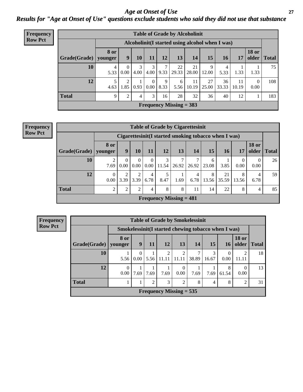*Age at Onset of Use* **27** *Results for "Age at Onset of Use" questions exclude students who said they did not use that substance*

| Frequency      |              |                        |                                                  |      |                  |           |                           | <b>Table of Grade by Alcoholinit</b> |             |             |             |                       |              |
|----------------|--------------|------------------------|--------------------------------------------------|------|------------------|-----------|---------------------------|--------------------------------------|-------------|-------------|-------------|-----------------------|--------------|
| <b>Row Pct</b> |              |                        | Alcoholinit (I started using alcohol when I was) |      |                  |           |                           |                                      |             |             |             |                       |              |
|                | Grade(Grade) | <b>8</b> or<br>younger | 9 <sup>°</sup>                                   | 10   | 11               | 12        | 13                        | 14                                   | 15          | 16          | 17          | <b>18 or</b><br>older | <b>Total</b> |
|                | 10           | 5.33                   | $\theta$<br>$0.00\,$                             | 4.00 | 3<br>$4.00\vert$ | 9.33      | 22<br>29.33               | 21<br>28.00                          | 9<br>12.00  | 4<br>5.33   | 1.33        | 1.33                  | 75           |
|                | 12           | 5<br>4.63              | 2<br>1.85                                        | 0.93 | $\Omega$<br>0.00 | 9<br>8.33 | 6<br>5.56                 | 11<br>10.19                          | 27<br>25.00 | 36<br>33.33 | 11<br>10.19 | $\theta$<br>0.00      | 108          |
|                | <b>Total</b> | 9                      | 2                                                | 4    | 3                | 16        | 28                        | 32                                   | 36          | 40          | 12          |                       | 183          |
|                |              |                        |                                                  |      |                  |           | Frequency Missing $=$ 383 |                                      |             |             |             |                       |              |

#### **Frequency Row Pct**

| <b>Table of Grade by Cigarettesinit</b> |                  |                                                      |                  |                  |                           |       |           |            |             |                  |                       |              |  |  |
|-----------------------------------------|------------------|------------------------------------------------------|------------------|------------------|---------------------------|-------|-----------|------------|-------------|------------------|-----------------------|--------------|--|--|
|                                         |                  | Cigarettesinit(I started smoking tobacco when I was) |                  |                  |                           |       |           |            |             |                  |                       |              |  |  |
| Grade(Grade)                            | 8 or<br>younger  | 9                                                    | 10               | 11               | 12                        | 13    | 14        | 15         | 16          | 17               | <b>18 or</b><br>older | <b>Total</b> |  |  |
| 10                                      | 7.69             | 0<br>0.00                                            | $\theta$<br>0.00 | $\theta$<br>0.00 | 3<br>11.54                | 26.92 | 26.92     | 6<br>23.08 | 3.85        | $\theta$<br>0.00 | $\Omega$<br>0.00      | 26           |  |  |
| 12                                      | $\theta$<br>0.00 | 3.39                                                 | 3.39             | 4<br>6.78        | 8.47                      | 1.69  | 4<br>6.78 | 8<br>13.56 | 21<br>35.59 | 8<br>13.56       | 4<br>6.78             | 59           |  |  |
| <b>Total</b>                            | 2                | $\overline{2}$                                       | $\mathfrak{D}$   | 4                | 8                         | 8     | 11        | 14         | 22          | 8                | 4                     | 85           |  |  |
|                                         |                  |                                                      |                  |                  | Frequency Missing $= 481$ |       |           |            |             |                  |                       |              |  |  |

|              | <b>Table of Grade by Smokelessinit</b> |           |                |                                                     |                  |           |            |            |                       |              |  |  |  |  |  |
|--------------|----------------------------------------|-----------|----------------|-----------------------------------------------------|------------------|-----------|------------|------------|-----------------------|--------------|--|--|--|--|--|
|              |                                        |           |                | Smokelessinit(I started chewing tobacco when I was) |                  |           |            |            |                       |              |  |  |  |  |  |
| Grade(Grade) | 8 or<br>younger                        | 9         | 11             | <b>12</b>                                           | 13               | <b>14</b> | 15         | <b>16</b>  | <b>18 or</b><br>older | <b>Total</b> |  |  |  |  |  |
| 10           | 5.56                                   | 0<br>0.00 | 5.56           | 2<br>11.11                                          | 2<br>11.11       | 38.89     | 3<br>16.67 | 0.00       | 11.11                 | 18           |  |  |  |  |  |
| 12           | $\theta$<br>0.00                       | 7.69      | 7.69           | 7.69                                                | $\theta$<br>0.00 | 7.69      | 7.69       | 8<br>61.54 | $\theta$<br>0.00      | 13           |  |  |  |  |  |
| <b>Total</b> |                                        |           | $\mathfrak{D}$ | 3                                                   | $\mathfrak{D}$   | 8         | 4          | 8          | 2                     | 31           |  |  |  |  |  |
|              |                                        |           |                | Frequency Missing $= 535$                           |                  |           |            |            |                       |              |  |  |  |  |  |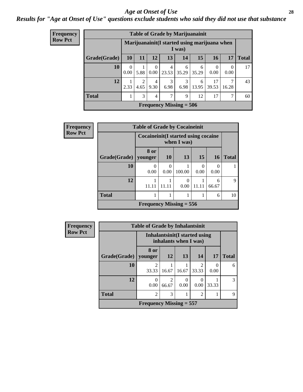#### *Age at Onset of Use* **28**

*Results for "Age at Onset of Use" questions exclude students who said they did not use that substance*

| <b>Frequency</b> |              |           |                        |                               |            | <b>Table of Grade by Marijuanainit</b> |            |                                              |       |              |
|------------------|--------------|-----------|------------------------|-------------------------------|------------|----------------------------------------|------------|----------------------------------------------|-------|--------------|
| <b>Row Pct</b>   |              |           |                        |                               |            | I was)                                 |            | Marijuanainit(I started using marijuana when |       |              |
|                  | Grade(Grade) | <b>10</b> | 11                     | 12                            | 13         | 14                                     | 15         | <b>16</b>                                    | 17    | <b>Total</b> |
|                  | <b>10</b>    | 0<br>0.00 | 1<br>5.88              | $\Omega$<br>0.00 <sub>1</sub> | 4<br>23.53 | 6<br>35.29                             | 6<br>35.29 | $\Omega$<br>0.00                             | 0.00  | 17           |
|                  | 12           | 2.33      | $\overline{2}$<br>4.65 | 4<br>9.30                     | 3<br>6.98  | 3<br>6.98                              | 6<br>13.95 | 17<br>39.53                                  | 16.28 | 43           |
|                  | <b>Total</b> |           | 3                      | 4                             | 7          | 9                                      | 12         | 17                                           | ⇁     | 60           |
|                  |              |           |                        |                               |            | Frequency Missing $= 506$              |            |                                              |       |              |

| <b>Frequency</b> | <b>Table of Grade by Cocaineinit</b> |                           |                                                       |           |           |            |              |  |  |
|------------------|--------------------------------------|---------------------------|-------------------------------------------------------|-----------|-----------|------------|--------------|--|--|
| <b>Row Pct</b>   |                                      |                           | Cocaine in it (I started using cocaine<br>when I was) |           |           |            |              |  |  |
|                  | Grade(Grade)                         | 8 or<br>younger           | 10                                                    | 13        | 15        | <b>16</b>  | <b>Total</b> |  |  |
|                  | 10                                   | 0<br>0.00                 | $\Omega$<br>0.00                                      | 100.00    | 0<br>0.00 | 0<br>0.00  |              |  |  |
|                  | 12                                   | 11.11                     | 11.11                                                 | 0<br>0.00 | 11.11     | 6<br>66.67 | 9            |  |  |
|                  | <b>Total</b>                         |                           |                                                       |           |           | 6          | 10           |  |  |
|                  |                                      | Frequency Missing $= 556$ |                                                       |           |           |            |              |  |  |

| <b>Frequency</b> | <b>Table of Grade by Inhalantsinit</b> |                           |            |                                                         |                         |       |              |  |  |
|------------------|----------------------------------------|---------------------------|------------|---------------------------------------------------------|-------------------------|-------|--------------|--|--|
| <b>Row Pct</b>   |                                        |                           |            | Inhalantsinit (I started using<br>inhalants when I was) |                         |       |              |  |  |
|                  | Grade(Grade)                           | 8 or<br>vounger           | 12         | 13                                                      | 14                      | 17    | <b>Total</b> |  |  |
|                  | 10                                     | 33.33                     | 16.67      | 16.67                                                   | $\mathfrak{D}$<br>33.33 | 0.00  | 6            |  |  |
|                  | 12                                     | 0<br>0.00                 | 2<br>66.67 | 0<br>0.00                                               | $\left($<br>0.00        | 33.33 | 3            |  |  |
|                  | <b>Total</b>                           | $\overline{c}$            | 3          |                                                         | $\overline{2}$          |       | 9            |  |  |
|                  |                                        | Frequency Missing $= 557$ |            |                                                         |                         |       |              |  |  |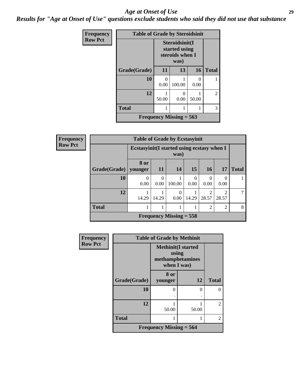#### *Age at Onset of Use* **29**

*Results for "Age at Onset of Use" questions exclude students who said they did not use that substance*

| Frequency      | <b>Table of Grade by Steroidsinit</b> |                                                    |                                |       |                |  |  |  |
|----------------|---------------------------------------|----------------------------------------------------|--------------------------------|-------|----------------|--|--|--|
| <b>Row Pct</b> |                                       | Steroidsinit(I<br>started using<br>steroids when I |                                |       |                |  |  |  |
|                | Grade(Grade)                          | 11                                                 | 13                             | 16    | <b>Total</b>   |  |  |  |
|                | 10                                    | 0<br>0.00                                          | 100.00                         | 0.00  |                |  |  |  |
|                | 12                                    | 50.00                                              | 0<br>0.00                      | 50.00 | $\overline{2}$ |  |  |  |
|                | <b>Total</b>                          |                                                    |                                |       | 3              |  |  |  |
|                |                                       |                                                    | <b>Frequency Missing = 563</b> |       |                |  |  |  |

| <b>Frequency</b> |                        | <b>Table of Grade by Ecstasyinit</b>        |                  |                                             |                  |                         |                |              |  |
|------------------|------------------------|---------------------------------------------|------------------|---------------------------------------------|------------------|-------------------------|----------------|--------------|--|
| <b>Row Pct</b>   |                        | Ecstasyinit (I started using ecstasy when I |                  | was)                                        |                  |                         |                |              |  |
|                  | $Grade(Grade)$ younger | 8 or                                        | 11               | 14                                          | 15               | 16                      | 17             | <b>Total</b> |  |
|                  | 10                     | 0<br>0.00                                   | $\Omega$<br>0.00 | 100.00                                      | $\Omega$<br>0.00 | $\theta$<br>0.00        | 0<br>0.00      |              |  |
|                  | 12                     | 14.29                                       | 14.29            | $\Omega$<br>0.00                            | 14.29            | $\mathfrak{D}$<br>28.57 | 2<br>28.57     | 7            |  |
|                  | <b>Total</b>           |                                             |                  | 1                                           |                  | $\overline{2}$          | $\overline{2}$ | 8            |  |
|                  |                        |                                             |                  | <b>Frequency Missing <math>= 558</math></b> |                  |                         |                |              |  |

| <b>Frequency</b> | <b>Table of Grade by Methinit</b> |                                                              |       |                |
|------------------|-----------------------------------|--------------------------------------------------------------|-------|----------------|
| <b>Row Pct</b>   |                                   | <b>Methinit(I started</b><br>methamphetamines<br>when I was) | using |                |
|                  | Grade(Grade)                      | 8 or<br>younger                                              | 12    | <b>Total</b>   |
|                  | 10                                | ∩                                                            | 0     |                |
|                  | 12                                | 50.00                                                        | 50.00 | $\mathfrak{D}$ |
|                  | <b>Total</b>                      |                                                              |       | $\mathfrak{D}$ |
|                  |                                   | Frequency Missing $= 564$                                    |       |                |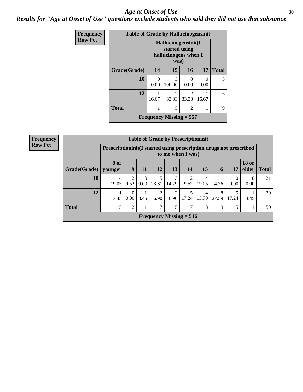#### Age at Onset of Use **30**

*Results for "Age at Onset of Use" questions exclude students who said they did not use that substance*

| Frequency      | <b>Table of Grade by Hallucinogensinit</b> |                                             |                                      |                         |           |              |  |  |
|----------------|--------------------------------------------|---------------------------------------------|--------------------------------------|-------------------------|-----------|--------------|--|--|
| <b>Row Pct</b> |                                            | Hallucinogensinit(I<br>hallucinogens when I |                                      |                         |           |              |  |  |
|                | Grade(Grade)                               | 14                                          | 15                                   | <b>16</b>               | 17        | <b>Total</b> |  |  |
|                | 10                                         | $\theta$<br>0.00                            | 3<br>100.00                          | ∩<br>0.00               | 0<br>0.00 | 3            |  |  |
|                | 12                                         | 1<br>16.67                                  | $\mathcal{D}_{\mathcal{L}}$<br>33.33 | $\mathfrak{D}$<br>33.33 | 16.67     | 6            |  |  |
|                | <b>Total</b>                               | 1                                           | 5                                    | 2                       | 1         | 9            |  |  |
|                |                                            |                                             | Frequency Missing $= 557$            |                         |           |              |  |  |

| <b>Frequency</b> | <b>Table of Grade by Prescriptioninit</b> |                                                                    |                |                  |           |                           |       |            |            |                  |                               |    |
|------------------|-------------------------------------------|--------------------------------------------------------------------|----------------|------------------|-----------|---------------------------|-------|------------|------------|------------------|-------------------------------|----|
| <b>Row Pct</b>   |                                           | Prescriptioninit(I started using prescription drugs not prescribed |                |                  |           | to me when I was)         |       |            |            |                  |                               |    |
|                  | Grade(Grade)   younger                    | <b>8 or</b>                                                        | 9              | 11               | <b>12</b> | 13                        | 14    | 15         | 16         | 17               | <b>18 or</b><br>older   Total |    |
|                  | 10                                        | 4<br>19.05                                                         | 9.52           | $\Omega$<br>0.00 | 23.81     | 3<br>14.29                | 9.52  | 4<br>19.05 | 4.76       | $\theta$<br>0.00 | $\theta$<br>0.00              | 21 |
|                  | 12                                        | 3.45                                                               | 0.00           | 3.45             | 6.90      | 2<br>6.90                 | 17.24 | 4<br>13.79 | 8<br>27.59 | 17.24            | 3.45                          | 29 |
|                  | <b>Total</b>                              |                                                                    | $\overline{2}$ |                  | 7         | 5                         |       | 8          | 9          | 5                |                               | 50 |
|                  |                                           |                                                                    |                |                  |           | Frequency Missing $= 516$ |       |            |            |                  |                               |    |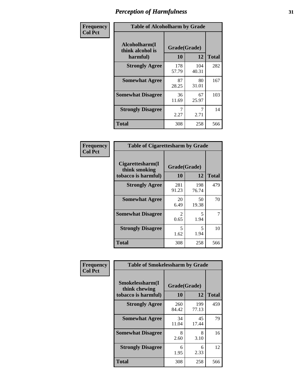| Frequency      | <b>Table of Alcoholharm by Grade</b>          |                    |              |              |  |  |
|----------------|-----------------------------------------------|--------------------|--------------|--------------|--|--|
| <b>Col Pct</b> | Alcoholharm(I<br>think alcohol is<br>harmful) | Grade(Grade)<br>10 | 12           | <b>Total</b> |  |  |
|                | <b>Strongly Agree</b>                         | 178<br>57.79       | 104<br>40.31 | 282          |  |  |
|                | <b>Somewhat Agree</b>                         | 87<br>28.25        | 80<br>31.01  | 167          |  |  |
|                | <b>Somewhat Disagree</b>                      | 36<br>11.69        | 67<br>25.97  | 103          |  |  |
|                | <b>Strongly Disagree</b>                      | 2.27               | 2.71         | 14           |  |  |
|                | <b>Total</b>                                  | 308                | 258          | 566          |  |  |

| <b>Table of Cigarettesharm by Grade</b>                  |                    |              |              |  |  |  |
|----------------------------------------------------------|--------------------|--------------|--------------|--|--|--|
| Cigarettesharm(I<br>think smoking<br>tobacco is harmful) | Grade(Grade)<br>10 | 12           | <b>Total</b> |  |  |  |
| <b>Strongly Agree</b>                                    | 281<br>91.23       | 198<br>76.74 | 479          |  |  |  |
| <b>Somewhat Agree</b>                                    | 20<br>6.49         | 50<br>19.38  | 70           |  |  |  |
| <b>Somewhat Disagree</b>                                 | 2<br>0.65          | 5<br>1.94    | 7            |  |  |  |
| <b>Strongly Disagree</b>                                 | 5<br>1.62          | 5<br>1.94    | 10           |  |  |  |
| <b>Total</b>                                             | 308                | 258          | 566          |  |  |  |

| Frequency      | <b>Table of Smokelessharm by Grade</b>                  |                           |              |              |
|----------------|---------------------------------------------------------|---------------------------|--------------|--------------|
| <b>Col Pct</b> | Smokelessharm(I<br>think chewing<br>tobacco is harmful) | Grade(Grade)<br><b>10</b> | 12           | <b>Total</b> |
|                | <b>Strongly Agree</b>                                   | 260<br>84.42              | 199<br>77.13 | 459          |
|                | <b>Somewhat Agree</b>                                   | 34<br>11.04               | 45<br>17.44  | 79           |
|                | <b>Somewhat Disagree</b>                                | 8<br>2.60                 | 8<br>3.10    | 16           |
|                | <b>Strongly Disagree</b>                                | 6<br>1.95                 | 6<br>2.33    | 12           |
|                | <b>Total</b>                                            | 308                       | 258          | 566          |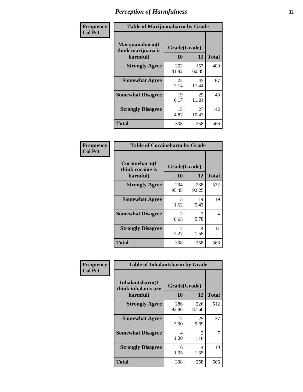| Frequency      | <b>Table of Marijuanaharm by Grade</b>            |                    |              |              |  |
|----------------|---------------------------------------------------|--------------------|--------------|--------------|--|
| <b>Col Pct</b> | Marijuanaharm(I<br>think marijuana is<br>harmful) | Grade(Grade)<br>10 | 12           | <b>Total</b> |  |
|                | <b>Strongly Agree</b>                             | 252<br>81.82       | 157<br>60.85 | 409          |  |
|                | <b>Somewhat Agree</b>                             | 22<br>7.14         | 45<br>17.44  | 67           |  |
|                | <b>Somewhat Disagree</b>                          | 19<br>6.17         | 29<br>11.24  | 48           |  |
|                | <b>Strongly Disagree</b>                          | 15<br>4.87         | 27<br>10.47  | 42           |  |
|                | <b>Total</b>                                      | 308                | 258          | 566          |  |

| <b>Table of Cocaineharm by Grade</b>          |                    |                        |              |  |  |  |  |
|-----------------------------------------------|--------------------|------------------------|--------------|--|--|--|--|
| Cocaineharm(I<br>think cocaine is<br>harmful) | Grade(Grade)<br>10 | 12                     | <b>Total</b> |  |  |  |  |
| <b>Strongly Agree</b>                         | 294<br>95.45       | 238<br>92.25           | 532          |  |  |  |  |
| <b>Somewhat Agree</b>                         | 5<br>1.62          | 14<br>5.43             | 19           |  |  |  |  |
| <b>Somewhat Disagree</b>                      | 2<br>0.65          | $\mathfrak{D}$<br>0.78 | 4            |  |  |  |  |
| <b>Strongly Disagree</b>                      | 7<br>2.27          | 4<br>1.55              | 11           |  |  |  |  |
| <b>Total</b>                                  | 308                | 258                    | 566          |  |  |  |  |

| Frequency      | <b>Table of Inhalantsharm by Grade</b>             |              |                    |     |
|----------------|----------------------------------------------------|--------------|--------------------|-----|
| <b>Col Pct</b> | Inhalantsharm(I<br>think inhalants are<br>harmful) | 10           | Grade(Grade)<br>12 |     |
|                | <b>Strongly Agree</b>                              | 286<br>92.86 | 226<br>87.60       | 512 |
|                | <b>Somewhat Agree</b>                              | 12<br>3.90   | 25<br>9.69         | 37  |
|                | <b>Somewhat Disagree</b>                           | 4<br>1.30    | 3<br>1.16          | 7   |
|                | <b>Strongly Disagree</b>                           | 6<br>1.95    | 4<br>1.55          | 10  |
|                | Total                                              | 308          | 258                | 566 |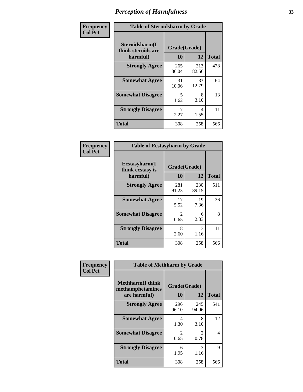| Frequency      | <b>Table of Steroidsharm by Grade</b>            |                    |              |              |
|----------------|--------------------------------------------------|--------------------|--------------|--------------|
| <b>Col Pct</b> | Steroidsharm(I<br>think steroids are<br>harmful) | Grade(Grade)<br>10 | 12           | <b>Total</b> |
|                | <b>Strongly Agree</b>                            | 265<br>86.04       | 213<br>82.56 | 478          |
|                | <b>Somewhat Agree</b>                            | 31<br>10.06        | 33<br>12.79  | 64           |
|                | <b>Somewhat Disagree</b>                         | 5<br>1.62          | 8<br>3.10    | 13           |
|                | <b>Strongly Disagree</b>                         | 2.27               | 4<br>1.55    | 11           |
|                | <b>Total</b>                                     | 308                | 258          | 566          |

| <b>Table of Ecstasyharm by Grade</b>          |                    |              |     |  |  |
|-----------------------------------------------|--------------------|--------------|-----|--|--|
| Ecstasyharm(I<br>think ecstasy is<br>harmful) | Grade(Grade)<br>10 | <b>Total</b> |     |  |  |
| <b>Strongly Agree</b>                         | 281<br>91.23       | 230<br>89.15 | 511 |  |  |
| <b>Somewhat Agree</b>                         | 17<br>5.52         | 19<br>7.36   | 36  |  |  |
| <b>Somewhat Disagree</b>                      | 2<br>0.65          | 6<br>2.33    | 8   |  |  |
| <b>Strongly Disagree</b>                      | 8<br>2.60          | 3<br>1.16    | 11  |  |  |
| <b>Total</b>                                  | 308                | 258          | 566 |  |  |

| Frequency      | <b>Table of Methharm by Grade</b>                            |                        |              |              |
|----------------|--------------------------------------------------------------|------------------------|--------------|--------------|
| <b>Col Pct</b> | <b>Methharm</b> (I think<br>methamphetamines<br>are harmful) | Grade(Grade)<br>10     | 12           | <b>Total</b> |
|                | <b>Strongly Agree</b>                                        | 296<br>96.10           | 245<br>94.96 | 541          |
|                | <b>Somewhat Agree</b>                                        | $\overline{4}$<br>1.30 | 8<br>3.10    | 12           |
|                | <b>Somewhat Disagree</b>                                     | 2<br>0.65              | 2<br>0.78    | 4            |
|                | <b>Strongly Disagree</b>                                     | 6<br>1.95              | 3<br>1.16    | 9            |
|                | Total                                                        | 308                    | 258          | 566          |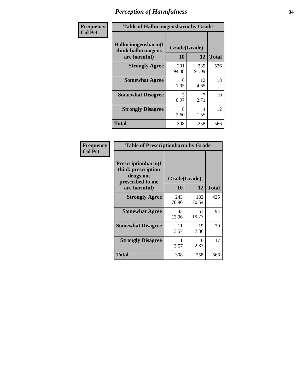| Frequency      | <b>Table of Hallucinogensharm by Grade</b>                 |                    |              |              |
|----------------|------------------------------------------------------------|--------------------|--------------|--------------|
| <b>Col Pct</b> | Hallucinogensharm(I<br>think hallucinogens<br>are harmful) | Grade(Grade)<br>10 | 12           | <b>Total</b> |
|                | <b>Strongly Agree</b>                                      | 291<br>94.48       | 235<br>91.09 | 526          |
|                | <b>Somewhat Agree</b>                                      | 6<br>1.95          | 12<br>4.65   | 18           |
|                | <b>Somewhat Disagree</b>                                   | 3<br>0.97          | 7<br>2.71    | 10           |
|                | <b>Strongly Disagree</b>                                   | 8<br>2.60          | 4<br>1.55    | 12           |
|                | <b>Total</b>                                               | 308                | 258          | 566          |

| <b>Table of Prescriptionharm by Grade</b>                                         |              |              |              |  |  |
|-----------------------------------------------------------------------------------|--------------|--------------|--------------|--|--|
| <b>Prescriptionharm(I)</b><br>think prescription<br>drugs not<br>prescribed to me | Grade(Grade) |              |              |  |  |
| are harmful)                                                                      | 10           | 12           | <b>Total</b> |  |  |
| <b>Strongly Agree</b>                                                             | 243<br>78.90 | 182<br>70.54 | 425          |  |  |
| <b>Somewhat Agree</b>                                                             | 43<br>13.96  | 51<br>19.77  | 94           |  |  |
| <b>Somewhat Disagree</b>                                                          | 11<br>3.57   | 19<br>7.36   | 30           |  |  |
| <b>Strongly Disagree</b>                                                          | 11<br>3.57   | 6<br>2.33    | 17           |  |  |
| <b>Total</b>                                                                      | 308          | 258          | 566          |  |  |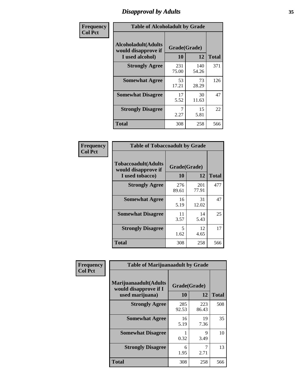# *Disapproval by Adults* **35**

| Frequency      | <b>Table of Alcoholadult by Grade</b>                                 |                    |              |              |
|----------------|-----------------------------------------------------------------------|--------------------|--------------|--------------|
| <b>Col Pct</b> | <b>Alcoholadult</b> (Adults<br>would disapprove if<br>I used alcohol) | Grade(Grade)<br>10 | 12           | <b>Total</b> |
|                | <b>Strongly Agree</b>                                                 | 231<br>75.00       | 140<br>54.26 | 371          |
|                | <b>Somewhat Agree</b>                                                 | 53<br>17.21        | 73<br>28.29  | 126          |
|                | <b>Somewhat Disagree</b>                                              | 17<br>5.52         | 30<br>11.63  | 47           |
|                | <b>Strongly Disagree</b>                                              | 7<br>2.27          | 15<br>5.81   | 22           |
|                | <b>Total</b>                                                          | 308                | 258          | 566          |

| <b>Table of Tobaccoadult by Grade</b>                                |                    |              |              |  |  |
|----------------------------------------------------------------------|--------------------|--------------|--------------|--|--|
| <b>Tobaccoadult(Adults</b><br>would disapprove if<br>I used tobacco) | Grade(Grade)<br>10 | 12           | <b>Total</b> |  |  |
| <b>Strongly Agree</b>                                                | 276<br>89.61       | 201<br>77.91 | 477          |  |  |
| <b>Somewhat Agree</b>                                                | 16<br>5.19         | 31<br>12.02  | 47           |  |  |
| <b>Somewhat Disagree</b>                                             | 11<br>3.57         | 14<br>5.43   | 25           |  |  |
| <b>Strongly Disagree</b>                                             | 5<br>1.62          | 12<br>4.65   | 17           |  |  |
| <b>Total</b>                                                         | 308                | 258          | 566          |  |  |

| Frequency      | <b>Table of Marijuanaadult by Grade</b>                           |                    |              |              |  |
|----------------|-------------------------------------------------------------------|--------------------|--------------|--------------|--|
| <b>Col Pct</b> | Marijuanaadult(Adults<br>would disapprove if I<br>used marijuana) | Grade(Grade)<br>10 | 12           | <b>Total</b> |  |
|                | <b>Strongly Agree</b>                                             | 285<br>92.53       | 223<br>86.43 | 508          |  |
|                | <b>Somewhat Agree</b>                                             | 16<br>5.19         | 19<br>7.36   | 35           |  |
|                | <b>Somewhat Disagree</b>                                          | 0.32               | 9<br>3.49    | 10           |  |
|                | <b>Strongly Disagree</b>                                          | 6<br>1.95          | 7<br>2.71    | 13           |  |
|                | <b>Total</b>                                                      | 308                | 258          | 566          |  |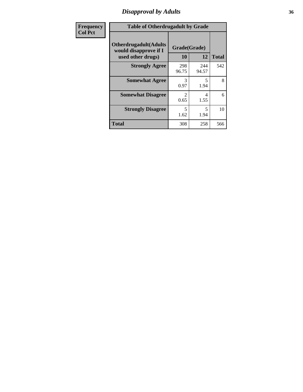# *Disapproval by Adults* **36**

| Frequency      | <b>Table of Otherdrugadult by Grade</b>                                     |                        |              |              |
|----------------|-----------------------------------------------------------------------------|------------------------|--------------|--------------|
| <b>Col Pct</b> | <b>Otherdrugadult</b> (Adults<br>would disapprove if I<br>used other drugs) | Grade(Grade)<br>10     | 12           | <b>Total</b> |
|                | <b>Strongly Agree</b>                                                       | 298<br>96.75           | 244<br>94.57 | 542          |
|                | <b>Somewhat Agree</b>                                                       | 3<br>0.97              | 5<br>1.94    | 8            |
|                | <b>Somewhat Disagree</b>                                                    | $\mathfrak{D}$<br>0.65 | 4<br>1.55    | 6            |
|                | <b>Strongly Disagree</b>                                                    | 5<br>1.62              | 5<br>1.94    | 10           |
|                | <b>Total</b>                                                                | 308                    | 258          | 566          |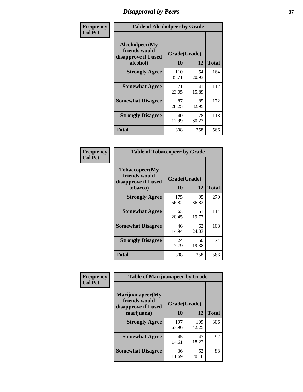# *Disapproval by Peers* **37**

| Frequency      | <b>Table of Alcoholpeer by Grade</b>                    |              |             |              |  |
|----------------|---------------------------------------------------------|--------------|-------------|--------------|--|
| <b>Col Pct</b> | Alcoholpeer(My<br>friends would<br>disapprove if I used | Grade(Grade) |             |              |  |
|                | alcohol)                                                | 10           | 12          | <b>Total</b> |  |
|                | <b>Strongly Agree</b>                                   | 110<br>35.71 | 54<br>20.93 | 164          |  |
|                | <b>Somewhat Agree</b>                                   | 71<br>23.05  | 41<br>15.89 | 112          |  |
|                | <b>Somewhat Disagree</b>                                | 87<br>28.25  | 85<br>32.95 | 172          |  |
|                | <b>Strongly Disagree</b>                                | 40<br>12.99  | 78<br>30.23 | 118          |  |
|                | Total                                                   | 308          | 258         | 566          |  |

| Frequency      | <b>Table of Tobaccopeer by Grade</b>                                |                    |             |              |  |
|----------------|---------------------------------------------------------------------|--------------------|-------------|--------------|--|
| <b>Col Pct</b> | Tobaccopeer(My<br>friends would<br>disapprove if I used<br>tobacco) | Grade(Grade)<br>10 | 12          | <b>Total</b> |  |
|                | <b>Strongly Agree</b>                                               | 175<br>56.82       | 95<br>36.82 | 270          |  |
|                | <b>Somewhat Agree</b>                                               | 63<br>20.45        | 51<br>19.77 | 114          |  |
|                | <b>Somewhat Disagree</b>                                            | 46<br>14.94        | 62<br>24.03 | 108          |  |
|                | <b>Strongly Disagree</b>                                            | 24<br>7.79         | 50<br>19.38 | 74           |  |
|                | <b>Total</b>                                                        | 308                | 258         | 566          |  |

| Frequency      | <b>Table of Marijuanapeer by Grade</b>                    |              |              |              |
|----------------|-----------------------------------------------------------|--------------|--------------|--------------|
| <b>Col Pct</b> | Marijuanapeer(My<br>friends would<br>disapprove if I used | Grade(Grade) |              |              |
|                | marijuana)                                                | 10           | 12           | <b>Total</b> |
|                | <b>Strongly Agree</b>                                     | 197<br>63.96 | 109<br>42.25 | 306          |
|                | <b>Somewhat Agree</b>                                     | 45<br>14.61  | 47<br>18.22  | 92           |
|                | <b>Somewhat Disagree</b>                                  | 36<br>11.69  | 52<br>20.16  | 88           |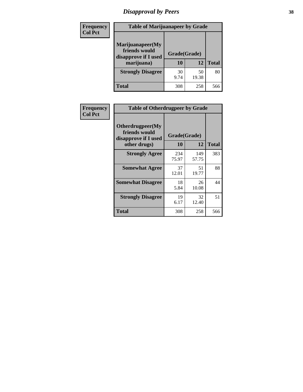# *Disapproval by Peers* **38**

| Frequency<br><b>Col Pct</b> | <b>Table of Marijuanapeer by Grade</b>                                  |                    |             |              |
|-----------------------------|-------------------------------------------------------------------------|--------------------|-------------|--------------|
|                             | Marijuanapeer(My<br>friends would<br>disapprove if I used<br>marijuana) | Grade(Grade)<br>10 | 12          | <b>Total</b> |
|                             | <b>Strongly Disagree</b>                                                | 30<br>9.74         | 50<br>19.38 | 80           |
|                             | Total                                                                   | 308                | 258         | 566          |

| Frequency      | <b>Table of Otherdrugpeer by Grade</b>                                    |                           |              |              |
|----------------|---------------------------------------------------------------------------|---------------------------|--------------|--------------|
| <b>Col Pct</b> | Otherdrugpeer(My<br>friends would<br>disapprove if I used<br>other drugs) | Grade(Grade)<br><b>10</b> | 12           | <b>Total</b> |
|                | <b>Strongly Agree</b>                                                     | 234<br>75.97              | 149<br>57.75 | 383          |
|                | <b>Somewhat Agree</b>                                                     | 37<br>12.01               | 51<br>19.77  | 88           |
|                | <b>Somewhat Disagree</b>                                                  | 18<br>5.84                | 26<br>10.08  | 44           |
|                | <b>Strongly Disagree</b>                                                  | 19<br>6.17                | 32<br>12.40  | 51           |
|                | Total                                                                     | 308                       | 258          | 566          |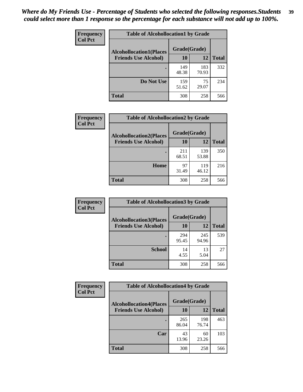| Frequency      | <b>Table of Alcohollocation1 by Grade</b> |              |              |              |
|----------------|-------------------------------------------|--------------|--------------|--------------|
| <b>Col Pct</b> | <b>Alcohollocation1(Places</b>            | Grade(Grade) |              |              |
|                | <b>Friends Use Alcohol)</b>               | 10           | 12           | <b>Total</b> |
|                |                                           | 149<br>48.38 | 183<br>70.93 | 332          |
|                | Do Not Use                                | 159<br>51.62 | 75<br>29.07  | 234          |
|                | <b>Total</b>                              | 308          | 258          | 566          |

| Frequency      | <b>Table of Alcohollocation2 by Grade</b>                     |                    |              |              |
|----------------|---------------------------------------------------------------|--------------------|--------------|--------------|
| <b>Col Pct</b> | <b>Alcohollocation2(Places</b><br><b>Friends Use Alcohol)</b> | Grade(Grade)<br>10 | 12           | <b>Total</b> |
|                |                                                               | 211<br>68.51       | 139<br>53.88 | 350          |
|                | Home                                                          | 97<br>31.49        | 119<br>46.12 | 216          |
|                | Total                                                         | 308                | 258          | 566          |

| Frequency      | <b>Table of Alcohollocation 3 by Grade</b>                    |                    |              |              |
|----------------|---------------------------------------------------------------|--------------------|--------------|--------------|
| <b>Col Pct</b> | <b>Alcohollocation3(Places</b><br><b>Friends Use Alcohol)</b> | Grade(Grade)<br>10 | 12           | <b>Total</b> |
|                |                                                               | 294<br>95.45       | 245<br>94.96 | 539          |
|                | <b>School</b>                                                 | 14<br>4.55         | 13<br>5.04   | 27           |
|                | <b>Total</b>                                                  | 308                | 258          | 566          |

| <b>Frequency</b> | <b>Table of Alcohollocation4 by Grade</b> |              |              |              |  |
|------------------|-------------------------------------------|--------------|--------------|--------------|--|
| <b>Col Pct</b>   | <b>Alcohollocation4(Places</b>            | Grade(Grade) |              |              |  |
|                  | <b>Friends Use Alcohol)</b>               | 10           | 12           | <b>Total</b> |  |
|                  |                                           | 265<br>86.04 | 198<br>76.74 | 463          |  |
|                  | Car                                       | 43<br>13.96  | 60<br>23.26  | 103          |  |
|                  | <b>Total</b>                              | 308          | 258          | 566          |  |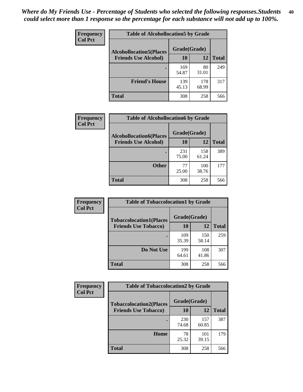| Frequency<br><b>Col Pct</b> | <b>Table of Alcohollocation5 by Grade</b> |              |              |              |  |
|-----------------------------|-------------------------------------------|--------------|--------------|--------------|--|
|                             | <b>Alcohollocation5(Places</b>            | Grade(Grade) |              |              |  |
|                             | <b>Friends Use Alcohol)</b>               | 10           | 12           | <b>Total</b> |  |
|                             |                                           | 169<br>54.87 | 80<br>31.01  | 249          |  |
|                             | <b>Friend's House</b>                     | 139<br>45.13 | 178<br>68.99 | 317          |  |
|                             | <b>Total</b>                              | 308          | 258          | 566          |  |

| Frequency      | <b>Table of Alcohollocation6 by Grade</b>                     |                    |              |              |
|----------------|---------------------------------------------------------------|--------------------|--------------|--------------|
| <b>Col Pct</b> | <b>Alcohollocation6(Places</b><br><b>Friends Use Alcohol)</b> | Grade(Grade)<br>10 | <b>12</b>    | <b>Total</b> |
|                |                                                               | 231<br>75.00       | 158<br>61.24 | 389          |
|                | <b>Other</b>                                                  | 77<br>25.00        | 100<br>38.76 | 177          |
|                | <b>Total</b>                                                  | 308                | 258          | 566          |

| <b>Frequency</b> | <b>Table of Tobaccolocation1 by Grade</b> |              |              |              |
|------------------|-------------------------------------------|--------------|--------------|--------------|
| <b>Col Pct</b>   | <b>Tobaccolocation1(Places</b>            | Grade(Grade) |              |              |
|                  | <b>Friends Use Tobacco)</b>               | 10           | 12           | <b>Total</b> |
|                  |                                           | 109<br>35.39 | 150<br>58.14 | 259          |
|                  | Do Not Use                                | 199<br>64.61 | 108<br>41.86 | 307          |
|                  | <b>Total</b>                              | 308          | 258          | 566          |

| <b>Frequency</b> | <b>Table of Tobaccolocation2 by Grade</b> |              |              |              |  |
|------------------|-------------------------------------------|--------------|--------------|--------------|--|
| <b>Col Pct</b>   | <b>Tobaccolocation2(Places</b>            | Grade(Grade) |              |              |  |
|                  | <b>Friends Use Tobacco)</b>               | 10           | 12           | <b>Total</b> |  |
|                  |                                           | 230<br>74.68 | 157<br>60.85 | 387          |  |
|                  | Home                                      | 78<br>25.32  | 101<br>39.15 | 179          |  |
|                  | <b>Total</b>                              | 308          | 258          | 566          |  |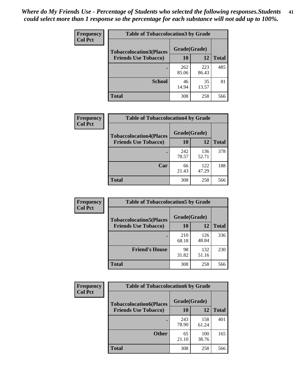| Frequency      | <b>Table of Tobaccolocation 3 by Grade</b> |              |              |              |
|----------------|--------------------------------------------|--------------|--------------|--------------|
| <b>Col Pct</b> | <b>Tobaccolocation3(Places</b>             | Grade(Grade) |              |              |
|                | <b>Friends Use Tobacco)</b>                | 10           | 12           | <b>Total</b> |
|                |                                            | 262<br>85.06 | 223<br>86.43 | 485          |
|                | <b>School</b>                              | 46<br>14.94  | 35<br>13.57  | 81           |
|                | <b>Total</b>                               | 308          | 258          | 566          |

| Frequency      | <b>Table of Tobaccolocation4 by Grade</b> |              |              |              |
|----------------|-------------------------------------------|--------------|--------------|--------------|
| <b>Col Pct</b> | <b>Tobaccolocation4(Places</b>            | Grade(Grade) |              |              |
|                | <b>Friends Use Tobacco)</b>               | 10           | 12           | <b>Total</b> |
|                |                                           | 242<br>78.57 | 136<br>52.71 | 378          |
|                | Car                                       | 66<br>21.43  | 122<br>47.29 | 188          |
|                | <b>Total</b>                              | 308          | 258          | 566          |

| Frequency<br><b>Col Pct</b> | <b>Table of Tobaccolocation5 by Grade</b> |              |              |              |
|-----------------------------|-------------------------------------------|--------------|--------------|--------------|
|                             | <b>Tobaccolocation5(Places</b>            | Grade(Grade) |              |              |
|                             | <b>Friends Use Tobacco)</b>               | 10           | 12           | <b>Total</b> |
|                             |                                           | 210<br>68.18 | 126<br>48.84 | 336          |
|                             | <b>Friend's House</b>                     | 98<br>31.82  | 132<br>51.16 | 230          |
|                             | <b>Total</b>                              | 308          | 258          | 566          |

| Frequency      | <b>Table of Tobaccolocation6 by Grade</b> |              |              |              |  |
|----------------|-------------------------------------------|--------------|--------------|--------------|--|
| <b>Col Pct</b> | <b>Tobaccolocation6(Places</b>            | Grade(Grade) |              |              |  |
|                | <b>Friends Use Tobacco)</b>               | 10           | 12           | <b>Total</b> |  |
|                |                                           | 243<br>78.90 | 158<br>61.24 | 401          |  |
|                | <b>Other</b>                              | 65<br>21.10  | 100<br>38.76 | 165          |  |
|                | <b>Total</b>                              | 308          | 258          | 566          |  |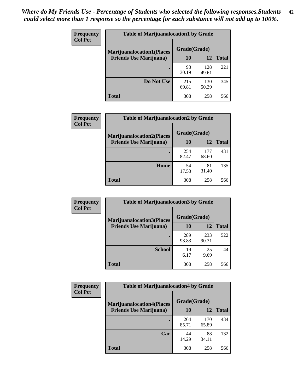| <b>Frequency</b> | <b>Table of Marijuanalocation1 by Grade</b> |              |              |              |
|------------------|---------------------------------------------|--------------|--------------|--------------|
| <b>Col Pct</b>   | <b>Marijuanalocation1(Places</b>            | Grade(Grade) |              |              |
|                  | <b>Friends Use Marijuana</b> )              | 10           | 12           | <b>Total</b> |
|                  |                                             | 93<br>30.19  | 128<br>49.61 | 221          |
|                  | Do Not Use                                  | 215<br>69.81 | 130<br>50.39 | 345          |
|                  | <b>Total</b>                                | 308          | 258          | 566          |

| <b>Frequency</b> | <b>Table of Marijuanalocation2 by Grade</b>                        |                    |              |              |
|------------------|--------------------------------------------------------------------|--------------------|--------------|--------------|
| <b>Col Pct</b>   | <b>Marijuanalocation2(Places</b><br><b>Friends Use Marijuana</b> ) | Grade(Grade)<br>10 | 12           | <b>Total</b> |
|                  |                                                                    | 254<br>82.47       | 177<br>68.60 | 431          |
|                  | Home                                                               | 54<br>17.53        | 81<br>31.40  | 135          |
|                  | <b>Total</b>                                                       | 308                | 258          | 566          |

| <b>Frequency</b><br><b>Col Pct</b> | <b>Table of Marijuanalocation3 by Grade</b> |              |              |              |
|------------------------------------|---------------------------------------------|--------------|--------------|--------------|
|                                    | <b>Marijuanalocation3</b> (Places           | Grade(Grade) |              |              |
|                                    | <b>Friends Use Marijuana</b> )              | 10           | 12           | <b>Total</b> |
|                                    |                                             | 289<br>93.83 | 233<br>90.31 | 522          |
|                                    | <b>School</b>                               | 19<br>6.17   | 25<br>9.69   | 44           |
|                                    | <b>Total</b>                                | 308          | 258          | 566          |

| <b>Frequency</b> | <b>Table of Marijuanalocation4 by Grade</b> |              |              |              |  |
|------------------|---------------------------------------------|--------------|--------------|--------------|--|
| <b>Col Pct</b>   | <b>Marijuanalocation4(Places</b>            | Grade(Grade) |              |              |  |
|                  | <b>Friends Use Marijuana</b> )              | <b>10</b>    | 12           | <b>Total</b> |  |
|                  |                                             | 264<br>85.71 | 170<br>65.89 | 434          |  |
|                  | Car                                         | 44<br>14.29  | 88<br>34.11  | 132          |  |
|                  | <b>Total</b>                                | 308          | 258          | 566          |  |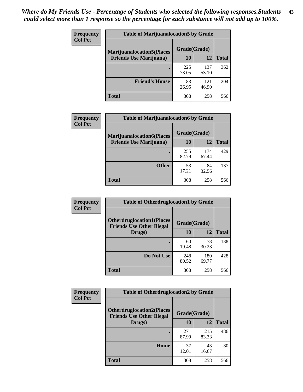| <b>Frequency</b> | <b>Table of Marijuanalocation5 by Grade</b> |              |              |              |
|------------------|---------------------------------------------|--------------|--------------|--------------|
| <b>Col Pct</b>   | <b>Marijuanalocation5(Places</b>            | Grade(Grade) |              |              |
|                  | <b>Friends Use Marijuana</b> )              | 10           | 12           | <b>Total</b> |
|                  |                                             | 225<br>73.05 | 137<br>53.10 | 362          |
|                  | <b>Friend's House</b>                       | 83<br>26.95  | 121<br>46.90 | 204          |
|                  | <b>Total</b>                                | 308          | 258          | 566          |

| <b>Frequency</b> | <b>Table of Marijuanalocation6 by Grade</b>                        |                    |              |              |
|------------------|--------------------------------------------------------------------|--------------------|--------------|--------------|
| <b>Col Pct</b>   | <b>Marijuanalocation6(Places</b><br><b>Friends Use Marijuana</b> ) | Grade(Grade)<br>10 | 12           | <b>Total</b> |
|                  |                                                                    | 255<br>82.79       | 174<br>67.44 | 429          |
|                  | <b>Other</b>                                                       | 53<br>17.21        | 84<br>32.56  | 137          |
|                  | <b>Total</b>                                                       | 308                | 258          | 566          |

| <b>Frequency</b> | <b>Table of Otherdruglocation1 by Grade</b>                          |              |              |              |
|------------------|----------------------------------------------------------------------|--------------|--------------|--------------|
| <b>Col Pct</b>   | <b>Otherdruglocation1(Places</b><br><b>Friends Use Other Illegal</b> | Grade(Grade) |              |              |
|                  | Drugs)                                                               | 10           | 12           | <b>Total</b> |
|                  |                                                                      | 60<br>19.48  | 78<br>30.23  | 138          |
|                  | Do Not Use                                                           | 248<br>80.52 | 180<br>69.77 | 428          |
|                  | <b>Total</b>                                                         | 308          | 258          | 566          |

| <b>Frequency</b> | <b>Table of Otherdruglocation2 by Grade</b>                          |              |              |              |
|------------------|----------------------------------------------------------------------|--------------|--------------|--------------|
| <b>Col Pct</b>   | <b>Otherdruglocation2(Places</b><br><b>Friends Use Other Illegal</b> | Grade(Grade) |              |              |
|                  | Drugs)                                                               | 10           | 12           | <b>Total</b> |
|                  |                                                                      | 271<br>87.99 | 215<br>83.33 | 486          |
|                  | <b>Home</b>                                                          | 37<br>12.01  | 43<br>16.67  | 80           |
|                  | <b>Total</b>                                                         | 308          | 258          | 566          |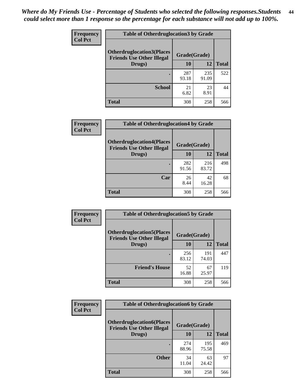| <b>Frequency</b> | <b>Table of Otherdruglocation 3 by Grade</b>                         |              |              |              |
|------------------|----------------------------------------------------------------------|--------------|--------------|--------------|
| <b>Col Pct</b>   | <b>Otherdruglocation3(Places</b><br><b>Friends Use Other Illegal</b> | Grade(Grade) |              |              |
|                  | Drugs)                                                               | 10           | 12           | <b>Total</b> |
|                  |                                                                      | 287<br>93.18 | 235<br>91.09 | 522          |
|                  | <b>School</b>                                                        | 21<br>6.82   | 23<br>8.91   | 44           |
|                  | <b>Total</b>                                                         | 308          | 258          | 566          |

| <b>Frequency</b> | <b>Table of Otherdruglocation4 by Grade</b>                          |              |              |              |
|------------------|----------------------------------------------------------------------|--------------|--------------|--------------|
| <b>Col Pct</b>   | <b>Otherdruglocation4(Places</b><br><b>Friends Use Other Illegal</b> | Grade(Grade) |              |              |
|                  | Drugs)                                                               | 10           | 12           | <b>Total</b> |
|                  |                                                                      | 282<br>91.56 | 216<br>83.72 | 498          |
|                  | Car                                                                  | 26<br>8.44   | 42<br>16.28  | 68           |
|                  | <b>Total</b>                                                         | 308          | 258          | 566          |

| <b>Frequency</b> | <b>Table of Otherdruglocation5 by Grade</b>                          |              |              |              |
|------------------|----------------------------------------------------------------------|--------------|--------------|--------------|
| <b>Col Pct</b>   | <b>Otherdruglocation5(Places</b><br><b>Friends Use Other Illegal</b> | Grade(Grade) |              |              |
|                  | Drugs)                                                               | 10           | 12           | <b>Total</b> |
|                  |                                                                      | 256<br>83.12 | 191<br>74.03 | 447          |
|                  | <b>Friend's House</b>                                                | 52<br>16.88  | 67<br>25.97  | 119          |
|                  | <b>Total</b>                                                         | 308          | 258          | 566          |

| Frequency      | <b>Table of Otherdruglocation6 by Grade</b>                          |              |              |              |
|----------------|----------------------------------------------------------------------|--------------|--------------|--------------|
| <b>Col Pct</b> | <b>Otherdruglocation6(Places</b><br><b>Friends Use Other Illegal</b> | Grade(Grade) |              |              |
|                | Drugs)                                                               | 10           | 12           | <b>Total</b> |
|                |                                                                      | 274<br>88.96 | 195<br>75.58 | 469          |
|                | <b>Other</b>                                                         | 34<br>11.04  | 63<br>24.42  | 97           |
|                | <b>Total</b>                                                         | 308          | 258          | 566          |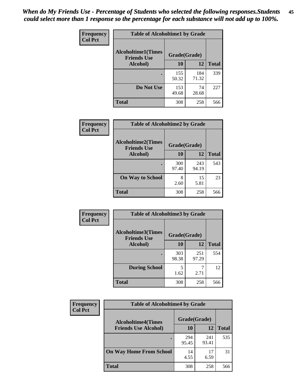| Frequency      | <b>Table of Alcoholtime1 by Grade</b>           |              |              |              |
|----------------|-------------------------------------------------|--------------|--------------|--------------|
| <b>Col Pct</b> | <b>Alcoholtime1(Times</b><br><b>Friends Use</b> | Grade(Grade) |              |              |
|                | Alcohol)                                        | 10           | 12           | <b>Total</b> |
|                |                                                 | 155<br>50.32 | 184<br>71.32 | 339          |
|                | Do Not Use                                      | 153<br>49.68 | 74<br>28.68  | 227          |
|                | <b>Total</b>                                    | 308          | 258          | 566          |

| Frequency      | <b>Table of Alcoholtime2 by Grade</b>           |              |              |              |
|----------------|-------------------------------------------------|--------------|--------------|--------------|
| <b>Col Pct</b> | <b>Alcoholtime2(Times</b><br><b>Friends Use</b> | Grade(Grade) |              |              |
|                | Alcohol)                                        | 10           | 12           | <b>Total</b> |
|                |                                                 | 300<br>97.40 | 243<br>94.19 | 543          |
|                | <b>On Way to School</b>                         | 8<br>2.60    | 15<br>5.81   | 23           |
|                | <b>Total</b>                                    | 308          | 258          | 566          |

| Frequency<br><b>Col Pct</b> | <b>Table of Alcoholtime3 by Grade</b>                    |              |              |              |
|-----------------------------|----------------------------------------------------------|--------------|--------------|--------------|
|                             | Alcoholtime3(Times<br>Grade(Grade)<br><b>Friends Use</b> |              |              |              |
|                             | Alcohol)                                                 | 10           | 12           | <b>Total</b> |
|                             |                                                          | 303<br>98.38 | 251<br>97.29 | 554          |
|                             | <b>During School</b>                                     | 5<br>1.62    | 2.71         | 12           |
|                             | Total                                                    | 308          | 258          | 566          |

| <b>Frequency</b> | <b>Table of Alcoholtime4 by Grade</b> |              |              |              |
|------------------|---------------------------------------|--------------|--------------|--------------|
| <b>Col Pct</b>   | <b>Alcoholtime4(Times</b>             | Grade(Grade) |              |              |
|                  | <b>Friends Use Alcohol)</b>           | 10           | 12           | <b>Total</b> |
|                  | ٠                                     | 294<br>95.45 | 241<br>93.41 | 535          |
|                  | <b>On Way Home From School</b>        | 14<br>4.55   | 17<br>6.59   | 31           |
|                  | <b>Total</b>                          | 308          | 258          | 566          |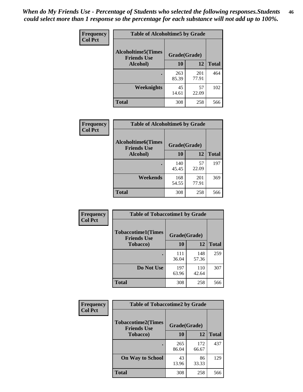*When do My Friends Use - Percentage of Students who selected the following responses.Students could select more than 1 response so the percentage for each substance will not add up to 100%.* **46**

| Frequency      | <b>Table of Alcoholtime5 by Grade</b>           |              |              |              |
|----------------|-------------------------------------------------|--------------|--------------|--------------|
| <b>Col Pct</b> | <b>Alcoholtime5(Times</b><br><b>Friends Use</b> | Grade(Grade) |              |              |
|                | Alcohol)                                        | 10           | 12           | <b>Total</b> |
|                |                                                 | 263<br>85.39 | 201<br>77.91 | 464          |
|                | Weeknights                                      | 45<br>14.61  | 57<br>22.09  | 102          |
|                | <b>Total</b>                                    | 308          | 258          | 566          |

| Frequency      | <b>Table of Alcoholtime6 by Grade</b>           |              |              |              |
|----------------|-------------------------------------------------|--------------|--------------|--------------|
| <b>Col Pct</b> | <b>Alcoholtime6(Times</b><br><b>Friends Use</b> | Grade(Grade) |              |              |
|                | Alcohol)                                        | 10           | 12           | <b>Total</b> |
|                |                                                 | 140<br>45.45 | 57<br>22.09  | 197          |
|                | Weekends                                        | 168<br>54.55 | 201<br>77.91 | 369          |
|                | <b>Total</b>                                    | 308          | 258          | 566          |

| Frequency<br><b>Col Pct</b> | <b>Table of Tobaccotime1 by Grade</b>           |              |              |              |
|-----------------------------|-------------------------------------------------|--------------|--------------|--------------|
|                             | <b>Tobaccotime1(Times</b><br><b>Friends Use</b> | Grade(Grade) |              |              |
|                             | <b>Tobacco</b> )                                | 10           | 12           | <b>Total</b> |
|                             |                                                 | 111<br>36.04 | 148<br>57.36 | 259          |
|                             | Do Not Use                                      | 197<br>63.96 | 110<br>42.64 | 307          |
|                             | Total                                           | 308          | 258          | 566          |

| <b>Frequency</b> | <b>Table of Tobaccotime2 by Grade</b>           |              |              |              |  |
|------------------|-------------------------------------------------|--------------|--------------|--------------|--|
| <b>Col Pct</b>   | <b>Tobaccotime2(Times</b><br><b>Friends Use</b> | Grade(Grade) |              |              |  |
|                  | <b>Tobacco</b> )                                | 10           | 12           | <b>Total</b> |  |
|                  |                                                 | 265<br>86.04 | 172<br>66.67 | 437          |  |
|                  | <b>On Way to School</b>                         | 43<br>13.96  | 86<br>33.33  | 129          |  |
|                  | <b>Total</b>                                    | 308          | 258          | 566          |  |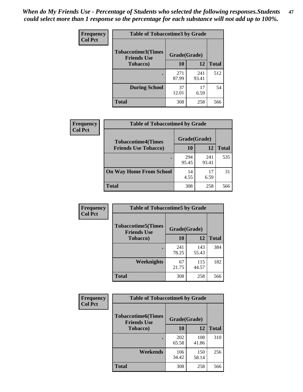*When do My Friends Use - Percentage of Students who selected the following responses.Students could select more than 1 response so the percentage for each substance will not add up to 100%.* **47**

| <b>Frequency</b> | <b>Table of Tobaccotime3 by Grade</b>           |              |              |              |  |
|------------------|-------------------------------------------------|--------------|--------------|--------------|--|
| <b>Col Pct</b>   | <b>Tobaccotime3(Times</b><br><b>Friends Use</b> | Grade(Grade) |              |              |  |
|                  | <b>Tobacco</b> )                                | 10           | 12           | <b>Total</b> |  |
|                  |                                                 | 271<br>87.99 | 241<br>93.41 | 512          |  |
|                  | <b>During School</b>                            | 37<br>12.01  | 17<br>6.59   | 54           |  |
|                  | <b>Total</b>                                    | 308          | 258          | 566          |  |

| <b>Frequency</b><br><b>Col Pct</b> | <b>Table of Tobaccotime4 by Grade</b> |              |              |              |
|------------------------------------|---------------------------------------|--------------|--------------|--------------|
|                                    | <b>Tobaccotime4(Times</b>             | Grade(Grade) |              |              |
|                                    | <b>Friends Use Tobacco)</b>           | 10           | 12           | <b>Total</b> |
|                                    |                                       | 294<br>95.45 | 241<br>93.41 | 535          |
|                                    | <b>On Way Home From School</b>        | 14<br>4.55   | 17<br>6.59   | 31           |
|                                    | <b>Total</b>                          | 308          | 258          | 566          |

| Frequency      | <b>Table of Tobaccotime5 by Grade</b>            |              |              |              |
|----------------|--------------------------------------------------|--------------|--------------|--------------|
| <b>Col Pct</b> | <b>Tobaccotime5</b> (Times<br><b>Friends Use</b> | Grade(Grade) |              |              |
|                | <b>Tobacco</b> )                                 | 10           | 12           | <b>Total</b> |
|                |                                                  | 241<br>78.25 | 143<br>55.43 | 384          |
|                | Weeknights                                       | 67<br>21.75  | 115<br>44.57 | 182          |
|                | <b>Total</b>                                     | 308          | 258          | 566          |

| Frequency<br><b>Col Pct</b> | <b>Table of Tobaccotime6 by Grade</b>           |              |              |              |  |
|-----------------------------|-------------------------------------------------|--------------|--------------|--------------|--|
|                             | <b>Tobaccotime6(Times</b><br><b>Friends Use</b> | Grade(Grade) |              |              |  |
|                             | <b>Tobacco</b> )                                | 10           | 12           | <b>Total</b> |  |
|                             | ٠                                               | 202<br>65.58 | 108<br>41.86 | 310          |  |
|                             | Weekends                                        | 106<br>34.42 | 150<br>58.14 | 256          |  |
|                             | <b>Total</b>                                    | 308          | 258          | 566          |  |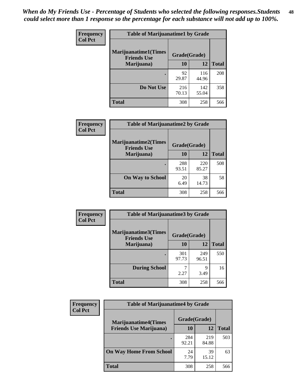| Frequency      | <b>Table of Marijuanatime1 by Grade</b>           |              |              |              |  |
|----------------|---------------------------------------------------|--------------|--------------|--------------|--|
| <b>Col Pct</b> | <b>Marijuanatime1(Times</b><br><b>Friends Use</b> | Grade(Grade) |              |              |  |
|                | Marijuana)                                        | 10           | 12           | <b>Total</b> |  |
|                |                                                   | 92<br>29.87  | 116<br>44.96 | 208          |  |
|                | Do Not Use                                        | 216<br>70.13 | 142<br>55.04 | 358          |  |
|                | <b>Total</b>                                      | 308          | 258          | 566          |  |

| Frequency      | <b>Table of Marijuanatime2 by Grade</b>           |              |              |              |
|----------------|---------------------------------------------------|--------------|--------------|--------------|
| <b>Col Pct</b> | <b>Marijuanatime2(Times</b><br><b>Friends Use</b> | Grade(Grade) |              |              |
|                | Marijuana)                                        | 10           | 12           | <b>Total</b> |
|                | $\bullet$                                         | 288<br>93.51 | 220<br>85.27 | 508          |
|                | <b>On Way to School</b>                           | 20<br>6.49   | 38<br>14.73  | 58           |
|                | <b>Total</b>                                      | 308          | 258          | 566          |

| Frequency      | <b>Table of Marijuanatime3 by Grade</b>    |              |              |              |
|----------------|--------------------------------------------|--------------|--------------|--------------|
| <b>Col Pct</b> | Marijuanatime3(Times<br><b>Friends Use</b> | Grade(Grade) |              |              |
|                | Marijuana)                                 | 10           | 12           | <b>Total</b> |
|                |                                            | 301<br>97.73 | 249<br>96.51 | 550          |
|                | <b>During School</b>                       | 2.27         | q<br>3.49    | 16           |
|                | <b>Total</b>                               | 308          | 258          | 566          |

| Frequency      | <b>Table of Marijuanatime4 by Grade</b> |              |              |       |
|----------------|-----------------------------------------|--------------|--------------|-------|
| <b>Col Pct</b> | <b>Marijuanatime4</b> (Times            | Grade(Grade) |              |       |
|                | <b>Friends Use Marijuana</b> )          | 10           | 12           | Total |
|                |                                         | 284<br>92.21 | 219<br>84.88 | 503   |
|                | <b>On Way Home From School</b>          | 24<br>7.79   | 39<br>15.12  | 63    |
|                | <b>Total</b>                            | 308          | 258          | 566   |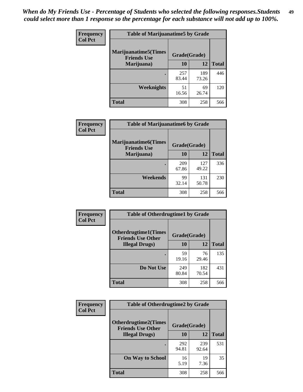| Frequency      | <b>Table of Marijuanatime5 by Grade</b>            |              |              |              |  |
|----------------|----------------------------------------------------|--------------|--------------|--------------|--|
| <b>Col Pct</b> | <b>Marijuanatime5</b> (Times<br><b>Friends Use</b> | Grade(Grade) |              |              |  |
|                | Marijuana)                                         | 10           | 12           | <b>Total</b> |  |
|                |                                                    | 257<br>83.44 | 189<br>73.26 | 446          |  |
|                | Weeknights                                         | 51<br>16.56  | 69<br>26.74  | 120          |  |
|                | <b>Total</b>                                       | 308          | 258          | 566          |  |

| Frequency      | <b>Table of Marijuanatime6 by Grade</b>            |              |              |              |
|----------------|----------------------------------------------------|--------------|--------------|--------------|
| <b>Col Pct</b> | <b>Marijuanatime6</b> (Times<br><b>Friends Use</b> | Grade(Grade) |              |              |
|                | Marijuana)                                         | 10           | 12           | <b>Total</b> |
|                |                                                    | 209<br>67.86 | 127<br>49.22 | 336          |
|                | Weekends                                           | 99<br>32.14  | 131<br>50.78 | 230          |
|                | <b>Total</b>                                       | 308          | 258          | 566          |

| <b>Frequency</b> | <b>Table of Otherdrugtime1 by Grade</b>                  |              |              |              |  |
|------------------|----------------------------------------------------------|--------------|--------------|--------------|--|
| <b>Col Pct</b>   | <b>Otherdrugtime1</b> (Times<br><b>Friends Use Other</b> | Grade(Grade) |              |              |  |
|                  | <b>Illegal Drugs</b> )                                   | 10           | 12           | <b>Total</b> |  |
|                  |                                                          | 59<br>19.16  | 76<br>29.46  | 135          |  |
|                  | Do Not Use                                               | 249<br>80.84 | 182<br>70.54 | 431          |  |
|                  | <b>Total</b>                                             | 308          | 258          | 566          |  |

| Frequency      | <b>Table of Otherdrugtime2 by Grade</b>                                 |              |              |              |  |  |  |
|----------------|-------------------------------------------------------------------------|--------------|--------------|--------------|--|--|--|
| <b>Col Pct</b> | <b>Otherdrugtime2(Times</b><br>Grade(Grade)<br><b>Friends Use Other</b> |              |              |              |  |  |  |
|                | <b>Illegal Drugs</b> )                                                  | 10           | 12           | <b>Total</b> |  |  |  |
|                |                                                                         | 292<br>94.81 | 239<br>92.64 | 531          |  |  |  |
|                | <b>On Way to School</b>                                                 | 16<br>5.19   | 19<br>7.36   | 35           |  |  |  |
|                | Total                                                                   | 308          | 258          | 566          |  |  |  |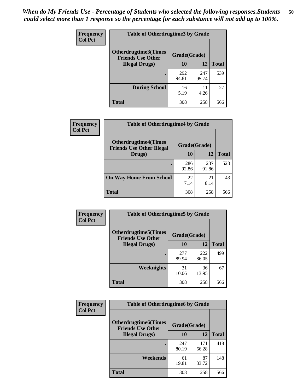| <b>Frequency</b> | <b>Table of Otherdrugtime3 by Grade</b>          |              |              |              |  |  |
|------------------|--------------------------------------------------|--------------|--------------|--------------|--|--|
| <b>Col Pct</b>   | Otherdrugtime3(Times<br><b>Friends Use Other</b> | Grade(Grade) |              |              |  |  |
|                  | <b>Illegal Drugs</b> )                           |              | 12           | <b>Total</b> |  |  |
|                  |                                                  | 292<br>94.81 | 247<br>95.74 | 539          |  |  |
|                  | <b>During School</b>                             | 16<br>5.19   | 11<br>4.26   | 27           |  |  |
|                  | <b>Total</b>                                     | 308          | 258          | 566          |  |  |

| Frequency<br><b>Col Pct</b> | <b>Table of Otherdrugtime4 by Grade</b>                         |              |              |              |  |  |
|-----------------------------|-----------------------------------------------------------------|--------------|--------------|--------------|--|--|
|                             | <b>Otherdrugtime4(Times</b><br><b>Friends Use Other Illegal</b> | Grade(Grade) |              |              |  |  |
|                             | Drugs)                                                          | 10           | 12           | <b>Total</b> |  |  |
|                             | $\bullet$                                                       | 286<br>92.86 | 237<br>91.86 | 523          |  |  |
|                             | <b>On Way Home From School</b>                                  | 22<br>7.14   | 21<br>8.14   | 43           |  |  |
|                             | <b>Total</b>                                                    | 308          | 258          | 566          |  |  |

| Frequency      | <b>Table of Otherdrugtime5 by Grade</b>                  |              |              |              |  |  |
|----------------|----------------------------------------------------------|--------------|--------------|--------------|--|--|
| <b>Col Pct</b> | <b>Otherdrugtime5</b> (Times<br><b>Friends Use Other</b> | Grade(Grade) |              |              |  |  |
|                | <b>Illegal Drugs</b> )                                   | 10           | 12           | <b>Total</b> |  |  |
|                |                                                          | 277<br>89.94 | 222<br>86.05 | 499          |  |  |
|                | Weeknights                                               | 31<br>10.06  | 36<br>13.95  | 67           |  |  |
|                | Total                                                    | 308          | 258          | 566          |  |  |

| <b>Frequency</b> | <b>Table of Otherdrugtime6 by Grade</b>                                 |              |              |              |  |  |
|------------------|-------------------------------------------------------------------------|--------------|--------------|--------------|--|--|
| <b>Col Pct</b>   | <b>Otherdrugtime6(Times</b><br>Grade(Grade)<br><b>Friends Use Other</b> |              |              |              |  |  |
|                  | <b>Illegal Drugs</b> )                                                  | 10           | 12           | <b>Total</b> |  |  |
|                  |                                                                         | 247<br>80.19 | 171<br>66.28 | 418          |  |  |
|                  | Weekends                                                                | 61<br>19.81  | 87<br>33.72  | 148          |  |  |
|                  | <b>Total</b>                                                            | 308          | 258          | 566          |  |  |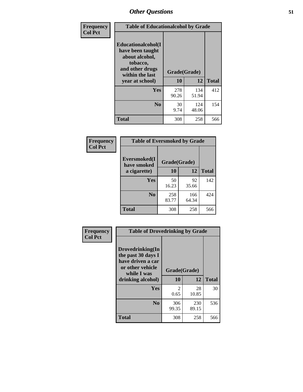| Frequency      | <b>Table of Educationalcohol by Grade</b>                                                                  |              |              |              |  |  |
|----------------|------------------------------------------------------------------------------------------------------------|--------------|--------------|--------------|--|--|
| <b>Col Pct</b> | Educationalcohol(I<br>have been taught<br>about alcohol,<br>tobacco,<br>and other drugs<br>within the last | Grade(Grade) |              |              |  |  |
|                | year at school)                                                                                            | 10           | 12           | <b>Total</b> |  |  |
|                | Yes                                                                                                        | 278<br>90.26 | 134<br>51.94 | 412          |  |  |
|                | N <sub>0</sub>                                                                                             | 30<br>9.74   | 124<br>48.06 | 154          |  |  |
|                | <b>Total</b>                                                                                               | 308          | 258          | 566          |  |  |

| Frequency      | <b>Table of Eversmoked by Grade</b> |              |              |              |  |  |  |
|----------------|-------------------------------------|--------------|--------------|--------------|--|--|--|
| <b>Col Pct</b> | Eversmoked(I<br>have smoked         | Grade(Grade) |              |              |  |  |  |
|                | a cigarette)                        | 10           | 12           | <b>Total</b> |  |  |  |
|                | <b>Yes</b>                          | 50<br>16.23  | 92<br>35.66  | 142          |  |  |  |
|                | N <sub>0</sub>                      | 258<br>83.77 | 166<br>64.34 | 424          |  |  |  |
|                | <b>Total</b>                        | 308          | 258          | 566          |  |  |  |

| Frequency      | <b>Table of Drovedrinking by Grade</b>                                                                              |                    |              |              |  |  |  |
|----------------|---------------------------------------------------------------------------------------------------------------------|--------------------|--------------|--------------|--|--|--|
| <b>Col Pct</b> | Drovedrinking(In<br>the past 30 days I<br>have driven a car<br>or other vehicle<br>while I was<br>drinking alcohol) | Grade(Grade)<br>10 | 12           | <b>Total</b> |  |  |  |
|                | <b>Yes</b>                                                                                                          | 2<br>0.65          | 28<br>10.85  | 30           |  |  |  |
|                | N <sub>0</sub>                                                                                                      | 306<br>99.35       | 230<br>89.15 | 536          |  |  |  |
|                | <b>Total</b>                                                                                                        | 308                | 258          | 566          |  |  |  |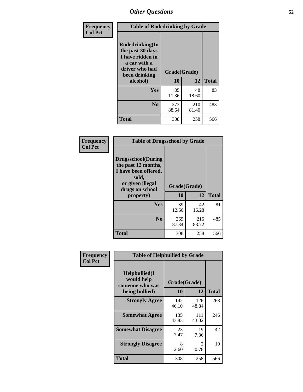| Frequency<br><b>Col Pct</b> | <b>Table of Rodedrinking by Grade</b>                                                                                      |              |              |              |  |  |
|-----------------------------|----------------------------------------------------------------------------------------------------------------------------|--------------|--------------|--------------|--|--|
|                             | Rodedrinking(In<br>the past 30 days<br>I have ridden in<br>a car with a<br>driver who had<br>Grade(Grade)<br>been drinking |              |              |              |  |  |
|                             | alcohol)                                                                                                                   | 10           | 12           | <b>Total</b> |  |  |
|                             | <b>Yes</b>                                                                                                                 | 35<br>11.36  | 48<br>18.60  | 83           |  |  |
|                             | N <sub>0</sub>                                                                                                             | 273<br>88.64 | 210<br>81.40 | 483          |  |  |
|                             | <b>Total</b>                                                                                                               | 308          | 258          | 566          |  |  |

#### **Frequency Col Pct**

| <b>Table of Drugsschool by Grade</b>                                                                                      |              |              |              |  |  |  |
|---------------------------------------------------------------------------------------------------------------------------|--------------|--------------|--------------|--|--|--|
| <b>Drugsschool</b> (During<br>the past 12 months,<br>I have been offered,<br>sold,<br>or given illegal<br>drugs on school | Grade(Grade) |              |              |  |  |  |
| property)                                                                                                                 | 10           | 12           | <b>Total</b> |  |  |  |
| Yes                                                                                                                       | 39<br>12.66  | 42<br>16.28  | 81           |  |  |  |
| N <sub>0</sub>                                                                                                            | 269<br>87.34 | 216<br>83.72 | 485          |  |  |  |
| Total                                                                                                                     | 308          | 258          | 566          |  |  |  |

| Frequency      | <b>Table of Helpbullied by Grade</b>                             |                    |                        |     |  |  |  |
|----------------|------------------------------------------------------------------|--------------------|------------------------|-----|--|--|--|
| <b>Col Pct</b> | Helpbullied(I<br>would help<br>someone who was<br>being bullied) | Grade(Grade)<br>10 | <b>Total</b>           |     |  |  |  |
|                | <b>Strongly Agree</b>                                            | 142<br>46.10       | 12<br>126<br>48.84     | 268 |  |  |  |
|                | <b>Somewhat Agree</b>                                            | 135<br>43.83       | 111<br>43.02           | 246 |  |  |  |
|                | <b>Somewhat Disagree</b>                                         | 23<br>7.47         | 19<br>7.36             | 42  |  |  |  |
|                | <b>Strongly Disagree</b>                                         | 8<br>2.60          | $\mathfrak{D}$<br>0.78 | 10  |  |  |  |
|                | <b>Total</b>                                                     | 308                | 258                    | 566 |  |  |  |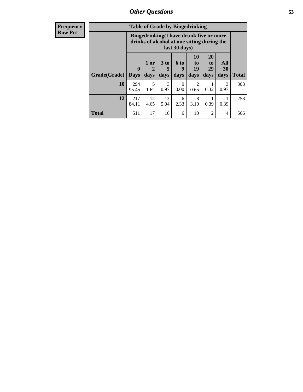| <b>Frequency</b> | <b>Table of Grade by Bingedrinking</b> |                                                                                                         |                   |                              |                   |                        |                               |                          |              |
|------------------|----------------------------------------|---------------------------------------------------------------------------------------------------------|-------------------|------------------------------|-------------------|------------------------|-------------------------------|--------------------------|--------------|
| <b>Row Pct</b>   |                                        | Bingedrinking(I have drunk five or more<br>drinks of alcohol at one sitting during the<br>last 30 days) |                   |                              |                   |                        |                               |                          |              |
|                  | <b>Grade(Grade)</b>                    | $\mathbf{0}$<br><b>Days</b>                                                                             | 1 or<br>2<br>days | 3 <sub>to</sub><br>5<br>days | 6 to<br>9<br>days | 10<br>to<br>19<br>days | <b>20</b><br>to<br>29<br>days | <b>All</b><br>30<br>days | <b>Total</b> |
|                  | <b>10</b>                              | 294<br>95.45                                                                                            | 5<br>1.62         | 3<br>0.97                    | $\Omega$<br>0.00  | $\mathfrak{D}$<br>0.65 | 0.32                          | 3<br>0.97                | 308          |
|                  | 12                                     | 217<br>84.11                                                                                            | 12<br>4.65        | 13<br>5.04                   | 6<br>2.33         | 8<br>3.10              | 0.39                          | 0.39                     | 258          |
|                  | <b>Total</b>                           | 511                                                                                                     | 17                | 16                           | 6                 | 10                     | $\mathfrak{D}$                | 4                        | 566          |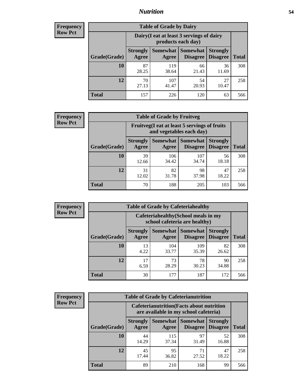### *Nutrition* **54**

| <b>Frequency</b><br>Row Pct |
|-----------------------------|
|                             |

| <b>Table of Grade by Dairy</b> |                          |                                                                 |                                    |                                    |              |  |  |
|--------------------------------|--------------------------|-----------------------------------------------------------------|------------------------------------|------------------------------------|--------------|--|--|
|                                |                          | Dairy (I eat at least 3 servings of dairy<br>products each day) |                                    |                                    |              |  |  |
| Grade(Grade)                   | <b>Strongly</b><br>Agree | <b>Somewhat</b><br>Agree                                        | <b>Somewhat</b><br><b>Disagree</b> | <b>Strongly</b><br><b>Disagree</b> | <b>Total</b> |  |  |
| 10                             | 87<br>28.25              | 119<br>38.64                                                    | 66<br>21.43                        | 36<br>11.69                        | 308          |  |  |
| 12                             | 70<br>27.13              | 107<br>41.47                                                    | 54<br>20.93                        | 27<br>10.47                        | 258          |  |  |
| <b>Total</b>                   | 157                      | 226                                                             | 120                                | 63                                 | 566          |  |  |

#### **Frequency Row Pct**

| <b>Table of Grade by Fruitveg</b>                                        |                          |                     |                             |                                    |              |  |  |
|--------------------------------------------------------------------------|--------------------------|---------------------|-----------------------------|------------------------------------|--------------|--|--|
| Fruitveg(I eat at least 5 servings of fruits<br>and vegetables each day) |                          |                     |                             |                                    |              |  |  |
| Grade(Grade)                                                             | <b>Strongly</b><br>Agree | Somewhat  <br>Agree | <b>Somewhat</b><br>Disagree | <b>Strongly</b><br><b>Disagree</b> | <b>Total</b> |  |  |
| 10                                                                       | 39<br>12.66              | 106<br>34.42        | 107<br>34.74                | 56<br>18.18                        | 308          |  |  |
| 12                                                                       | 31<br>12.02              | 82<br>31.78         | 98<br>37.98                 | 47<br>18.22                        | 258          |  |  |
| Total                                                                    | 70                       | 188                 | 205                         | 103                                | 566          |  |  |

| <b>Frequency</b> |
|------------------|
| <b>Row Pct</b>   |

| <b>Table of Grade by Cafeteriahealthy</b> |                          |                                                                       |                             |                                    |              |  |  |  |
|-------------------------------------------|--------------------------|-----------------------------------------------------------------------|-----------------------------|------------------------------------|--------------|--|--|--|
|                                           |                          | Cafeteriahealthy (School meals in my<br>school cafeteria are healthy) |                             |                                    |              |  |  |  |
| Grade(Grade)                              | <b>Strongly</b><br>Agree | <b>Somewhat</b><br>Agree                                              | <b>Somewhat</b><br>Disagree | <b>Strongly</b><br><b>Disagree</b> | <b>Total</b> |  |  |  |
| 10                                        | 13<br>4.22               | 104<br>33.77                                                          | 109<br>35.39                | 82<br>26.62                        | 308          |  |  |  |
| 12                                        | 17<br>6.59               | 73<br>28.29                                                           | 78<br>30.23                 | 90<br>34.88                        | 258          |  |  |  |
| <b>Total</b>                              | 30                       | 177                                                                   | 187                         | 172                                | 566          |  |  |  |

**Frequency Row Pct**

|                                                                                           |                          | <b>Table of Grade by Cafeterianutrition</b> |                      |                                    |              |  |
|-------------------------------------------------------------------------------------------|--------------------------|---------------------------------------------|----------------------|------------------------------------|--------------|--|
| <b>Cafeterianutrition</b> (Facts about nutrition<br>are available in my school cafeteria) |                          |                                             |                      |                                    |              |  |
| Grade(Grade)                                                                              | <b>Strongly</b><br>Agree | Somewhat  <br>Agree                         | Somewhat<br>Disagree | <b>Strongly</b><br><b>Disagree</b> | <b>Total</b> |  |
| 10                                                                                        | 44<br>14.29              | 115<br>37.34                                | 97<br>31.49          | 52<br>16.88                        | 308          |  |
| 12                                                                                        | 45<br>17.44              | 95<br>36.82                                 | 71<br>27.52          | 47<br>18.22                        | 258          |  |
| <b>Total</b>                                                                              | 89                       | 210                                         | 168                  | 99                                 | 566          |  |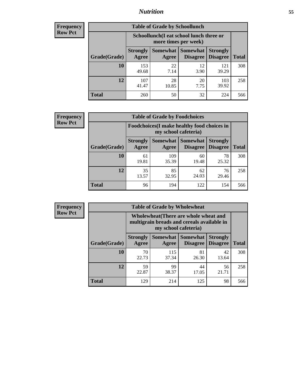### *Nutrition* **55**

| Frequency |
|-----------|
| Row Pct   |

| <b>Table of Grade by Schoollunch</b> |                          |                                                                 |                                    |                                    |              |  |  |
|--------------------------------------|--------------------------|-----------------------------------------------------------------|------------------------------------|------------------------------------|--------------|--|--|
|                                      |                          | Schoollunch(I eat school lunch three or<br>more times per week) |                                    |                                    |              |  |  |
| Grade(Grade)                         | <b>Strongly</b><br>Agree | Somewhat<br>Agree                                               | <b>Somewhat</b><br><b>Disagree</b> | <b>Strongly</b><br><b>Disagree</b> | <b>Total</b> |  |  |
| 10                                   | 153<br>49.68             | 22<br>7.14                                                      | 12<br>3.90                         | 121<br>39.29                       | 308          |  |  |
| 12                                   | 107<br>41.47             | 28<br>10.85                                                     | 20<br>7.75                         | 103<br>39.92                       | 258          |  |  |
| <b>Total</b>                         | 260                      | 50                                                              | 32                                 | 224                                | 566          |  |  |

| <b>Frequency</b> |  |
|------------------|--|
| <b>Row Pct</b>   |  |

| <b>Table of Grade by Foodchoices</b>                                |                          |              |                                      |                                    |              |  |
|---------------------------------------------------------------------|--------------------------|--------------|--------------------------------------|------------------------------------|--------------|--|
| Foodchoices (I make healthy food choices in<br>my school cafeteria) |                          |              |                                      |                                    |              |  |
| Grade(Grade)                                                        | <b>Strongly</b><br>Agree | Agree        | <b>Somewhat Somewhat</b><br>Disagree | <b>Strongly</b><br><b>Disagree</b> | <b>Total</b> |  |
| 10                                                                  | 61<br>19.81              | 109<br>35.39 | 60<br>19.48                          | 78<br>25.32                        | 308          |  |
| 12                                                                  | 35<br>13.57              | 85<br>32.95  | 62<br>24.03                          | 76<br>29.46                        | 258          |  |
| <b>Total</b>                                                        | 96                       | 194          | 122                                  | 154                                | 566          |  |

| <b>Frequency</b> |  |
|------------------|--|
| <b>Row Pct</b>   |  |

| <b>Table of Grade by Wholewheat</b>                                                                         |                          |              |                                   |                                    |              |  |  |
|-------------------------------------------------------------------------------------------------------------|--------------------------|--------------|-----------------------------------|------------------------------------|--------------|--|--|
| Wholewheat (There are whole wheat and<br>multigrain breads and cereals available in<br>my school cafeteria) |                          |              |                                   |                                    |              |  |  |
| Grade(Grade)                                                                                                | <b>Strongly</b><br>Agree | Agree        | Somewhat   Somewhat  <br>Disagree | <b>Strongly</b><br><b>Disagree</b> | <b>Total</b> |  |  |
| 10                                                                                                          | 70<br>22.73              | 115<br>37.34 | 81<br>26.30                       | 42<br>13.64                        | 308          |  |  |
| 12                                                                                                          | 59<br>22.87              | 99<br>38.37  | 44<br>17.05                       | 56<br>21.71                        | 258          |  |  |
| <b>Total</b>                                                                                                | 129                      | 214          | 125                               | 98                                 | 566          |  |  |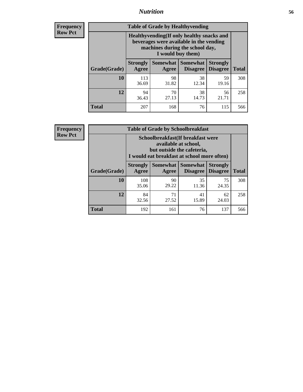### *Nutrition* **56**

**Frequency Row Pct**

| <b>Table of Grade by Healthyvending</b> |                                                                                                                                               |                     |                                    |                                    |              |  |
|-----------------------------------------|-----------------------------------------------------------------------------------------------------------------------------------------------|---------------------|------------------------------------|------------------------------------|--------------|--|
|                                         | Healthyvending (If only healthy snacks and<br>beverages were available in the vending<br>machines during the school day,<br>I would buy them) |                     |                                    |                                    |              |  |
| Grade(Grade)                            | <b>Strongly</b><br>Agree                                                                                                                      | Somewhat  <br>Agree | <b>Somewhat</b><br><b>Disagree</b> | <b>Strongly</b><br><b>Disagree</b> | <b>Total</b> |  |
| 10                                      | 113<br>36.69                                                                                                                                  | 98<br>31.82         | 38<br>12.34                        | 59<br>19.16                        | 308          |  |
| 12                                      | 94<br>36.43                                                                                                                                   | 70<br>27.13         | 38<br>14.73                        | 56<br>21.71                        | 258          |  |
| <b>Total</b>                            | 207                                                                                                                                           | 168                 | 76                                 | 115                                | 566          |  |

**Frequency Row Pct**

| <b>Table of Grade by Schoolbreakfast</b> |                                                                                                                                        |             |                                        |                                    |              |  |
|------------------------------------------|----------------------------------------------------------------------------------------------------------------------------------------|-------------|----------------------------------------|------------------------------------|--------------|--|
|                                          | Schoolbreakfast(If breakfast were<br>available at school,<br>but outside the cafeteria,<br>I would eat breakfast at school more often) |             |                                        |                                    |              |  |
| Grade(Grade)                             | <b>Strongly</b><br>Agree                                                                                                               | Agree       | Somewhat   Somewhat<br><b>Disagree</b> | <b>Strongly</b><br><b>Disagree</b> | <b>Total</b> |  |
| 10                                       | 108<br>35.06                                                                                                                           | 90<br>29.22 | 35<br>11.36                            | 75<br>24.35                        | 308          |  |
| 12                                       | 84<br>32.56                                                                                                                            | 71<br>27.52 | 41<br>15.89                            | 62<br>24.03                        | 258          |  |
| <b>Total</b>                             | 192                                                                                                                                    | 161         | 76                                     | 137                                | 566          |  |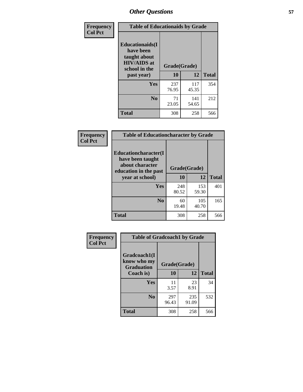| Frequency<br><b>Col Pct</b> | <b>Table of Educationaids by Grade</b>                                                                    |                    |              |              |
|-----------------------------|-----------------------------------------------------------------------------------------------------------|--------------------|--------------|--------------|
|                             | <b>Educationaids</b> (I<br>have been<br>taught about<br><b>HIV/AIDS</b> at<br>school in the<br>past year) | Grade(Grade)<br>10 | 12           | <b>Total</b> |
|                             | Yes                                                                                                       | 237<br>76.95       | 117<br>45.35 | 354          |
|                             | N <sub>0</sub>                                                                                            | 71<br>23.05        | 141<br>54.65 | 212          |
|                             | <b>Total</b>                                                                                              | 308                | 258          | 566          |

| <b>Frequency</b> | <b>Table of Educationcharacter by Grade</b>                                          |              |              |              |
|------------------|--------------------------------------------------------------------------------------|--------------|--------------|--------------|
| <b>Col Pct</b>   | Educationcharacter(I<br>have been taught<br>about character<br>education in the past | Grade(Grade) |              |              |
|                  | year at school)                                                                      | 10           | 12           | <b>Total</b> |
|                  | Yes                                                                                  | 248<br>80.52 | 153<br>59.30 | 401          |
|                  | N <sub>0</sub>                                                                       | 60<br>19.48  | 105<br>40.70 | 165          |
|                  | <b>Total</b>                                                                         | 308          | 258          | 566          |

| Frequency      | <b>Table of Gradcoach1 by Grade</b>              |              |              |              |
|----------------|--------------------------------------------------|--------------|--------------|--------------|
| <b>Col Pct</b> | Gradcoach1(I<br>know who my<br><b>Graduation</b> | Grade(Grade) |              |              |
|                | Coach is)                                        | 10           | 12           | <b>Total</b> |
|                | Yes                                              | 11<br>3.57   | 23<br>8.91   | 34           |
|                | N <sub>0</sub>                                   | 297<br>96.43 | 235<br>91.09 | 532          |
|                | <b>Total</b>                                     | 308          | 258          | 566          |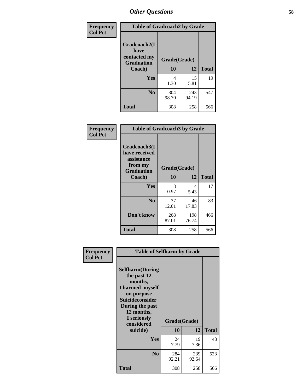| Frequency      | <b>Table of Gradcoach2 by Grade</b> |              |              |              |
|----------------|-------------------------------------|--------------|--------------|--------------|
| <b>Col Pct</b> | Gradcoach2(I<br>have                |              |              |              |
|                | contacted my<br><b>Graduation</b>   | Grade(Grade) |              |              |
|                | Coach)                              | 10           | 12           | <b>Total</b> |
|                | Yes                                 | 4<br>1.30    | 15<br>5.81   | 19           |
|                | N <sub>0</sub>                      | 304<br>98.70 | 243<br>94.19 | 547          |
|                | <b>Total</b>                        | 308          | 258          | 566          |

| <b>Frequency</b><br><b>Col Pct</b> | <b>Table of Gradcoach3 by Grade</b>                                         |              |              |              |
|------------------------------------|-----------------------------------------------------------------------------|--------------|--------------|--------------|
|                                    | Gradcoach3(I<br>have received<br>assistance<br>from my<br><b>Graduation</b> | Grade(Grade) |              |              |
|                                    | Coach)                                                                      | 10           | 12           | <b>Total</b> |
|                                    | Yes                                                                         | 3<br>0.97    | 14<br>5.43   | 17           |
|                                    | N <sub>0</sub>                                                              | 37<br>12.01  | 46<br>17.83  | 83           |
|                                    | Don't know                                                                  | 268<br>87.01 | 198<br>76.74 | 466          |
|                                    | <b>Total</b>                                                                | 308          | 258          | 566          |

| Frequency      | <b>Table of Selfharm by Grade</b>                                                                                                                                                      |                    |              |              |
|----------------|----------------------------------------------------------------------------------------------------------------------------------------------------------------------------------------|--------------------|--------------|--------------|
| <b>Col Pct</b> | <b>Selfharm</b> (During<br>the past 12<br>months,<br>I harmed myself<br>on purpose<br><b>Suicideconsider</b><br>During the past<br>12 months,<br>I seriously<br>considered<br>suicide) | Grade(Grade)<br>10 | 12           | <b>Total</b> |
|                | Yes                                                                                                                                                                                    | 24<br>7.79         | 19<br>7.36   | 43           |
|                | N <sub>0</sub>                                                                                                                                                                         | 284<br>92.21       | 239<br>92.64 | 523          |
|                | Total                                                                                                                                                                                  | 308                | 258          | 566          |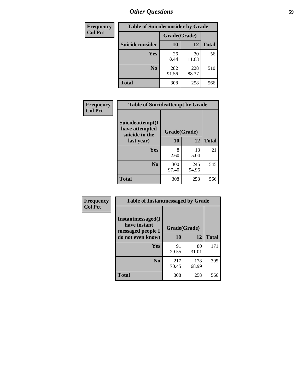| <b>Frequency</b> | <b>Table of Suicideconsider by Grade</b> |              |              |              |  |
|------------------|------------------------------------------|--------------|--------------|--------------|--|
| <b>Col Pct</b>   |                                          | Grade(Grade) |              |              |  |
|                  | Suicideconsider                          | <b>10</b>    | 12           | <b>Total</b> |  |
|                  | Yes                                      | 26<br>8.44   | 30<br>11.63  | 56           |  |
|                  | N <sub>0</sub>                           | 282<br>91.56 | 228<br>88.37 | 510          |  |
|                  | Total                                    | 308          | 258          | 566          |  |

| Frequency      | <b>Table of Suicideattempt by Grade</b>              |              |       |              |
|----------------|------------------------------------------------------|--------------|-------|--------------|
| <b>Col Pct</b> | Suicideattempt(I<br>have attempted<br>suicide in the | Grade(Grade) |       |              |
|                | last year)                                           | 10           | 12    | <b>Total</b> |
|                | Yes                                                  | 8            | 13    | 21           |
|                |                                                      | 2.60         | 5.04  |              |
|                | N <sub>0</sub>                                       | 300          | 245   | 545          |
|                |                                                      | 97.40        | 94.96 |              |
|                | <b>Total</b>                                         | 308          | 258   | 566          |

| Frequency      | <b>Table of Instantmessaged by Grade</b>               |              |              |              |
|----------------|--------------------------------------------------------|--------------|--------------|--------------|
| <b>Col Pct</b> | Instantmessaged(I<br>have instant<br>messaged people I | Grade(Grade) |              |              |
|                | do not even know)                                      | 10           | 12           | <b>Total</b> |
|                | Yes                                                    | 91<br>29.55  | 80<br>31.01  | 171          |
|                | N <sub>0</sub>                                         | 217<br>70.45 | 178<br>68.99 | 395          |
|                | <b>Total</b>                                           | 308          | 258          | 566          |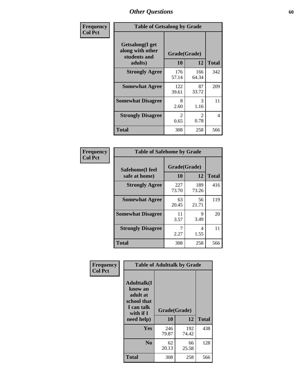| Frequency      | <b>Table of Getsalong by Grade</b>                          |                        |                       |              |
|----------------|-------------------------------------------------------------|------------------------|-----------------------|--------------|
| <b>Col Pct</b> | <b>Getsalong</b> (I get<br>along with other<br>students and | Grade(Grade)           |                       |              |
|                | adults)                                                     | 10                     | 12                    | <b>Total</b> |
|                | <b>Strongly Agree</b>                                       | 176<br>57.14           | 166<br>64.34          | 342          |
|                | <b>Somewhat Agree</b>                                       | 122<br>39.61           | 87<br>33.72           | 209          |
|                | <b>Somewhat Disagree</b>                                    | 8<br>2.60              | 3<br>1.16             | 11           |
|                | <b>Strongly Disagree</b>                                    | $\mathfrak{D}$<br>0.65 | $\mathcal{L}$<br>0.78 | 4            |
|                | <b>Total</b>                                                | 308                    | 258                   | 566          |

| Frequency      | <b>Table of Safehome by Grade</b> |                    |              |              |  |  |  |
|----------------|-----------------------------------|--------------------|--------------|--------------|--|--|--|
| <b>Col Pct</b> | Safehome(I feel<br>safe at home)  | Grade(Grade)<br>10 | 12           | <b>Total</b> |  |  |  |
|                | <b>Strongly Agree</b>             | 227<br>73.70       | 189<br>73.26 | 416          |  |  |  |
|                | <b>Somewhat Agree</b>             | 63<br>20.45        | 56<br>21.71  | 119          |  |  |  |
|                | <b>Somewhat Disagree</b>          | 11<br>3.57         | 9<br>3.49    | 20           |  |  |  |
|                | <b>Strongly Disagree</b>          | 2.27               | 4<br>1.55    | 11           |  |  |  |
|                | <b>Total</b>                      | 308                | 258          | 566          |  |  |  |

| Frequency      |                                                                                     | <b>Table of Adulttalk by Grade</b> |              |              |  |  |  |  |
|----------------|-------------------------------------------------------------------------------------|------------------------------------|--------------|--------------|--|--|--|--|
| <b>Col Pct</b> | <b>Adulttalk(I</b><br>know an<br>adult at<br>school that<br>I can talk<br>with if I | Grade(Grade)                       |              |              |  |  |  |  |
|                | need help)                                                                          | 10                                 | 12           | <b>Total</b> |  |  |  |  |
|                | <b>Yes</b>                                                                          | 246<br>79.87                       | 192<br>74.42 | 438          |  |  |  |  |
|                | N <sub>0</sub>                                                                      | 62<br>20.13                        | 66<br>25.58  | 128          |  |  |  |  |
|                | <b>Total</b>                                                                        | 308                                | 258          | 566          |  |  |  |  |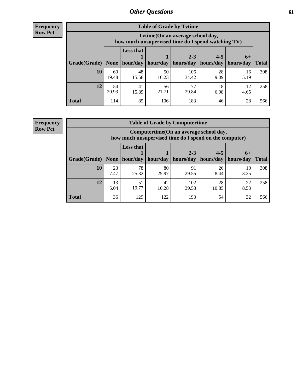**Frequency Row Pct**

| <b>Table of Grade by Tytime</b> |             |                                                                                        |             |              |            |            |              |  |  |  |
|---------------------------------|-------------|----------------------------------------------------------------------------------------|-------------|--------------|------------|------------|--------------|--|--|--|
|                                 |             | Tvtime(On an average school day,<br>how much unsupervised time do I spend watching TV) |             |              |            |            |              |  |  |  |
|                                 |             | <b>Less that</b><br>$2 - 3$<br>$4 - 5$<br>$6+$                                         |             |              |            |            |              |  |  |  |
| Grade(Grade)                    | None        | hour/day                                                                               | hour/day    | hours/day    | hours/day  | hours/day  | <b>Total</b> |  |  |  |
| 10                              | 60<br>19.48 | 48<br>15.58                                                                            | 50<br>16.23 | 106<br>34.42 | 28<br>9.09 | 16<br>5.19 | 308          |  |  |  |
| 12                              | 54<br>20.93 | 41<br>15.89                                                                            | 56<br>21.71 | 77<br>29.84  | 18<br>6.98 | 12<br>4.65 | 258          |  |  |  |
| <b>Total</b>                    | 114         | 89                                                                                     | 106         | 183          | 46         | 28         | 566          |  |  |  |

**Frequency Row Pct**

| <b>Table of Grade by Computertime</b> |            |                                                                                                                              |             |              |             |            |     |  |  |
|---------------------------------------|------------|------------------------------------------------------------------------------------------------------------------------------|-------------|--------------|-------------|------------|-----|--|--|
|                                       |            | Computertime (On an average school day,<br>how much unsupervised time do I spend on the computer)                            |             |              |             |            |     |  |  |
| Grade(Grade)                          | None $ $   | <b>Less that</b><br>$4 - 5$<br>$2 - 3$<br>$6+$<br>hour/day   hour/day<br>hours/day<br>hours/day<br>hours/day<br><b>Total</b> |             |              |             |            |     |  |  |
| 10                                    | 23<br>7.47 | 78<br>25.32                                                                                                                  | 80<br>25.97 | 91<br>29.55  | 26<br>8.44  | 10<br>3.25 | 308 |  |  |
| 12                                    | 13<br>5.04 | 51<br>19.77                                                                                                                  | 42<br>16.28 | 102<br>39.53 | 28<br>10.85 | 22<br>8.53 | 258 |  |  |
| <b>Total</b>                          | 36         | 129                                                                                                                          | 122         | 193          | 54          | 32         | 566 |  |  |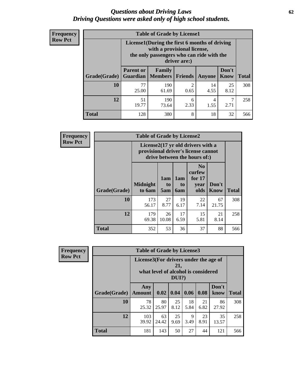#### *Questions about Driving Laws* **62** *Driving Questions were asked only of high school students.*

| <b>Frequency</b> |
|------------------|
| <b>Row Pct</b>   |

| <b>Table of Grade by License1</b> |                                                               |                                                                                                                                           |                |               |                      |              |  |  |  |
|-----------------------------------|---------------------------------------------------------------|-------------------------------------------------------------------------------------------------------------------------------------------|----------------|---------------|----------------------|--------------|--|--|--|
|                                   |                                                               | License1(During the first 6 months of driving<br>with a provisional license,<br>the only passengers who can ride with the<br>driver are:) |                |               |                      |              |  |  |  |
| Grade(Grade)                      | <b>Parent or</b><br><b>Guardian</b>                           | Family<br><b>Members</b>                                                                                                                  | <b>Friends</b> | <b>Anyone</b> | Don't<br><b>Know</b> | <b>Total</b> |  |  |  |
| 10                                | 77<br>25.00                                                   | 190<br>61.69                                                                                                                              | 2<br>0.65      | 14<br>4.55    | 25<br>8.12           | 308          |  |  |  |
| 12                                | 51<br>190<br>4<br>6<br>19.77<br>2.71<br>2.33<br>73.64<br>1.55 |                                                                                                                                           |                |               |                      |              |  |  |  |
| Total                             | 128                                                           | 380                                                                                                                                       | 8              | 18            | 32                   | 566          |  |  |  |

| Frequency      |              | <b>Table of Grade by License2</b>                                                                        |                  |                  |                                                      |               |              |  |  |
|----------------|--------------|----------------------------------------------------------------------------------------------------------|------------------|------------------|------------------------------------------------------|---------------|--------------|--|--|
| <b>Row Pct</b> |              | License2(17 yr old drivers with a<br>provisional driver's license cannot<br>drive between the hours of:) |                  |                  |                                                      |               |              |  |  |
|                | Grade(Grade) | <b>Midnight</b><br>to 6am                                                                                | 1am<br>to<br>5am | 1am<br>to<br>6am | N <sub>0</sub><br>curfew<br>for $17$<br>year<br>olds | Don't<br>Know | <b>Total</b> |  |  |
|                | 10           | 173<br>56.17                                                                                             | 27<br>8.77       | 19<br>6.17       | 22<br>7.14                                           | 67<br>21.75   | 308          |  |  |
|                | 12           | 179<br>69.38                                                                                             | 26<br>10.08      | 17<br>6.59       | 15<br>5.81                                           | 21<br>8.14    | 258          |  |  |
|                | <b>Total</b> | 352                                                                                                      | 53               | 36               | 37                                                   | 88            | 566          |  |  |

| Frequency      | <b>Table of Grade by License3</b> |                                       |                                     |                 |            |            |               |              |
|----------------|-----------------------------------|---------------------------------------|-------------------------------------|-----------------|------------|------------|---------------|--------------|
| <b>Row Pct</b> |                                   | License3(For drivers under the age of | what level of alcohol is considered | 21,<br>$DUI$ ?) |            |            |               |              |
|                | Grade(Grade)                      | Any<br><b>Amount</b>                  | 0.02                                | 0.04            | 0.06       | 0.08       | Don't<br>know | <b>Total</b> |
|                | 10                                | 78<br>25.32                           | 80<br>25.97                         | 25<br>8.12      | 18<br>5.84 | 21<br>6.82 | 86<br>27.92   | 308          |
|                | 12                                | 103<br>39.92                          | 63<br>24.42                         | 25<br>9.69      | 9<br>3.49  | 23<br>8.91 | 35<br>13.57   | 258          |
|                | <b>Total</b>                      | 181                                   | 143                                 | 50              | 27         | 44         | 121           | 566          |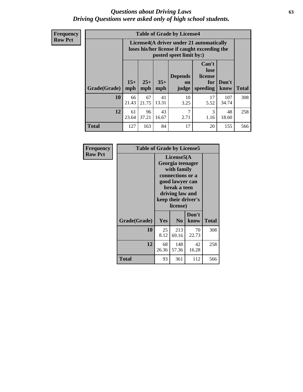#### *Questions about Driving Laws* **63** *Driving Questions were asked only of high school students.*

**Frequency Row Pct**

| <b>Table of Grade by License4</b> |              |                                                                                                                                               |             |            |            |              |     |  |
|-----------------------------------|--------------|-----------------------------------------------------------------------------------------------------------------------------------------------|-------------|------------|------------|--------------|-----|--|
|                                   |              | License4(A driver under 21 automatically<br>loses his/her license if caught exceeding the<br>posted speet limit by:)                          |             |            |            |              |     |  |
| Grade(Grade)                      | $15+$<br>mph | Can't<br>lose<br><b>Depends</b><br>license<br>$25+$<br>$35+$<br>Don't<br>for<br>on<br>speeding<br><b>Total</b><br>mph<br>mph<br>know<br>judge |             |            |            |              |     |  |
| 10                                | 66<br>21.43  | 67<br>21.75                                                                                                                                   | 41<br>13.31 | 10<br>3.25 | 17<br>5.52 | 107<br>34.74 | 308 |  |
| 12                                | 61<br>23.64  | 96<br>37.21                                                                                                                                   | 43<br>16.67 | 7<br>2.71  | 3<br>1.16  | 48<br>18.60  | 258 |  |
| <b>Total</b>                      | 127          | 163                                                                                                                                           | 84          | 17         | 20         | 155          | 566 |  |

| Frequency      | <b>Table of Grade by License5</b> |             |                                                                                                                                      |                     |       |  |
|----------------|-----------------------------------|-------------|--------------------------------------------------------------------------------------------------------------------------------------|---------------------|-------|--|
| <b>Row Pct</b> |                                   |             | License5(A)<br>Georgia teenager<br>with family<br>connections or a<br>good lawyer can<br>break a teen<br>driving law and<br>license) | keep their driver's |       |  |
|                | Grade(Grade)                      | <b>Yes</b>  | N <sub>0</sub>                                                                                                                       | Don't<br>know       | Total |  |
|                | 10                                | 25<br>8.12  | 213<br>69.16                                                                                                                         | 70<br>22.73         | 308   |  |
|                | 12                                | 68<br>26.36 | 148<br>57.36                                                                                                                         | 42<br>16.28         | 258   |  |
|                | Total                             | 93          | 361                                                                                                                                  | 112                 | 566   |  |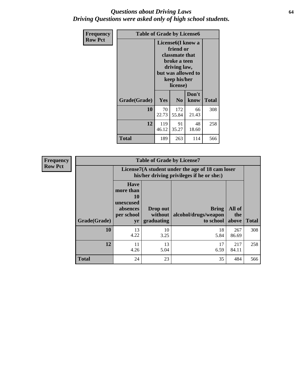### *Questions about Driving Laws* **64** *Driving Questions were asked only of high school students.*

| <b>Frequency</b> | <b>Table of Grade by License6</b> |              |                                                                                                                           |                    |              |  |
|------------------|-----------------------------------|--------------|---------------------------------------------------------------------------------------------------------------------------|--------------------|--------------|--|
| <b>Row Pct</b>   |                                   |              | License <sub>6</sub> (I know a<br>friend or<br>classmate that<br>broke a teen<br>driving law,<br>keep his/her<br>license) | but was allowed to |              |  |
|                  | Grade(Grade)                      | Yes          | N <sub>0</sub>                                                                                                            | Don't<br>know      | <b>Total</b> |  |
|                  | 10                                | 70<br>22.73  | 172<br>55.84                                                                                                              | 66<br>21.43        | 308          |  |
|                  | 12                                | 119<br>46.12 | 91<br>35.27                                                                                                               | 48<br>18.60        | 258          |  |
|                  | <b>Total</b>                      | 189          | 263                                                                                                                       | 114                | 566          |  |

| <b>Frequency</b> |              |                                                                             | <b>Table of Grade by License7</b>                                                             |                                                   |                        |              |  |  |  |
|------------------|--------------|-----------------------------------------------------------------------------|-----------------------------------------------------------------------------------------------|---------------------------------------------------|------------------------|--------------|--|--|--|
| <b>Row Pct</b>   |              |                                                                             | License7(A student under the age of 18 cam loser<br>his/her driving privileges if he or she:) |                                                   |                        |              |  |  |  |
|                  | Grade(Grade) | <b>Have</b><br>more than<br>10<br>unexcused<br>absences<br>per school<br>yr | Drop out<br>without  <br>graduating                                                           | <b>Bring</b><br>alcohol/drugs/weapon<br>to school | All of<br>the<br>above | <b>Total</b> |  |  |  |
|                  | 10           | 13<br>4.22                                                                  | 10<br>3.25                                                                                    | 18<br>5.84                                        | 267<br>86.69           | 308          |  |  |  |
|                  | 12           | 11<br>4.26                                                                  | 13<br>5.04                                                                                    | 17<br>6.59                                        | 217<br>84.11           | 258          |  |  |  |
|                  | <b>Total</b> | 24                                                                          | 23                                                                                            | 35                                                | 484                    | 566          |  |  |  |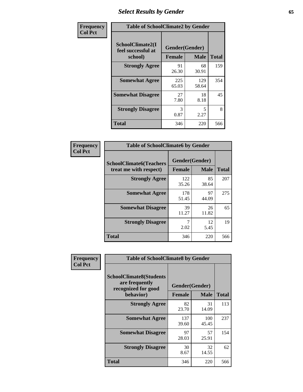# *Select Results by Gender* **65**

| Frequency      | <b>Table of SchoolClimate2 by Gender</b>          |                                 |              |              |
|----------------|---------------------------------------------------|---------------------------------|--------------|--------------|
| <b>Col Pct</b> | SchoolClimate2(I<br>feel successful at<br>school) | Gender(Gender)<br><b>Female</b> | <b>Male</b>  | <b>Total</b> |
|                | <b>Strongly Agree</b>                             | 91<br>26.30                     | 68<br>30.91  | 159          |
|                | <b>Somewhat Agree</b>                             | 225<br>65.03                    | 129<br>58.64 | 354          |
|                | <b>Somewhat Disagree</b>                          | 27<br>7.80                      | 18<br>8.18   | 45           |
|                | <b>Strongly Disagree</b>                          | 3<br>0.87                       | 5<br>2.27    | 8            |
|                | <b>Total</b>                                      | 346                             | 220          | 566          |

| Frequency      | <b>Table of SchoolClimate6 by Gender</b>                 |                                 |             |              |  |
|----------------|----------------------------------------------------------|---------------------------------|-------------|--------------|--|
| <b>Col Pct</b> | <b>SchoolClimate6(Teachers</b><br>treat me with respect) | Gender(Gender)<br><b>Female</b> | <b>Male</b> | <b>Total</b> |  |
|                | <b>Strongly Agree</b>                                    | 122<br>35.26                    | 85<br>38.64 | 207          |  |
|                | <b>Somewhat Agree</b>                                    | 178<br>51.45                    | 97<br>44.09 | 275          |  |
|                | <b>Somewhat Disagree</b>                                 | 39<br>11.27                     | 26<br>11.82 | 65           |  |
|                | <b>Strongly Disagree</b>                                 | 7<br>2.02                       | 12<br>5.45  | 19           |  |
|                | <b>Total</b>                                             | 346                             | 220         | 566          |  |

| <b>Frequency</b> | <b>Table of SchoolClimate8 by Gender</b>                                             |               |                               |              |
|------------------|--------------------------------------------------------------------------------------|---------------|-------------------------------|--------------|
| <b>Col Pct</b>   | <b>SchoolClimate8(Students</b><br>are frequently<br>recognized for good<br>behavior) | <b>Female</b> | Gender(Gender)<br><b>Male</b> | <b>Total</b> |
|                  | <b>Strongly Agree</b>                                                                | 82<br>23.70   | 31<br>14.09                   | 113          |
|                  | <b>Somewhat Agree</b>                                                                | 137<br>39.60  | 100<br>45.45                  | 237          |
|                  | <b>Somewhat Disagree</b>                                                             | 97<br>28.03   | 57<br>25.91                   | 154          |
|                  | <b>Strongly Disagree</b>                                                             | 30<br>8.67    | 32<br>14.55                   | 62           |
|                  | Total                                                                                | 346           | 220                           | 566          |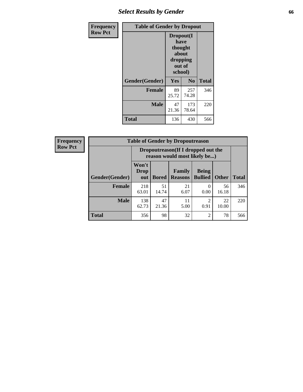# *Select Results by Gender* **66**

| Frequency      | <b>Table of Gender by Dropout</b> |                                                                        |                |              |
|----------------|-----------------------------------|------------------------------------------------------------------------|----------------|--------------|
| <b>Row Pct</b> |                                   | Dropout(I<br>have<br>thought<br>about<br>dropping<br>out of<br>school) |                |              |
|                | Gender(Gender)                    | Yes                                                                    | N <sub>0</sub> | <b>Total</b> |
|                | <b>Female</b>                     | 89<br>25.72                                                            | 257<br>74.28   | 346          |
|                | <b>Male</b>                       | 47<br>21.36                                                            | 173<br>78.64   | 220          |
|                | <b>Total</b>                      | 136                                                                    | 430            | 566          |

| <b>Frequency</b> |                        | <b>Table of Gender by Dropoutreason</b> |                                                                    |                          |                                |              |              |
|------------------|------------------------|-----------------------------------------|--------------------------------------------------------------------|--------------------------|--------------------------------|--------------|--------------|
| <b>Row Pct</b>   |                        |                                         | Dropoutreason(If I dropped out the<br>reason would most likely be) |                          |                                |              |              |
|                  | <b>Gender</b> (Gender) | Won't<br><b>Drop</b><br>out             | <b>Bored</b>                                                       | Family<br><b>Reasons</b> | <b>Being</b><br><b>Bullied</b> | <b>Other</b> | <b>Total</b> |
|                  | <b>Female</b>          | 218<br>63.01                            | 51<br>14.74                                                        | 21<br>6.07               | 0.00                           | 56<br>16.18  | 346          |
|                  | <b>Male</b>            | 138<br>62.73                            | 47<br>21.36                                                        | 11<br>5.00               | っ<br>0.91                      | 22<br>10.00  | 220          |
|                  | <b>Total</b>           | 356                                     | 98                                                                 | 32                       | $\overline{c}$                 | 78           | 566          |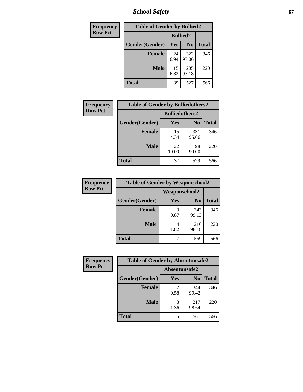*School Safety* **67**

| Frequency      | <b>Table of Gender by Bullied2</b> |                 |                |              |
|----------------|------------------------------------|-----------------|----------------|--------------|
| <b>Row Pct</b> |                                    | <b>Bullied2</b> |                |              |
|                | Gender(Gender)                     | Yes             | N <sub>0</sub> | <b>Total</b> |
|                | <b>Female</b>                      | 24<br>6.94      | 322<br>93.06   | 346          |
|                | <b>Male</b>                        | 15<br>6.82      | 205<br>93.18   | 220          |
|                | <b>Total</b>                       | 39              | 527            | 566          |

| Frequency      | <b>Table of Gender by Bulliedothers2</b> |                       |                |              |
|----------------|------------------------------------------|-----------------------|----------------|--------------|
| <b>Row Pct</b> |                                          | <b>Bulliedothers2</b> |                |              |
|                | Gender(Gender)                           | <b>Yes</b>            | N <sub>0</sub> | <b>Total</b> |
|                | <b>Female</b>                            | 15<br>4.34            | 331<br>95.66   | 346          |
|                | <b>Male</b>                              | 22<br>10.00           | 198<br>90.00   | 220          |
|                | <b>Total</b>                             | 37                    | 529            | 566          |

| Frequency      | <b>Table of Gender by Weaponschool2</b> |                      |                |              |
|----------------|-----------------------------------------|----------------------|----------------|--------------|
| <b>Row Pct</b> |                                         | <b>Weaponschool2</b> |                |              |
|                | Gender(Gender)                          | Yes                  | N <sub>0</sub> | <b>Total</b> |
|                | <b>Female</b>                           | 3<br>0.87            | 343<br>99.13   | 346          |
|                | <b>Male</b>                             | 1.82                 | 216<br>98.18   | 220          |
|                | <b>Total</b>                            |                      | 559            | 566          |

| Frequency      | <b>Table of Gender by Absentunsafe2</b> |               |                |              |  |
|----------------|-----------------------------------------|---------------|----------------|--------------|--|
| <b>Row Pct</b> |                                         | Absentunsafe2 |                |              |  |
|                | Gender(Gender)                          | Yes           | N <sub>0</sub> | <b>Total</b> |  |
|                | <b>Female</b>                           | 0.58          | 344<br>99.42   | 346          |  |
|                | <b>Male</b>                             | 1.36          | 217<br>98.64   | 220          |  |
|                | <b>Total</b>                            | 5             | 561            | 566          |  |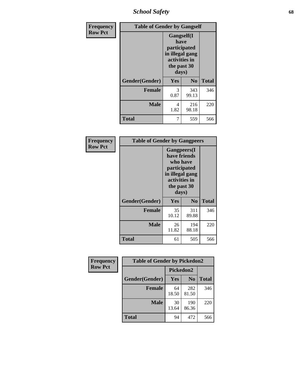*School Safety* **68**

| Frequency      |                | <b>Table of Gender by Gangself</b>                                                                    |                |              |
|----------------|----------------|-------------------------------------------------------------------------------------------------------|----------------|--------------|
| <b>Row Pct</b> |                | <b>Gangself(I</b><br>have<br>participated<br>in illegal gang<br>activities in<br>the past 30<br>days) |                |              |
|                | Gender(Gender) | Yes                                                                                                   | N <sub>0</sub> | <b>Total</b> |
|                | <b>Female</b>  | 3<br>0.87                                                                                             | 343<br>99.13   | 346          |
|                | <b>Male</b>    | 4<br>1.82                                                                                             | 216<br>98.18   | 220          |
|                | <b>Total</b>   | 7                                                                                                     | 559            | 566          |

| Frequency      | <b>Table of Gender by Gangpeers</b> |                                                                                                                             |                |              |
|----------------|-------------------------------------|-----------------------------------------------------------------------------------------------------------------------------|----------------|--------------|
| <b>Row Pct</b> |                                     | <b>Gangpeers</b> (I<br>have friends<br>who have<br>participated<br>in illegal gang<br>activities in<br>the past 30<br>days) |                |              |
|                | Gender(Gender)                      | Yes                                                                                                                         | N <sub>0</sub> | <b>Total</b> |
|                | <b>Female</b>                       | 35<br>10.12                                                                                                                 | 311<br>89.88   | 346          |
|                | <b>Male</b>                         | 26<br>11.82                                                                                                                 | 194<br>88.18   | 220          |
|                | <b>Total</b>                        | 61                                                                                                                          | 505            | 566          |

| Frequency      | <b>Table of Gender by Pickedon2</b> |             |                |              |
|----------------|-------------------------------------|-------------|----------------|--------------|
| <b>Row Pct</b> |                                     | Pickedon2   |                |              |
|                | Gender(Gender)                      | Yes         | N <sub>0</sub> | <b>Total</b> |
|                | <b>Female</b>                       | 64<br>18.50 | 282<br>81.50   | 346          |
|                | <b>Male</b>                         | 30<br>13.64 | 190<br>86.36   | 220          |
|                | <b>Total</b>                        | 94          | 472            | 566          |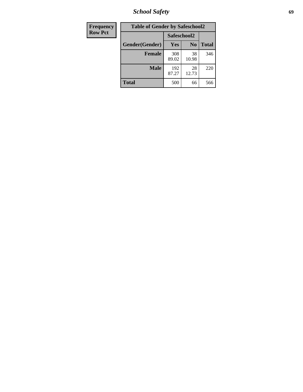*School Safety* **69**

| Frequency      | <b>Table of Gender by Safeschool2</b> |              |                |              |  |
|----------------|---------------------------------------|--------------|----------------|--------------|--|
| <b>Row Pct</b> |                                       | Safeschool2  |                |              |  |
|                | Gender(Gender)                        | Yes          | N <sub>0</sub> | <b>Total</b> |  |
|                | <b>Female</b>                         | 308<br>89.02 | 38<br>10.98    | 346          |  |
|                | <b>Male</b>                           | 192<br>87.27 | 28<br>12.73    | 220          |  |
|                | <b>Total</b>                          | 500          | 66             | 566          |  |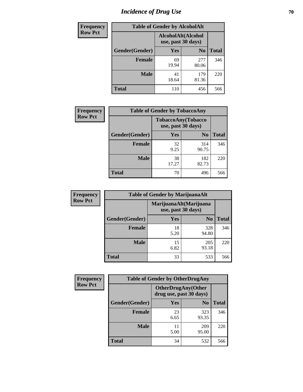# *Incidence of Drug Use* **70**

| <b>Frequency</b> | <b>Table of Gender by AlcoholAlt</b> |                                          |                |              |  |
|------------------|--------------------------------------|------------------------------------------|----------------|--------------|--|
| <b>Row Pct</b>   |                                      | AlcoholAlt(Alcohol<br>use, past 30 days) |                |              |  |
|                  | Gender(Gender)                       | <b>Yes</b>                               | N <sub>0</sub> | <b>Total</b> |  |
|                  | <b>Female</b>                        | 69<br>19.94                              | 277<br>80.06   | 346          |  |
|                  | <b>Male</b>                          | 41<br>18.64                              | 179<br>81.36   | 220          |  |
|                  | <b>Total</b>                         | 110                                      | 456            | 566          |  |

| Frequency      | <b>Table of Gender by TobaccoAny</b> |                    |                    |              |  |
|----------------|--------------------------------------|--------------------|--------------------|--------------|--|
| <b>Row Pct</b> |                                      | use, past 30 days) | TobaccoAny(Tobacco |              |  |
|                | Gender(Gender)                       | Yes                | N <sub>0</sub>     | <b>Total</b> |  |
|                | <b>Female</b>                        | 32<br>9.25         | 314<br>90.75       | 346          |  |
|                | <b>Male</b>                          | 38<br>17.27        | 182<br>82.73       | 220          |  |
|                | <b>Total</b>                         | 70                 | 496                | 566          |  |

| <b>Frequency</b> | <b>Table of Gender by MarijuanaAlt</b> |                    |                        |              |
|------------------|----------------------------------------|--------------------|------------------------|--------------|
| <b>Row Pct</b>   |                                        | use, past 30 days) | MarijuanaAlt(Marijuana |              |
|                  | Gender(Gender)                         | <b>Yes</b>         | N <sub>0</sub>         | <b>Total</b> |
|                  | Female                                 | 18<br>5.20         | 328<br>94.80           | 346          |
|                  | <b>Male</b>                            | 15<br>6.82         | 205<br>93.18           | 220          |
|                  | <b>Total</b>                           | 33                 | 533                    | 566          |

| <b>Frequency</b> | <b>Table of Gender by OtherDrugAny</b> |                                                       |                |              |  |
|------------------|----------------------------------------|-------------------------------------------------------|----------------|--------------|--|
| <b>Row Pct</b>   |                                        | <b>OtherDrugAny</b> (Other<br>drug use, past 30 days) |                |              |  |
|                  | Gender(Gender)                         | <b>Yes</b>                                            | N <sub>0</sub> | <b>Total</b> |  |
|                  | <b>Female</b>                          | 23<br>6.65                                            | 323<br>93.35   | 346          |  |
|                  | <b>Male</b>                            | 11<br>5.00                                            | 209<br>95.00   | 220          |  |
|                  | <b>Total</b>                           | 34                                                    | 532            | 566          |  |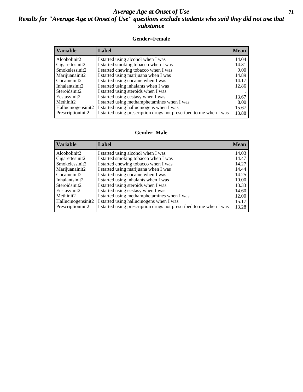### *Average Age at Onset of Use* **71** *Results for "Average Age at Onset of Use" questions exclude students who said they did not use that substance*

#### **Gender=Female**

| <b>Variable</b>                 | <b>Label</b>                                                       | <b>Mean</b> |
|---------------------------------|--------------------------------------------------------------------|-------------|
| Alcoholinit2                    | I started using alcohol when I was                                 | 14.04       |
| Cigarettesinit2                 | I started smoking tobacco when I was                               | 14.31       |
| Smokelessinit2                  | I started chewing tobacco when I was                               | 9.00        |
| Marijuanainit2                  | I started using marijuana when I was                               | 14.89       |
| Cocaineinit2                    | I started using cocaine when I was                                 | 14.17       |
| Inhalantsinit2                  | I started using inhalants when I was                               | 12.86       |
| Steroidsinit2                   | I started using steroids when I was                                |             |
| Ecstasyinit2                    | I started using ecstasy when I was                                 | 13.67       |
| Methinit2                       | I started using methamphetamines when I was                        | 8.00        |
| Hallucinogensinit2              | I started using hallucinogens when I was                           | 15.67       |
| Prescription in it <sub>2</sub> | I started using prescription drugs not prescribed to me when I was | 13.88       |

#### **Gender=Male**

| <b>Variable</b>                 | Label                                                              | <b>Mean</b> |
|---------------------------------|--------------------------------------------------------------------|-------------|
| Alcoholinit2                    | I started using alcohol when I was                                 | 14.03       |
| Cigarettesinit2                 | I started smoking tobacco when I was                               | 14.47       |
| Smokelessinit2                  | I started chewing tobacco when I was                               | 14.27       |
| Marijuanainit2                  | I started using marijuana when I was                               | 14.44       |
| Cocaineinit2                    | I started using cocaine when I was                                 | 14.25       |
| Inhalantsinit2                  | I started using inhalants when I was                               | 10.00       |
| Steroidsinit2                   | I started using steroids when I was                                | 13.33       |
| Ecstasyinit2                    | I started using ecstasy when I was                                 | 14.60       |
| Methinit2                       | I started using methamphetamines when I was                        | 12.00       |
| Hallucinogensinit2              | I started using hallucinogens when I was                           | 15.17       |
| Prescription in it <sub>2</sub> | I started using prescription drugs not prescribed to me when I was | 13.28       |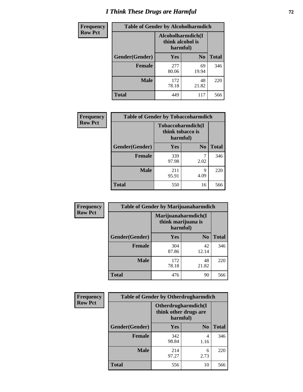# *I Think These Drugs are Harmful* **72**

| <b>Frequency</b> | <b>Table of Gender by Alcoholharmdich</b> |                                                   |                |              |  |
|------------------|-------------------------------------------|---------------------------------------------------|----------------|--------------|--|
| <b>Row Pct</b>   |                                           | Alcoholharmdich(I<br>think alcohol is<br>harmful) |                |              |  |
|                  | Gender(Gender)                            | Yes                                               | N <sub>0</sub> | <b>Total</b> |  |
|                  | <b>Female</b>                             | 277<br>80.06                                      | 69<br>19.94    | 346          |  |
|                  | <b>Male</b>                               | 172<br>78.18                                      | 48<br>21.82    | 220          |  |
|                  | Total                                     | 449                                               | 117            | 566          |  |

| Frequency      | <b>Table of Gender by Tobaccoharmdich</b> |                                                   |                |              |  |
|----------------|-------------------------------------------|---------------------------------------------------|----------------|--------------|--|
| <b>Row Pct</b> |                                           | Tobaccoharmdich(I<br>think tobacco is<br>harmful) |                |              |  |
|                | Gender(Gender)                            | Yes                                               | N <sub>0</sub> | <b>Total</b> |  |
|                | <b>Female</b>                             | 339<br>97.98                                      | 2.02           | 346          |  |
|                | <b>Male</b>                               | 211<br>95.91                                      | 9<br>4.09      | 220          |  |
|                | <b>Total</b>                              | 550                                               | 16             | 566          |  |

| Frequency      | <b>Table of Gender by Marijuanaharmdich</b> |                                                       |                |              |  |
|----------------|---------------------------------------------|-------------------------------------------------------|----------------|--------------|--|
| <b>Row Pct</b> |                                             | Marijuanaharmdich(I<br>think marijuana is<br>harmful) |                |              |  |
|                | Gender(Gender)                              | <b>Yes</b>                                            | N <sub>0</sub> | <b>Total</b> |  |
|                | <b>Female</b>                               | 304<br>87.86                                          | 42<br>12.14    | 346          |  |
|                | <b>Male</b>                                 | 172<br>78.18                                          | 48<br>21.82    | 220          |  |
|                | <b>Total</b>                                | 476                                                   | 90             | 566          |  |

| Frequency      | <b>Table of Gender by Otherdrugharmdich</b> |                                                          |                |              |  |
|----------------|---------------------------------------------|----------------------------------------------------------|----------------|--------------|--|
| <b>Row Pct</b> |                                             | Otherdrugharmdich(I<br>think other drugs are<br>harmful) |                |              |  |
|                | Gender(Gender)                              | <b>Yes</b>                                               | N <sub>0</sub> | <b>Total</b> |  |
|                | <b>Female</b>                               | 342<br>98.84                                             | 4<br>1.16      | 346          |  |
|                | <b>Male</b>                                 | 214<br>97.27                                             | 6<br>2.73      | 220          |  |
|                | <b>Total</b>                                | 556                                                      | 10             | 566          |  |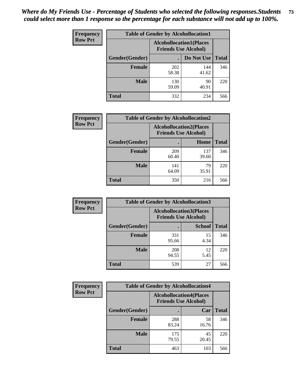| <b>Frequency</b> | <b>Table of Gender by Alcohollocation1</b> |                                                               |              |              |
|------------------|--------------------------------------------|---------------------------------------------------------------|--------------|--------------|
| <b>Row Pct</b>   |                                            | <b>Alcohollocation1(Places</b><br><b>Friends Use Alcohol)</b> |              |              |
|                  | <b>Gender</b> (Gender)                     |                                                               | Do Not Use   | <b>Total</b> |
|                  | <b>Female</b>                              | 202<br>58.38                                                  | 144<br>41.62 | 346          |
|                  | <b>Male</b>                                | 130<br>59.09                                                  | 90<br>40.91  | 220          |
|                  | <b>Total</b>                               | 332                                                           | 234          | 566          |

| <b>Frequency</b> | <b>Table of Gender by Alcohollocation2</b> |                                                               |              |              |
|------------------|--------------------------------------------|---------------------------------------------------------------|--------------|--------------|
| <b>Row Pct</b>   |                                            | <b>Alcohollocation2(Places</b><br><b>Friends Use Alcohol)</b> |              |              |
|                  | Gender(Gender)                             |                                                               | Home         | <b>Total</b> |
|                  | <b>Female</b>                              | 209<br>60.40                                                  | 137<br>39.60 | 346          |
|                  | <b>Male</b>                                | 141<br>64.09                                                  | 79<br>35.91  | 220          |
|                  | <b>Total</b>                               | 350                                                           | 216          | 566          |

| Frequency      | <b>Table of Gender by Alcohollocation3</b> |                                                               |               |              |
|----------------|--------------------------------------------|---------------------------------------------------------------|---------------|--------------|
| <b>Row Pct</b> |                                            | <b>Alcohollocation3(Places</b><br><b>Friends Use Alcohol)</b> |               |              |
|                | Gender(Gender)                             |                                                               | <b>School</b> | <b>Total</b> |
|                | <b>Female</b>                              | 331<br>95.66                                                  | 15<br>4.34    | 346          |
|                | <b>Male</b>                                | 208<br>94.55                                                  | 12<br>5.45    | 220          |
|                | <b>Total</b>                               | 539                                                           | 27            | 566          |

| Frequency      | <b>Table of Gender by Alcohollocation4</b> |                                                               |             |              |
|----------------|--------------------------------------------|---------------------------------------------------------------|-------------|--------------|
| <b>Row Pct</b> |                                            | <b>Alcohollocation4(Places</b><br><b>Friends Use Alcohol)</b> |             |              |
|                | <b>Gender</b> (Gender)                     |                                                               | Car         | <b>Total</b> |
|                | <b>Female</b>                              | 288<br>83.24                                                  | 58<br>16.76 | 346          |
|                | <b>Male</b>                                | 175<br>79.55                                                  | 45<br>20.45 | 220          |
|                | <b>Total</b>                               | 463                                                           | 103         | 566          |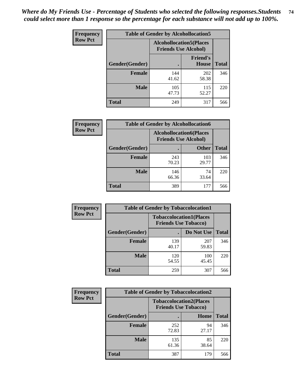| <b>Frequency</b> |                | <b>Table of Gender by Alcohollocation5</b>                     |                                 |              |
|------------------|----------------|----------------------------------------------------------------|---------------------------------|--------------|
| <b>Row Pct</b>   |                | <b>Alcohollocation5</b> (Places<br><b>Friends Use Alcohol)</b> |                                 |              |
|                  | Gender(Gender) | $\bullet$                                                      | <b>Friend's</b><br><b>House</b> | <b>Total</b> |
|                  | <b>Female</b>  | 144<br>41.62                                                   | 202<br>58.38                    | 346          |
|                  | <b>Male</b>    | 105<br>47.73                                                   | 115<br>52.27                    | 220          |
|                  | <b>Total</b>   | 249                                                            | 317                             | 566          |

| Frequency      | <b>Table of Gender by Alcohollocation6</b> |                                                               |              |              |
|----------------|--------------------------------------------|---------------------------------------------------------------|--------------|--------------|
| <b>Row Pct</b> |                                            | <b>Alcohollocation6(Places</b><br><b>Friends Use Alcohol)</b> |              |              |
|                | <b>Gender</b> (Gender)                     |                                                               | <b>Other</b> | <b>Total</b> |
|                | <b>Female</b>                              | 243<br>70.23                                                  | 103<br>29.77 | 346          |
|                | <b>Male</b>                                | 146<br>66.36                                                  | 74<br>33.64  | 220          |
|                | <b>Total</b>                               | 389                                                           | 177          | 566          |

| Frequency      | <b>Table of Gender by Tobaccolocation1</b> |                                                               |              |              |  |
|----------------|--------------------------------------------|---------------------------------------------------------------|--------------|--------------|--|
| <b>Row Pct</b> |                                            | <b>Tobaccolocation1(Places</b><br><b>Friends Use Tobacco)</b> |              |              |  |
|                | Gender(Gender)                             |                                                               | Do Not Use   | <b>Total</b> |  |
|                | Female                                     | 139<br>40.17                                                  | 207<br>59.83 | 346          |  |
|                | <b>Male</b>                                | 120<br>54.55                                                  | 100<br>45.45 | 220          |  |
|                | <b>Total</b>                               | 259                                                           | 307          | 566          |  |

| <b>Frequency</b> | <b>Table of Gender by Tobaccolocation2</b> |                                                               |             |              |
|------------------|--------------------------------------------|---------------------------------------------------------------|-------------|--------------|
| <b>Row Pct</b>   |                                            | <b>Tobaccolocation2(Places</b><br><b>Friends Use Tobacco)</b> |             |              |
|                  | Gender(Gender)                             |                                                               | Home        | <b>Total</b> |
|                  | Female                                     | 252<br>72.83                                                  | 94<br>27.17 | 346          |
|                  | <b>Male</b>                                | 135<br>61.36                                                  | 85<br>38.64 | 220          |
|                  | <b>Total</b>                               | 387                                                           | 179         | 566          |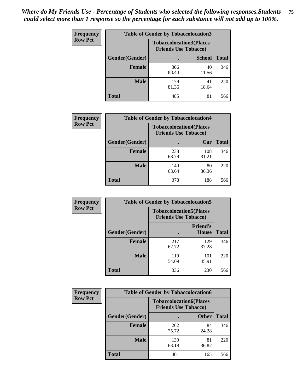| <b>Frequency</b> | <b>Table of Gender by Tobaccolocation3</b> |                                                               |               |              |
|------------------|--------------------------------------------|---------------------------------------------------------------|---------------|--------------|
| <b>Row Pct</b>   |                                            | <b>Tobaccolocation3(Places</b><br><b>Friends Use Tobacco)</b> |               |              |
|                  | Gender(Gender)                             |                                                               | <b>School</b> | <b>Total</b> |
|                  | <b>Female</b>                              | 306<br>88.44                                                  | 40<br>11.56   | 346          |
|                  | <b>Male</b>                                | 179<br>81.36                                                  | 41<br>18.64   | 220          |
|                  | <b>Total</b>                               | 485                                                           | 81            | 566          |

| <b>Frequency</b> | <b>Table of Gender by Tobaccolocation4</b> |              |                                                               |              |
|------------------|--------------------------------------------|--------------|---------------------------------------------------------------|--------------|
| <b>Row Pct</b>   |                                            |              | <b>Tobaccolocation4(Places</b><br><b>Friends Use Tobacco)</b> |              |
|                  | Gender(Gender)                             |              | Car                                                           | <b>Total</b> |
|                  | <b>Female</b>                              | 238<br>68.79 | 108<br>31.21                                                  | 346          |
|                  | <b>Male</b>                                | 140<br>63.64 | 80<br>36.36                                                   | 220          |
|                  | <b>Total</b>                               | 378          | 188                                                           | 566          |

| <b>Frequency</b> | <b>Table of Gender by Tobaccolocation5</b> |                             |                                 |              |
|------------------|--------------------------------------------|-----------------------------|---------------------------------|--------------|
| <b>Row Pct</b>   |                                            | <b>Friends Use Tobacco)</b> | <b>Tobaccolocation5(Places</b>  |              |
|                  | Gender(Gender)                             |                             | <b>Friend's</b><br><b>House</b> | <b>Total</b> |
|                  | <b>Female</b>                              | 217<br>62.72                | 129<br>37.28                    | 346          |
|                  | <b>Male</b>                                | 119<br>54.09                | 101<br>45.91                    | 220          |
|                  | <b>Total</b>                               | 336                         | 230                             | 566          |

| <b>Frequency</b> | <b>Table of Gender by Tobaccolocation6</b> |                                                               |              |              |
|------------------|--------------------------------------------|---------------------------------------------------------------|--------------|--------------|
| <b>Row Pct</b>   |                                            | <b>Tobaccolocation6(Places</b><br><b>Friends Use Tobacco)</b> |              |              |
|                  | Gender(Gender)                             |                                                               | <b>Other</b> | <b>Total</b> |
|                  | Female                                     | 262<br>75.72                                                  | 84<br>24.28  | 346          |
|                  | <b>Male</b>                                | 139<br>63.18                                                  | 81<br>36.82  | 220          |
|                  | <b>Total</b>                               | 401                                                           | 165          | 566          |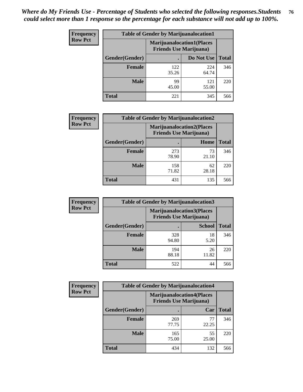| <b>Frequency</b> | <b>Table of Gender by Marijuanalocation1</b> |                                                                    |              |              |
|------------------|----------------------------------------------|--------------------------------------------------------------------|--------------|--------------|
| <b>Row Pct</b>   |                                              | <b>Marijuanalocation1(Places</b><br><b>Friends Use Marijuana</b> ) |              |              |
|                  | Gender(Gender)                               |                                                                    | Do Not Use   | <b>Total</b> |
|                  | <b>Female</b>                                | 122<br>35.26                                                       | 224<br>64.74 | 346          |
|                  | <b>Male</b>                                  | 99<br>45.00                                                        | 121<br>55.00 | 220          |
|                  | <b>Total</b>                                 | 221                                                                | 345          | 566          |

| <b>Frequency</b> | <b>Table of Gender by Marijuanalocation2</b> |                                                                    |             |              |
|------------------|----------------------------------------------|--------------------------------------------------------------------|-------------|--------------|
| <b>Row Pct</b>   |                                              | <b>Marijuanalocation2(Places</b><br><b>Friends Use Marijuana</b> ) |             |              |
|                  | Gender(Gender)                               |                                                                    | Home        | <b>Total</b> |
|                  | <b>Female</b>                                | 273<br>78.90                                                       | 73<br>21.10 | 346          |
|                  | <b>Male</b>                                  | 158<br>71.82                                                       | 62<br>28.18 | 220          |
|                  | <b>Total</b>                                 | 431                                                                | 135         | 566          |

| Frequency      |                | <b>Table of Gender by Marijuanalocation3</b> |                                                                    |              |
|----------------|----------------|----------------------------------------------|--------------------------------------------------------------------|--------------|
| <b>Row Pct</b> |                |                                              | <b>Marijuanalocation3(Places</b><br><b>Friends Use Marijuana</b> ) |              |
|                | Gender(Gender) |                                              | <b>School</b>                                                      | <b>Total</b> |
|                | Female         | 328<br>94.80                                 | 18<br>5.20                                                         | 346          |
|                | <b>Male</b>    | 194<br>88.18                                 | 26<br>11.82                                                        | 220          |
|                | <b>Total</b>   | 522                                          | 44                                                                 | 566          |

| <b>Frequency</b> |                | <b>Table of Gender by Marijuanalocation4</b>                       |             |              |
|------------------|----------------|--------------------------------------------------------------------|-------------|--------------|
| <b>Row Pct</b>   |                | <b>Marijuanalocation4(Places</b><br><b>Friends Use Marijuana</b> ) |             |              |
|                  | Gender(Gender) |                                                                    | Car         | <b>Total</b> |
|                  | <b>Female</b>  | 269<br>77.75                                                       | 77<br>22.25 | 346          |
|                  | <b>Male</b>    | 165<br>75.00                                                       | 55<br>25.00 | 220          |
|                  | <b>Total</b>   | 434                                                                | 132         | 566          |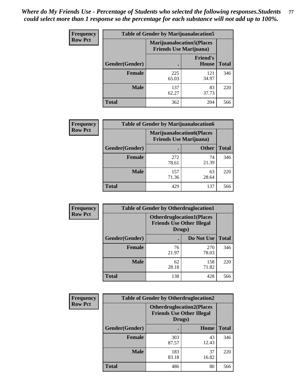| <b>Frequency</b> | <b>Table of Gender by Marijuanalocation5</b> |                                                                    |                          |              |
|------------------|----------------------------------------------|--------------------------------------------------------------------|--------------------------|--------------|
| <b>Row Pct</b>   |                                              | <b>Marijuanalocation5(Places</b><br><b>Friends Use Marijuana</b> ) |                          |              |
|                  | Gender(Gender)                               |                                                                    | <b>Friend's</b><br>House | <b>Total</b> |
|                  | <b>Female</b>                                | 225<br>65.03                                                       | 121<br>34.97             | 346          |
|                  | <b>Male</b>                                  | 137<br>62.27                                                       | 83<br>37.73              | 220          |
|                  | <b>Total</b>                                 | 362                                                                | 204                      | 566          |

| <b>Frequency</b> | <b>Table of Gender by Marijuanalocation6</b> |                                |                                  |              |
|------------------|----------------------------------------------|--------------------------------|----------------------------------|--------------|
| <b>Row Pct</b>   |                                              | <b>Friends Use Marijuana</b> ) | <b>Marijuanalocation6(Places</b> |              |
|                  | Gender(Gender)                               |                                | <b>Other</b>                     | <b>Total</b> |
|                  | Female                                       | 272<br>78.61                   | 74<br>21.39                      | 346          |
|                  | <b>Male</b>                                  | 157<br>71.36                   | 63<br>28.64                      | 220          |
|                  | Total                                        | 429                            | 137                              | 566          |

| <b>Frequency</b> | <b>Table of Gender by Otherdruglocation1</b> |                                                                                |              |              |
|------------------|----------------------------------------------|--------------------------------------------------------------------------------|--------------|--------------|
| <b>Row Pct</b>   |                                              | <b>Otherdruglocation1(Places</b><br><b>Friends Use Other Illegal</b><br>Drugs) |              |              |
|                  | Gender(Gender)                               |                                                                                | Do Not Use   | <b>Total</b> |
|                  | Female                                       | 76<br>21.97                                                                    | 270<br>78.03 | 346          |
|                  | <b>Male</b>                                  | 62<br>28.18                                                                    | 158<br>71.82 | 220          |
|                  | <b>Total</b>                                 | 138                                                                            | 428          | 566          |

| <b>Frequency</b> | <b>Table of Gender by Otherdruglocation2</b> |                                            |                                  |              |
|------------------|----------------------------------------------|--------------------------------------------|----------------------------------|--------------|
| <b>Row Pct</b>   |                                              | <b>Friends Use Other Illegal</b><br>Drugs) | <b>Otherdruglocation2(Places</b> |              |
|                  | Gender(Gender)                               |                                            | Home                             | <b>Total</b> |
|                  | Female                                       | 303<br>87.57                               | 43<br>12.43                      | 346          |
|                  | <b>Male</b>                                  | 183<br>83.18                               | 37<br>16.82                      | 220          |
|                  | <b>Total</b>                                 | 486                                        | 80                               | 566          |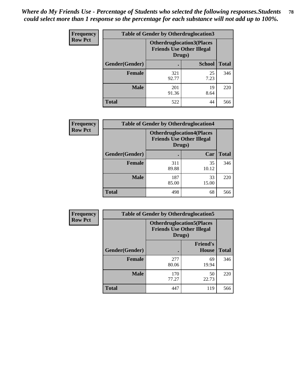| <b>Frequency</b> | <b>Table of Gender by Otherdruglocation3</b> |                                                                                |               |              |
|------------------|----------------------------------------------|--------------------------------------------------------------------------------|---------------|--------------|
| <b>Row Pct</b>   |                                              | <b>Otherdruglocation3(Places</b><br><b>Friends Use Other Illegal</b><br>Drugs) |               |              |
|                  | Gender(Gender)                               |                                                                                | <b>School</b> | <b>Total</b> |
|                  | <b>Female</b>                                | 321<br>92.77                                                                   | 25<br>7.23    | 346          |
|                  | <b>Male</b>                                  | 201<br>91.36                                                                   | 19<br>8.64    | 220          |
|                  | <b>Total</b>                                 | 522                                                                            | 44            | 566          |

| <b>Frequency</b> | <b>Table of Gender by Otherdruglocation4</b> |                                                                                |             |              |
|------------------|----------------------------------------------|--------------------------------------------------------------------------------|-------------|--------------|
| <b>Row Pct</b>   |                                              | <b>Otherdruglocation4(Places</b><br><b>Friends Use Other Illegal</b><br>Drugs) |             |              |
|                  | Gender(Gender)                               |                                                                                | Car         | <b>Total</b> |
|                  | <b>Female</b>                                | 311<br>89.88                                                                   | 35<br>10.12 | 346          |
|                  | <b>Male</b>                                  | 187<br>85.00                                                                   | 33<br>15.00 | 220          |
|                  | <b>Total</b>                                 | 498                                                                            | 68          | 566          |

| Frequency      | <b>Table of Gender by Otherdruglocation5</b> |                                            |                                  |              |
|----------------|----------------------------------------------|--------------------------------------------|----------------------------------|--------------|
| <b>Row Pct</b> |                                              | <b>Friends Use Other Illegal</b><br>Drugs) | <b>Otherdruglocation5(Places</b> |              |
|                | Gender(Gender)                               |                                            | <b>Friend's</b><br><b>House</b>  | <b>Total</b> |
|                | <b>Female</b>                                | 277<br>80.06                               | 69<br>19.94                      | 346          |
|                | <b>Male</b>                                  | 170<br>77.27                               | 50<br>22.73                      | 220          |
|                | <b>Total</b>                                 | 447                                        | 119                              | 566          |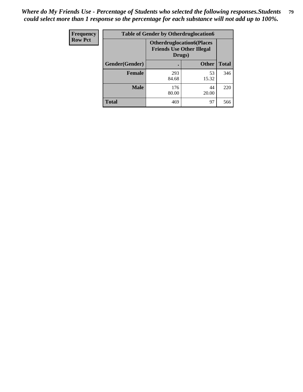| <b>Frequency</b> | <b>Table of Gender by Otherdruglocation6</b> |                                            |                                  |              |
|------------------|----------------------------------------------|--------------------------------------------|----------------------------------|--------------|
| <b>Row Pct</b>   |                                              | <b>Friends Use Other Illegal</b><br>Drugs) | <b>Otherdruglocation6(Places</b> |              |
|                  | Gender(Gender)                               |                                            | <b>Other</b>                     | <b>Total</b> |
|                  | <b>Female</b>                                | 293<br>84.68                               | 53<br>15.32                      | 346          |
|                  | <b>Male</b>                                  | 176<br>80.00                               | 44<br>20.00                      | 220          |
|                  | <b>Total</b>                                 | 469                                        | 97                               | 566          |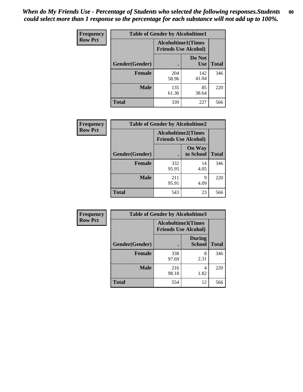| <b>Frequency</b> | <b>Table of Gender by Alcoholtime1</b> |                                                   |                      |              |
|------------------|----------------------------------------|---------------------------------------------------|----------------------|--------------|
| <b>Row Pct</b>   |                                        | Alcoholtime1(Times<br><b>Friends Use Alcohol)</b> |                      |              |
|                  | Gender(Gender)                         | $\bullet$                                         | Do Not<br><b>Use</b> | <b>Total</b> |
|                  | <b>Female</b>                          | 204<br>58.96                                      | 142<br>41.04         | 346          |
|                  | <b>Male</b>                            | 135<br>61.36                                      | 85<br>38.64          | 220          |
|                  | <b>Total</b>                           | 339                                               | 227                  | 566          |

| Frequency      | <b>Table of Gender by Alcoholtime2</b> |                                                          |                            |              |
|----------------|----------------------------------------|----------------------------------------------------------|----------------------------|--------------|
| <b>Row Pct</b> |                                        | <b>Alcoholtime2(Times</b><br><b>Friends Use Alcohol)</b> |                            |              |
|                | Gender(Gender)                         |                                                          | <b>On Way</b><br>to School | <b>Total</b> |
|                | <b>Female</b>                          | 332<br>95.95                                             | 14<br>4.05                 | 346          |
|                | <b>Male</b>                            | 211<br>95.91                                             | 9<br>4.09                  | 220          |
|                | <b>Total</b>                           | 543                                                      | 23                         | 566          |

| <b>Frequency</b> | <b>Table of Gender by Alcoholtime3</b> |                                                   |                                |              |
|------------------|----------------------------------------|---------------------------------------------------|--------------------------------|--------------|
| <b>Row Pct</b>   |                                        | Alcoholtime3(Times<br><b>Friends Use Alcohol)</b> |                                |              |
|                  | Gender(Gender)                         |                                                   | <b>During</b><br><b>School</b> | <b>Total</b> |
|                  | Female                                 | 338<br>97.69                                      | 8<br>2.31                      | 346          |
|                  | <b>Male</b>                            | 216<br>98.18                                      | 4<br>1.82                      | 220          |
|                  | <b>Total</b>                           | 554                                               | 12                             | 566          |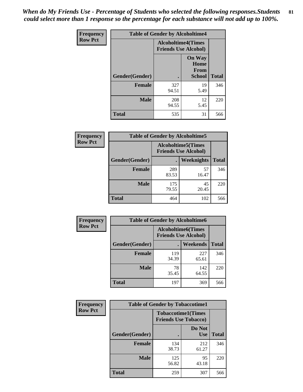*When do My Friends Use - Percentage of Students who selected the following responses.Students could select more than 1 response so the percentage for each substance will not add up to 100%.* **81**

| <b>Frequency</b> | <b>Table of Gender by Alcoholtime4</b> |                                                          |                                                |              |
|------------------|----------------------------------------|----------------------------------------------------------|------------------------------------------------|--------------|
| <b>Row Pct</b>   |                                        | <b>Alcoholtime4(Times</b><br><b>Friends Use Alcohol)</b> |                                                |              |
|                  | Gender(Gender)                         |                                                          | <b>On Way</b><br>Home<br>From<br><b>School</b> | <b>Total</b> |
|                  | <b>Female</b>                          | 327<br>94.51                                             | 19<br>5.49                                     | 346          |
|                  | <b>Male</b>                            | 208<br>94.55                                             | 12<br>5.45                                     | 220          |
|                  | <b>Total</b>                           | 535                                                      | 31                                             | 566          |

| <b>Frequency</b> | <b>Table of Gender by Alcoholtime5</b> |                                                           |             |              |
|------------------|----------------------------------------|-----------------------------------------------------------|-------------|--------------|
| <b>Row Pct</b>   |                                        | <b>Alcoholtime5</b> (Times<br><b>Friends Use Alcohol)</b> |             |              |
|                  | Gender(Gender)                         |                                                           | Weeknights  | <b>Total</b> |
|                  | <b>Female</b>                          | 289<br>83.53                                              | 57<br>16.47 | 346          |
|                  | <b>Male</b>                            | 175<br>79.55                                              | 45<br>20.45 | 220          |
|                  | <b>Total</b>                           | 464                                                       | 102         | 566          |

| Frequency      | <b>Table of Gender by Alcoholtime6</b> |                                                          |                 |              |
|----------------|----------------------------------------|----------------------------------------------------------|-----------------|--------------|
| <b>Row Pct</b> |                                        | <b>Alcoholtime6(Times</b><br><b>Friends Use Alcohol)</b> |                 |              |
|                | Gender(Gender)                         |                                                          | <b>Weekends</b> | <b>Total</b> |
|                | Female                                 | 119<br>34.39                                             | 227<br>65.61    | 346          |
|                | <b>Male</b>                            | 78<br>35.45                                              | 142<br>64.55    | 220          |
|                | <b>Total</b>                           | 197                                                      | 369             | 566          |

| Frequency      | <b>Table of Gender by Tobaccotime1</b> |                                                          |                      |              |
|----------------|----------------------------------------|----------------------------------------------------------|----------------------|--------------|
| <b>Row Pct</b> |                                        | <b>Tobaccotime1(Times</b><br><b>Friends Use Tobacco)</b> |                      |              |
|                | Gender(Gender)                         |                                                          | Do Not<br><b>Use</b> | <b>Total</b> |
|                | <b>Female</b>                          | 134<br>38.73                                             | 212<br>61.27         | 346          |
|                | <b>Male</b>                            | 125<br>56.82                                             | 95<br>43.18          | 220          |
|                | <b>Total</b>                           | 259                                                      | 307                  | 566          |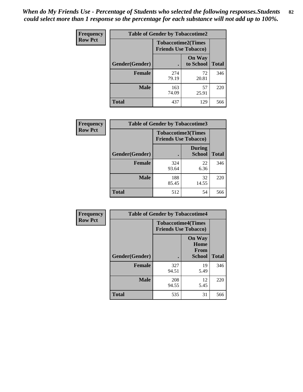*When do My Friends Use - Percentage of Students who selected the following responses.Students could select more than 1 response so the percentage for each substance will not add up to 100%.* **82**

| Frequency      | <b>Table of Gender by Tobaccotime2</b> |                                                          |                            |              |
|----------------|----------------------------------------|----------------------------------------------------------|----------------------------|--------------|
| <b>Row Pct</b> |                                        | <b>Tobaccotime2(Times</b><br><b>Friends Use Tobacco)</b> |                            |              |
|                | Gender(Gender)                         | $\bullet$                                                | <b>On Way</b><br>to School | <b>Total</b> |
|                | <b>Female</b>                          | 274<br>79.19                                             | 72<br>20.81                | 346          |
|                | <b>Male</b>                            | 163<br>74.09                                             | 57<br>25.91                | 220          |
|                | <b>Total</b>                           | 437                                                      | 129                        | 566          |

| <b>Frequency</b> | <b>Table of Gender by Tobaccotime3</b> |                             |                                |              |
|------------------|----------------------------------------|-----------------------------|--------------------------------|--------------|
| <b>Row Pct</b>   |                                        | <b>Friends Use Tobacco)</b> | <b>Tobaccotime3(Times</b>      |              |
|                  | Gender(Gender)                         |                             | <b>During</b><br><b>School</b> | <b>Total</b> |
|                  | <b>Female</b>                          | 324<br>93.64                | 22<br>6.36                     | 346          |
|                  | <b>Male</b>                            | 188<br>85.45                | 32<br>14.55                    | 220          |
|                  | <b>Total</b>                           | 512                         | 54                             | 566          |

| <b>Frequency</b> | <b>Table of Gender by Tobaccotime4</b> |                                                          |                                                       |              |
|------------------|----------------------------------------|----------------------------------------------------------|-------------------------------------------------------|--------------|
| <b>Row Pct</b>   |                                        | <b>Tobaccotime4(Times</b><br><b>Friends Use Tobacco)</b> |                                                       |              |
|                  | Gender(Gender)                         |                                                          | <b>On Way</b><br>Home<br><b>From</b><br><b>School</b> | <b>Total</b> |
|                  | <b>Female</b>                          | 327<br>94.51                                             | 19<br>5.49                                            | 346          |
|                  | <b>Male</b>                            | 208<br>94.55                                             | 12<br>5.45                                            | 220          |
|                  | <b>Total</b>                           | 535                                                      | 31                                                    | 566          |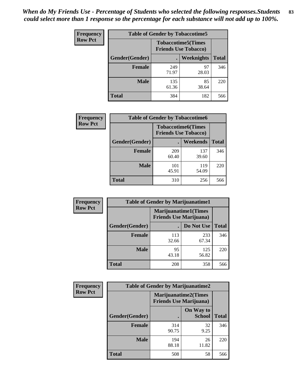*When do My Friends Use - Percentage of Students who selected the following responses.Students could select more than 1 response so the percentage for each substance will not add up to 100%.* **83**

| <b>Frequency</b> |                |              | <b>Table of Gender by Tobaccotime5</b>                    |              |
|------------------|----------------|--------------|-----------------------------------------------------------|--------------|
| <b>Row Pct</b>   |                |              | <b>Tobaccotime5</b> (Times<br><b>Friends Use Tobacco)</b> |              |
|                  | Gender(Gender) |              | Weeknights                                                | <b>Total</b> |
|                  | <b>Female</b>  | 249<br>71.97 | 97<br>28.03                                               | 346          |
|                  | <b>Male</b>    | 135<br>61.36 | 85<br>38.64                                               | 220          |
|                  | Total          | 384          | 182                                                       | 566          |

| Frequency      | <b>Table of Gender by Tobaccotime6</b> |                                                          |                 |              |
|----------------|----------------------------------------|----------------------------------------------------------|-----------------|--------------|
| <b>Row Pct</b> |                                        | <b>Tobaccotime6(Times</b><br><b>Friends Use Tobacco)</b> |                 |              |
|                | Gender(Gender)                         |                                                          | <b>Weekends</b> | <b>Total</b> |
|                | <b>Female</b>                          | 209<br>60.40                                             | 137<br>39.60    | 346          |
|                | <b>Male</b>                            | 101<br>45.91                                             | 119<br>54.09    | 220          |
|                | <b>Total</b>                           | 310                                                      | 256             | 566          |

| Frequency      | <b>Table of Gender by Marijuanatime1</b> |                                                               |              |              |
|----------------|------------------------------------------|---------------------------------------------------------------|--------------|--------------|
| <b>Row Pct</b> |                                          | <b>Marijuanatime1(Times</b><br><b>Friends Use Marijuana</b> ) |              |              |
|                | Gender(Gender)                           |                                                               | Do Not Use   | <b>Total</b> |
|                | <b>Female</b>                            | 113<br>32.66                                                  | 233<br>67.34 | 346          |
|                | <b>Male</b>                              | 95<br>43.18                                                   | 125<br>56.82 | 220          |
|                | <b>Total</b>                             | 208                                                           | 358          | 566          |

| <b>Frequency</b> | <b>Table of Gender by Marijuanatime2</b> |                                                               |                            |              |
|------------------|------------------------------------------|---------------------------------------------------------------|----------------------------|--------------|
| <b>Row Pct</b>   |                                          | <b>Marijuanatime2(Times</b><br><b>Friends Use Marijuana</b> ) |                            |              |
|                  | Gender(Gender)                           |                                                               | On Way to<br><b>School</b> | <b>Total</b> |
|                  | Female                                   | 314<br>90.75                                                  | 32<br>9.25                 | 346          |
|                  | <b>Male</b>                              | 194<br>88.18                                                  | 26<br>11.82                | 220          |
|                  | <b>Total</b>                             | 508                                                           | 58                         | 566          |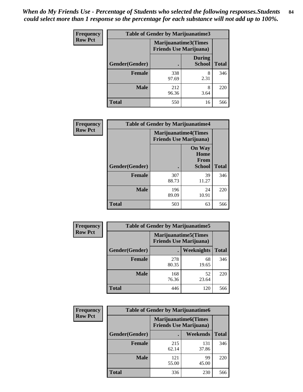*When do My Friends Use - Percentage of Students who selected the following responses.Students could select more than 1 response so the percentage for each substance will not add up to 100%.* **84**

| <b>Frequency</b> | Table of Gender by Marijuanatime3 |                                                        |                                |              |
|------------------|-----------------------------------|--------------------------------------------------------|--------------------------------|--------------|
| <b>Row Pct</b>   |                                   | Marijuanatime3(Times<br><b>Friends Use Marijuana</b> ) |                                |              |
|                  | Gender(Gender)                    |                                                        | <b>During</b><br><b>School</b> | <b>Total</b> |
|                  | <b>Female</b>                     | 338<br>97.69                                           | 8<br>2.31                      | 346          |
|                  | <b>Male</b>                       | 212<br>96.36                                           | 8<br>3.64                      | 220          |
|                  | <b>Total</b>                      | 550                                                    | 16                             | 566          |

| Frequency      | <b>Table of Gender by Marijuanatime4</b> |                                |                                      |              |
|----------------|------------------------------------------|--------------------------------|--------------------------------------|--------------|
| <b>Row Pct</b> |                                          | <b>Friends Use Marijuana</b> ) | <b>Marijuanatime4(Times</b>          |              |
|                |                                          |                                | <b>On Way</b><br>Home<br><b>From</b> |              |
|                | <b>Gender</b> (Gender)                   |                                | <b>School</b>                        | <b>Total</b> |
|                | <b>Female</b>                            | 307<br>88.73                   | 39<br>11.27                          | 346          |
|                | <b>Male</b>                              | 196<br>89.09                   | 24<br>10.91                          | 220          |
|                | <b>Total</b>                             | 503                            | 63                                   | 566          |

| <b>Frequency</b> | <b>Table of Gender by Marijuanatime5</b> |                                                                |             |              |  |
|------------------|------------------------------------------|----------------------------------------------------------------|-------------|--------------|--|
| <b>Row Pct</b>   |                                          | <b>Marijuanatime5</b> (Times<br><b>Friends Use Marijuana</b> ) |             |              |  |
|                  | Gender(Gender)                           | ٠                                                              | Weeknights  | <b>Total</b> |  |
|                  | <b>Female</b>                            | 278<br>80.35                                                   | 68<br>19.65 | 346          |  |
|                  | <b>Male</b>                              | 168<br>76.36                                                   | 52<br>23.64 | 220          |  |
|                  | <b>Total</b>                             | 446                                                            | 120         | 566          |  |

| <b>Frequency</b> | <b>Table of Gender by Marijuanatime6</b> |                                                               |              |              |  |
|------------------|------------------------------------------|---------------------------------------------------------------|--------------|--------------|--|
| <b>Row Pct</b>   |                                          | <b>Marijuanatime6(Times</b><br><b>Friends Use Marijuana</b> ) |              |              |  |
|                  | Gender(Gender)                           |                                                               | Weekends     | <b>Total</b> |  |
|                  | <b>Female</b>                            | 215<br>62.14                                                  | 131<br>37.86 | 346          |  |
|                  | <b>Male</b>                              | 121<br>55.00                                                  | 99<br>45.00  | 220          |  |
|                  | <b>Total</b>                             | 336                                                           | 230          | 566          |  |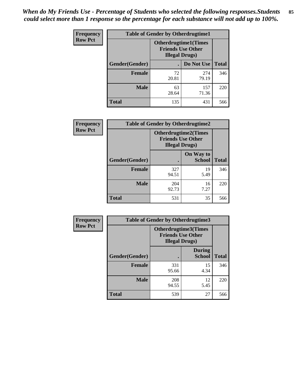| <b>Frequency</b> | <b>Table of Gender by Otherdrugtime1</b> |                                                                                   |                    |     |
|------------------|------------------------------------------|-----------------------------------------------------------------------------------|--------------------|-----|
| <b>Row Pct</b>   |                                          | <b>Otherdrugtime1(Times</b><br><b>Friends Use Other</b><br><b>Illegal Drugs</b> ) |                    |     |
|                  | Gender(Gender)                           |                                                                                   | Do Not Use   Total |     |
|                  | <b>Female</b>                            | 72<br>20.81                                                                       | 274<br>79.19       | 346 |
|                  | <b>Male</b>                              | 63<br>28.64                                                                       | 157<br>71.36       | 220 |
|                  | <b>Total</b>                             | 135                                                                               | 431                | 566 |

| Frequency      | <b>Table of Gender by Otherdrugtime2</b> |                                                                                   |                            |              |
|----------------|------------------------------------------|-----------------------------------------------------------------------------------|----------------------------|--------------|
| <b>Row Pct</b> |                                          | <b>Otherdrugtime2(Times</b><br><b>Friends Use Other</b><br><b>Illegal Drugs</b> ) |                            |              |
|                | Gender(Gender)                           |                                                                                   | On Way to<br><b>School</b> | <b>Total</b> |
|                | <b>Female</b>                            | 327<br>94.51                                                                      | 19<br>5.49                 | 346          |
|                | <b>Male</b>                              | 204<br>92.73                                                                      | 16<br>7.27                 | 220          |
|                | <b>Total</b>                             | 531                                                                               | 35                         | 566          |

| Frequency      |                | <b>Table of Gender by Otherdrugtime3</b> |                                                  |              |
|----------------|----------------|------------------------------------------|--------------------------------------------------|--------------|
| <b>Row Pct</b> |                | <b>Illegal Drugs)</b>                    | Otherdrugtime3(Times<br><b>Friends Use Other</b> |              |
|                | Gender(Gender) |                                          | <b>During</b><br><b>School</b>                   | <b>Total</b> |
|                | <b>Female</b>  | 331<br>95.66                             | 15<br>4.34                                       | 346          |
|                | <b>Male</b>    | 208<br>94.55                             | 12<br>5.45                                       | 220          |
|                | <b>Total</b>   | 539                                      | 27                                               | 566          |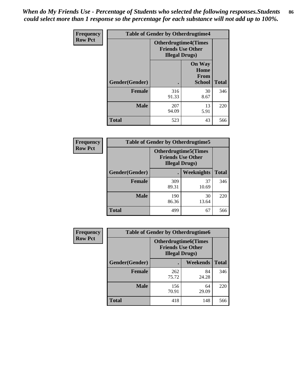*When do My Friends Use - Percentage of Students who selected the following responses.Students could select more than 1 response so the percentage for each substance will not add up to 100%.* **86**

| <b>Frequency</b> | <b>Table of Gender by Otherdrugtime4</b> |                                                    |                                                |              |
|------------------|------------------------------------------|----------------------------------------------------|------------------------------------------------|--------------|
| <b>Row Pct</b>   |                                          | <b>Friends Use Other</b><br><b>Illegal Drugs</b> ) | <b>Otherdrugtime4(Times</b>                    |              |
|                  | Gender(Gender)                           |                                                    | <b>On Way</b><br>Home<br><b>From</b><br>School | <b>Total</b> |
|                  | <b>Female</b>                            | 316<br>91.33                                       | 30<br>8.67                                     | 346          |
|                  | <b>Male</b>                              | 207<br>94.09                                       | 13<br>5.91                                     | 220          |
|                  | <b>Total</b>                             | 523                                                | 43                                             | 566          |

| Frequency      | <b>Table of Gender by Otherdrugtime5</b> |                                                                                    |             |              |
|----------------|------------------------------------------|------------------------------------------------------------------------------------|-------------|--------------|
| <b>Row Pct</b> |                                          | <b>Otherdrugtime5</b> (Times<br><b>Friends Use Other</b><br><b>Illegal Drugs</b> ) |             |              |
|                | Gender(Gender)                           |                                                                                    | Weeknights  | <b>Total</b> |
|                | <b>Female</b>                            | 309<br>89.31                                                                       | 37<br>10.69 | 346          |
|                | <b>Male</b>                              | 190<br>86.36                                                                       | 30<br>13.64 | 220          |
|                | <b>Total</b>                             | 499                                                                                | 67          | 566          |

| <b>Frequency</b> | <b>Table of Gender by Otherdrugtime6</b> |                                                                                   |             |              |
|------------------|------------------------------------------|-----------------------------------------------------------------------------------|-------------|--------------|
| <b>Row Pct</b>   |                                          | <b>Otherdrugtime6(Times</b><br><b>Friends Use Other</b><br><b>Illegal Drugs</b> ) |             |              |
|                  | Gender(Gender)                           |                                                                                   | Weekends    | <b>Total</b> |
|                  | Female                                   | 262<br>75.72                                                                      | 84<br>24.28 | 346          |
|                  | <b>Male</b>                              | 156<br>70.91                                                                      | 64<br>29.09 | 220          |
|                  | <b>Total</b>                             | 418                                                                               | 148         | 566          |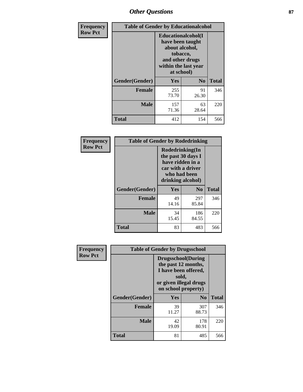# *Other Questions* **87**

| <b>Frequency</b> | <b>Table of Gender by Educationalcohol</b> |                                                                                                                                       |                |              |  |
|------------------|--------------------------------------------|---------------------------------------------------------------------------------------------------------------------------------------|----------------|--------------|--|
| <b>Row Pct</b>   |                                            | <b>Educationalcohol</b> (I<br>have been taught<br>about alcohol,<br>tobacco,<br>and other drugs<br>within the last year<br>at school) |                |              |  |
|                  | Gender(Gender)                             | Yes                                                                                                                                   | N <sub>0</sub> | <b>Total</b> |  |
|                  | <b>Female</b>                              | 255<br>73.70                                                                                                                          | 91<br>26.30    | 346          |  |
|                  | <b>Male</b>                                | 157<br>71.36                                                                                                                          | 63<br>28.64    | 220          |  |
|                  | <b>Total</b>                               | 412                                                                                                                                   | 154            | 566          |  |

| Frequency      | <b>Table of Gender by Rodedrinking</b> |                                                                                                                     |                |              |  |
|----------------|----------------------------------------|---------------------------------------------------------------------------------------------------------------------|----------------|--------------|--|
| <b>Row Pct</b> |                                        | Rodedrinking(In<br>the past 30 days I<br>have ridden in a<br>car with a driver<br>who had been<br>drinking alcohol) |                |              |  |
|                | Gender(Gender)                         | Yes                                                                                                                 | N <sub>0</sub> | <b>Total</b> |  |
|                | <b>Female</b>                          | 49<br>14.16                                                                                                         | 297<br>85.84   | 346          |  |
|                | <b>Male</b>                            | 34<br>15.45                                                                                                         | 186<br>84.55   | 220          |  |
|                | <b>Total</b>                           | 83                                                                                                                  | 483            | 566          |  |

| Frequency      | <b>Table of Gender by Drugsschool</b> |                                                                                                                                     |                |              |  |
|----------------|---------------------------------------|-------------------------------------------------------------------------------------------------------------------------------------|----------------|--------------|--|
| <b>Row Pct</b> |                                       | <b>Drugsschool</b> (During<br>the past 12 months,<br>I have been offered,<br>sold,<br>or given illegal drugs<br>on school property) |                |              |  |
|                | Gender(Gender)                        | Yes                                                                                                                                 | N <sub>0</sub> | <b>Total</b> |  |
|                | <b>Female</b>                         | 39<br>11.27                                                                                                                         | 307<br>88.73   | 346          |  |
|                | <b>Male</b>                           | 42<br>19.09                                                                                                                         | 178<br>80.91   | 220          |  |
|                | <b>Total</b>                          | 81                                                                                                                                  | 485            | 566          |  |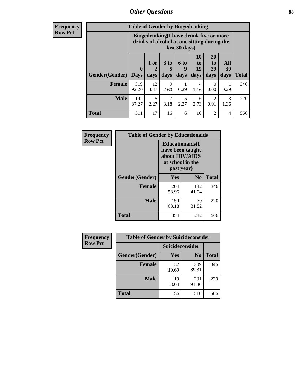# *Other Questions* **88**

**Frequency Row Pct**

| <b>Table of Gender by Bingedrinking</b> |                            |                                                                                                         |                   |                   |                        |                               |                   |              |
|-----------------------------------------|----------------------------|---------------------------------------------------------------------------------------------------------|-------------------|-------------------|------------------------|-------------------------------|-------------------|--------------|
|                                         |                            | Bingedrinking(I have drunk five or more<br>drinks of alcohol at one sitting during the<br>last 30 days) |                   |                   |                        |                               |                   |              |
| <b>Gender</b> (Gender)                  | $\mathbf 0$<br><b>Days</b> | 1 or<br>days                                                                                            | 3 to<br>5<br>days | 6 to<br>q<br>days | 10<br>to<br>19<br>days | <b>20</b><br>to<br>29<br>days | All<br>30<br>days | <b>Total</b> |
| <b>Female</b>                           | 319<br>92.20               | 12<br>3.47                                                                                              | 9<br>2.60         | 0.29              | 4<br>1.16              | 0<br>0.00                     | 0.29              | 346          |
| <b>Male</b>                             | 192<br>87.27               | 5<br>2.27                                                                                               | 7<br>3.18         | 5<br>2.27         | 6<br>2.73              | $\mathfrak{D}$<br>0.91        | 3<br>1.36         | 220          |
| <b>Total</b>                            | 511                        | 17                                                                                                      | 16                | 6                 | 10                     | $\mathfrak{D}$                | 4                 | 566          |

| Frequency      | <b>Table of Gender by Educationaids</b> |                                                                                                 |                |              |  |
|----------------|-----------------------------------------|-------------------------------------------------------------------------------------------------|----------------|--------------|--|
| <b>Row Pct</b> |                                         | <b>Educationaids</b> (I<br>have been taught<br>about HIV/AIDS<br>at school in the<br>past year) |                |              |  |
|                | Gender(Gender)                          | Yes                                                                                             | $\mathbf{N_0}$ | <b>Total</b> |  |
|                | <b>Female</b>                           | 204<br>58.96                                                                                    | 142<br>41.04   | 346          |  |
|                | <b>Male</b>                             | 150<br>68.18                                                                                    | 70<br>31.82    | 220          |  |
|                | <b>Total</b>                            | 354                                                                                             | 212            | 566          |  |

| <b>Frequency</b> | <b>Table of Gender by Suicideconsider</b> |                 |                |              |  |
|------------------|-------------------------------------------|-----------------|----------------|--------------|--|
| <b>Row Pct</b>   |                                           | Suicideconsider |                |              |  |
|                  | Gender(Gender)                            | Yes             | N <sub>0</sub> | <b>Total</b> |  |
|                  | <b>Female</b>                             | 37<br>10.69     | 309<br>89.31   | 346          |  |
|                  | <b>Male</b>                               | 19<br>8.64      | 201<br>91.36   | 220          |  |
|                  | Total                                     | 56              | 510            | 566          |  |